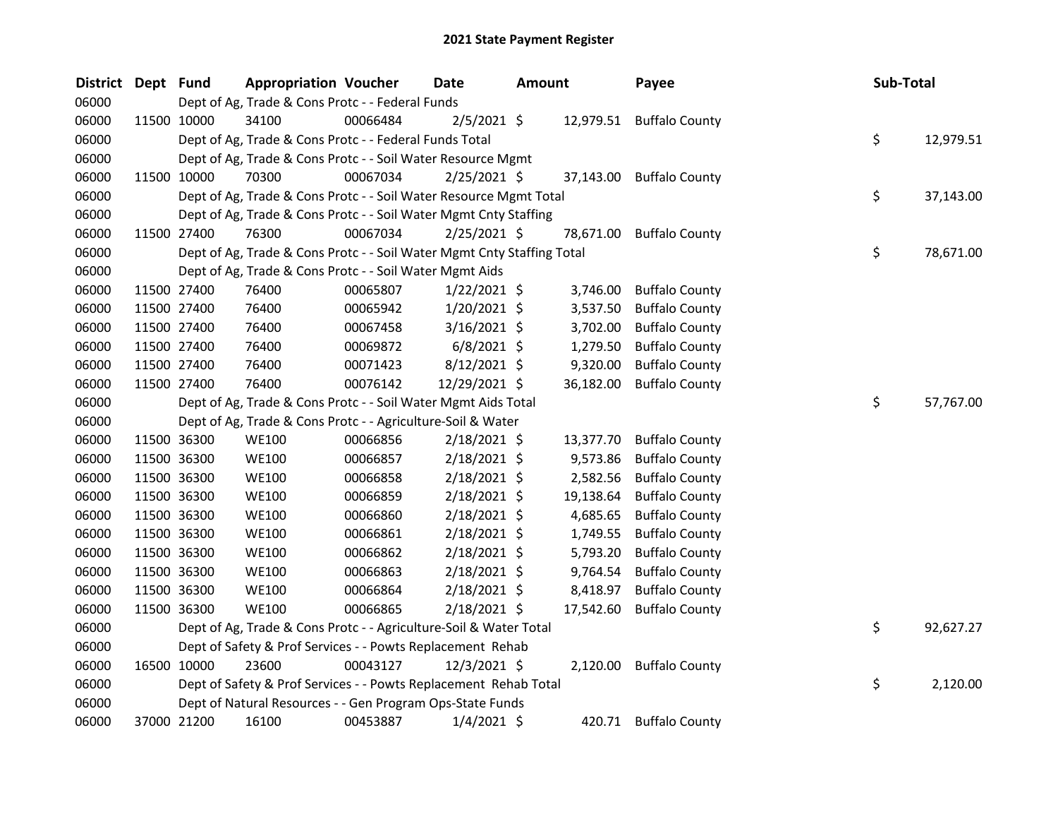| District | Dept Fund |             | <b>Appropriation Voucher</b>                                           |          | Date           | <b>Amount</b> |           | Payee                 |  | Sub-Total |           |
|----------|-----------|-------------|------------------------------------------------------------------------|----------|----------------|---------------|-----------|-----------------------|--|-----------|-----------|
| 06000    |           |             | Dept of Ag, Trade & Cons Protc - - Federal Funds                       |          |                |               |           |                       |  |           |           |
| 06000    |           | 11500 10000 | 34100                                                                  | 00066484 | $2/5/2021$ \$  |               | 12,979.51 | <b>Buffalo County</b> |  |           |           |
| 06000    |           |             | Dept of Ag, Trade & Cons Protc - - Federal Funds Total                 |          |                |               |           |                       |  | \$        | 12,979.51 |
| 06000    |           |             | Dept of Ag, Trade & Cons Protc - - Soil Water Resource Mgmt            |          |                |               |           |                       |  |           |           |
| 06000    |           | 11500 10000 | 70300                                                                  | 00067034 | $2/25/2021$ \$ |               | 37,143.00 | <b>Buffalo County</b> |  |           |           |
| 06000    |           |             | Dept of Ag, Trade & Cons Protc - - Soil Water Resource Mgmt Total      |          |                |               |           |                       |  | \$        | 37,143.00 |
| 06000    |           |             | Dept of Ag, Trade & Cons Protc - - Soil Water Mgmt Cnty Staffing       |          |                |               |           |                       |  |           |           |
| 06000    |           | 11500 27400 | 76300                                                                  | 00067034 | $2/25/2021$ \$ |               | 78,671.00 | <b>Buffalo County</b> |  |           |           |
| 06000    |           |             | Dept of Ag, Trade & Cons Protc - - Soil Water Mgmt Cnty Staffing Total |          |                |               |           |                       |  | \$        | 78,671.00 |
| 06000    |           |             | Dept of Ag, Trade & Cons Protc - - Soil Water Mgmt Aids                |          |                |               |           |                       |  |           |           |
| 06000    |           | 11500 27400 | 76400                                                                  | 00065807 | $1/22/2021$ \$ |               | 3,746.00  | <b>Buffalo County</b> |  |           |           |
| 06000    |           | 11500 27400 | 76400                                                                  | 00065942 | 1/20/2021 \$   |               | 3,537.50  | <b>Buffalo County</b> |  |           |           |
| 06000    |           | 11500 27400 | 76400                                                                  | 00067458 | $3/16/2021$ \$ |               | 3,702.00  | <b>Buffalo County</b> |  |           |           |
| 06000    |           | 11500 27400 | 76400                                                                  | 00069872 | $6/8/2021$ \$  |               | 1,279.50  | <b>Buffalo County</b> |  |           |           |
| 06000    |           | 11500 27400 | 76400                                                                  | 00071423 | $8/12/2021$ \$ |               | 9,320.00  | <b>Buffalo County</b> |  |           |           |
| 06000    |           | 11500 27400 | 76400                                                                  | 00076142 | 12/29/2021 \$  |               | 36,182.00 | <b>Buffalo County</b> |  |           |           |
| 06000    |           |             | Dept of Ag, Trade & Cons Protc - - Soil Water Mgmt Aids Total          |          |                |               |           |                       |  | \$        | 57,767.00 |
| 06000    |           |             | Dept of Ag, Trade & Cons Protc - - Agriculture-Soil & Water            |          |                |               |           |                       |  |           |           |
| 06000    |           | 11500 36300 | <b>WE100</b>                                                           | 00066856 | 2/18/2021 \$   |               | 13,377.70 | <b>Buffalo County</b> |  |           |           |
| 06000    |           | 11500 36300 | <b>WE100</b>                                                           | 00066857 | 2/18/2021 \$   |               | 9,573.86  | <b>Buffalo County</b> |  |           |           |
| 06000    |           | 11500 36300 | <b>WE100</b>                                                           | 00066858 | 2/18/2021 \$   |               | 2,582.56  | <b>Buffalo County</b> |  |           |           |
| 06000    |           | 11500 36300 | <b>WE100</b>                                                           | 00066859 | 2/18/2021 \$   |               | 19,138.64 | <b>Buffalo County</b> |  |           |           |
| 06000    |           | 11500 36300 | <b>WE100</b>                                                           | 00066860 | 2/18/2021 \$   |               | 4,685.65  | <b>Buffalo County</b> |  |           |           |
| 06000    |           | 11500 36300 | <b>WE100</b>                                                           | 00066861 | 2/18/2021 \$   |               | 1,749.55  | <b>Buffalo County</b> |  |           |           |
| 06000    |           | 11500 36300 | <b>WE100</b>                                                           | 00066862 | $2/18/2021$ \$ |               | 5,793.20  | <b>Buffalo County</b> |  |           |           |
| 06000    |           | 11500 36300 | <b>WE100</b>                                                           | 00066863 | $2/18/2021$ \$ |               | 9,764.54  | <b>Buffalo County</b> |  |           |           |
| 06000    |           | 11500 36300 | <b>WE100</b>                                                           | 00066864 | 2/18/2021 \$   |               | 8,418.97  | <b>Buffalo County</b> |  |           |           |
| 06000    |           | 11500 36300 | <b>WE100</b>                                                           | 00066865 | 2/18/2021 \$   |               | 17,542.60 | <b>Buffalo County</b> |  |           |           |
| 06000    |           |             | Dept of Ag, Trade & Cons Protc - - Agriculture-Soil & Water Total      |          |                |               |           |                       |  | \$        | 92,627.27 |
| 06000    |           |             | Dept of Safety & Prof Services - - Powts Replacement Rehab             |          |                |               |           |                       |  |           |           |
| 06000    |           | 16500 10000 | 23600                                                                  | 00043127 | 12/3/2021 \$   |               | 2,120.00  | <b>Buffalo County</b> |  |           |           |
| 06000    |           |             | Dept of Safety & Prof Services - - Powts Replacement Rehab Total       |          |                |               |           |                       |  | \$        | 2,120.00  |
| 06000    |           |             | Dept of Natural Resources - - Gen Program Ops-State Funds              |          |                |               |           |                       |  |           |           |
| 06000    |           | 37000 21200 | 16100                                                                  | 00453887 | $1/4/2021$ \$  |               | 420.71    | <b>Buffalo County</b> |  |           |           |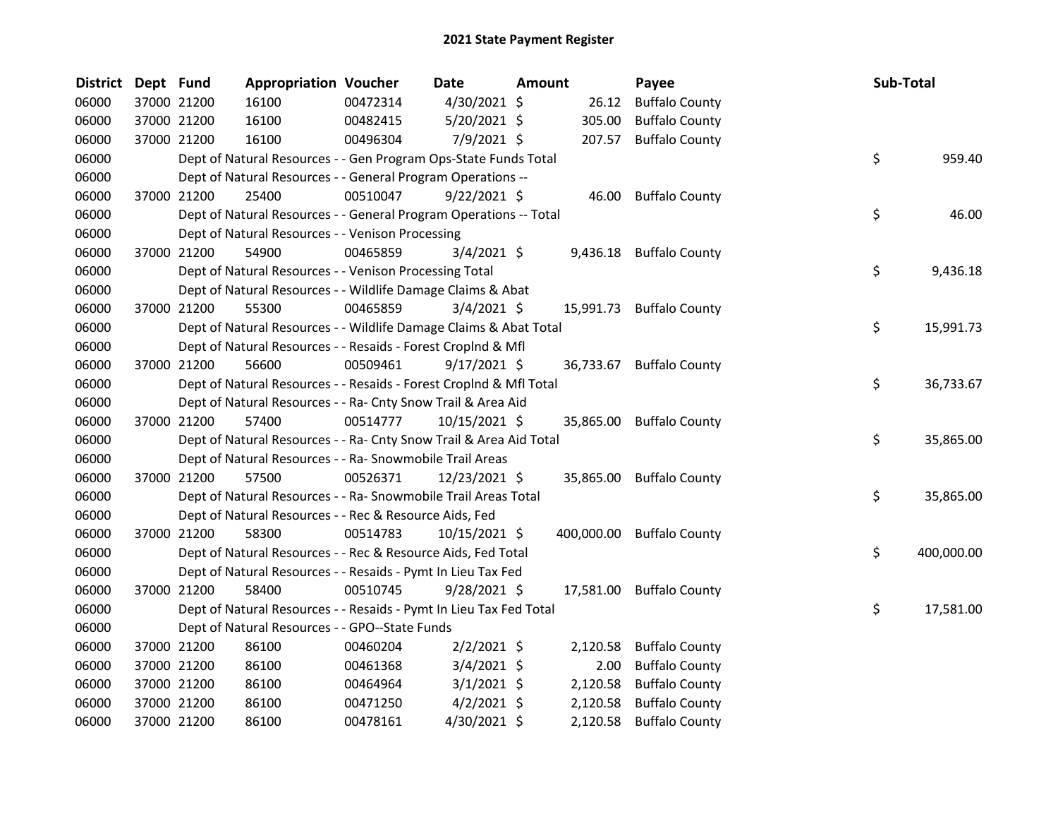| <b>District</b> | Dept Fund |             | <b>Appropriation Voucher</b>                                       |          | <b>Date</b>    | <b>Amount</b> |           | Payee                     | Sub-Total |            |
|-----------------|-----------|-------------|--------------------------------------------------------------------|----------|----------------|---------------|-----------|---------------------------|-----------|------------|
| 06000           |           | 37000 21200 | 16100                                                              | 00472314 | 4/30/2021 \$   |               | 26.12     | <b>Buffalo County</b>     |           |            |
| 06000           |           | 37000 21200 | 16100                                                              | 00482415 | 5/20/2021 \$   |               | 305.00    | <b>Buffalo County</b>     |           |            |
| 06000           |           | 37000 21200 | 16100                                                              | 00496304 | 7/9/2021 \$    |               | 207.57    | <b>Buffalo County</b>     |           |            |
| 06000           |           |             | Dept of Natural Resources - - Gen Program Ops-State Funds Total    |          |                |               |           |                           | \$        | 959.40     |
| 06000           |           |             | Dept of Natural Resources - - General Program Operations --        |          |                |               |           |                           |           |            |
| 06000           |           | 37000 21200 | 25400                                                              | 00510047 | $9/22/2021$ \$ |               | 46.00     | <b>Buffalo County</b>     |           |            |
| 06000           |           |             | Dept of Natural Resources - - General Program Operations -- Total  |          |                |               |           |                           | \$        | 46.00      |
| 06000           |           |             | Dept of Natural Resources - - Venison Processing                   |          |                |               |           |                           |           |            |
| 06000           |           | 37000 21200 | 54900                                                              | 00465859 | $3/4/2021$ \$  |               | 9,436.18  | <b>Buffalo County</b>     |           |            |
| 06000           |           |             | Dept of Natural Resources - - Venison Processing Total             |          |                |               |           |                           | \$        | 9,436.18   |
| 06000           |           |             | Dept of Natural Resources - - Wildlife Damage Claims & Abat        |          |                |               |           |                           |           |            |
| 06000           |           | 37000 21200 | 55300                                                              | 00465859 | $3/4/2021$ \$  |               | 15,991.73 | <b>Buffalo County</b>     |           |            |
| 06000           |           |             | Dept of Natural Resources - - Wildlife Damage Claims & Abat Total  |          |                |               |           |                           | \$        | 15,991.73  |
| 06000           |           |             | Dept of Natural Resources - - Resaids - Forest Croplnd & Mfl       |          |                |               |           |                           |           |            |
| 06000           |           | 37000 21200 | 56600                                                              | 00509461 | $9/17/2021$ \$ |               |           | 36,733.67 Buffalo County  |           |            |
| 06000           |           |             | Dept of Natural Resources - - Resaids - Forest Croplnd & Mfl Total |          |                |               |           |                           | \$        | 36,733.67  |
| 06000           |           |             | Dept of Natural Resources - - Ra- Cnty Snow Trail & Area Aid       |          |                |               |           |                           |           |            |
| 06000           |           | 37000 21200 | 57400                                                              | 00514777 | 10/15/2021 \$  |               |           | 35,865.00 Buffalo County  |           |            |
| 06000           |           |             | Dept of Natural Resources - - Ra- Cnty Snow Trail & Area Aid Total |          |                |               |           |                           | \$        | 35,865.00  |
| 06000           |           |             | Dept of Natural Resources - - Ra- Snowmobile Trail Areas           |          |                |               |           |                           |           |            |
| 06000           |           | 37000 21200 | 57500                                                              | 00526371 | 12/23/2021 \$  |               |           | 35,865.00 Buffalo County  |           |            |
| 06000           |           |             | Dept of Natural Resources - - Ra- Snowmobile Trail Areas Total     |          |                |               |           |                           | \$        | 35,865.00  |
| 06000           |           |             | Dept of Natural Resources - - Rec & Resource Aids, Fed             |          |                |               |           |                           |           |            |
| 06000           |           | 37000 21200 | 58300                                                              | 00514783 | 10/15/2021 \$  |               |           | 400,000.00 Buffalo County |           |            |
| 06000           |           |             | Dept of Natural Resources - - Rec & Resource Aids, Fed Total       |          |                |               |           |                           | \$        | 400,000.00 |
| 06000           |           |             | Dept of Natural Resources - - Resaids - Pymt In Lieu Tax Fed       |          |                |               |           |                           |           |            |
| 06000           |           | 37000 21200 | 58400                                                              | 00510745 | $9/28/2021$ \$ |               |           | 17,581.00 Buffalo County  |           |            |
| 06000           |           |             | Dept of Natural Resources - - Resaids - Pymt In Lieu Tax Fed Total |          |                |               |           |                           | \$        | 17,581.00  |
| 06000           |           |             | Dept of Natural Resources - - GPO--State Funds                     |          |                |               |           |                           |           |            |
| 06000           |           | 37000 21200 | 86100                                                              | 00460204 | $2/2/2021$ \$  |               | 2,120.58  | <b>Buffalo County</b>     |           |            |
| 06000           |           | 37000 21200 | 86100                                                              | 00461368 | $3/4/2021$ \$  |               | 2.00      | <b>Buffalo County</b>     |           |            |
| 06000           |           | 37000 21200 | 86100                                                              | 00464964 | $3/1/2021$ \$  |               | 2,120.58  | <b>Buffalo County</b>     |           |            |
| 06000           |           | 37000 21200 | 86100                                                              | 00471250 | $4/2/2021$ \$  |               | 2,120.58  | <b>Buffalo County</b>     |           |            |
| 06000           |           | 37000 21200 | 86100                                                              | 00478161 | 4/30/2021 \$   |               | 2,120.58  | <b>Buffalo County</b>     |           |            |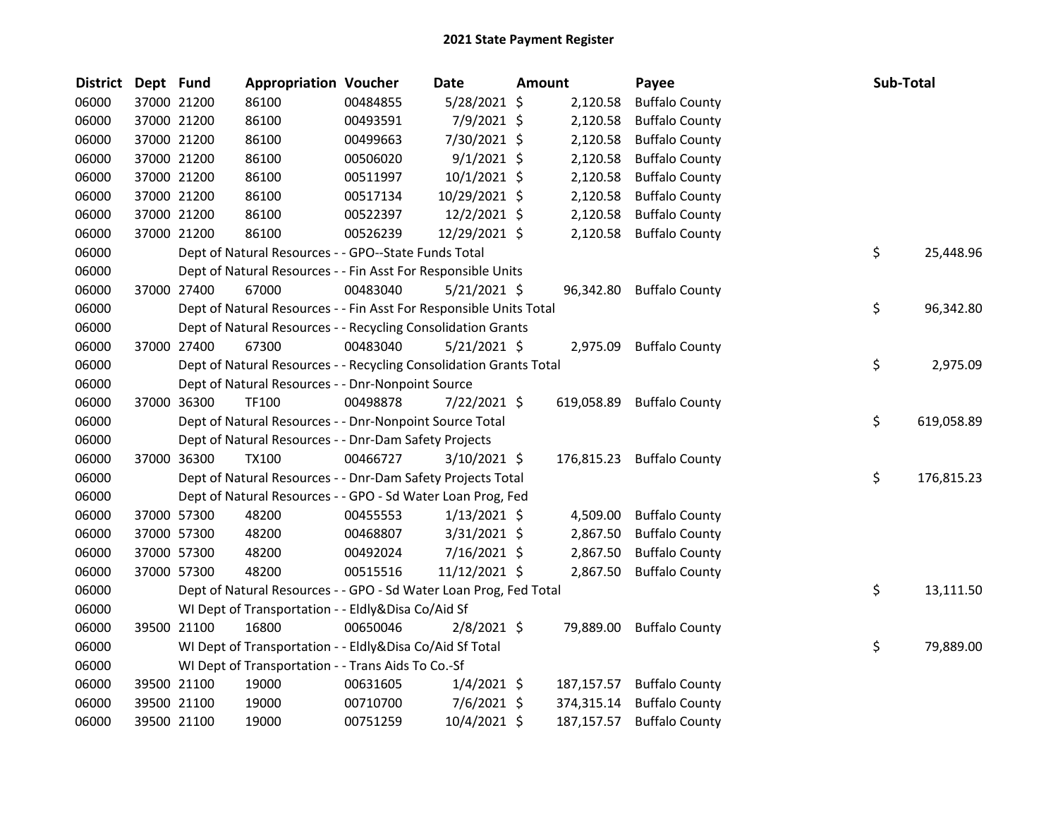| <b>District</b> | Dept Fund |             | <b>Appropriation Voucher</b>                                       |          | <b>Date</b>    | <b>Amount</b> |              | Payee                 | Sub-Total |            |
|-----------------|-----------|-------------|--------------------------------------------------------------------|----------|----------------|---------------|--------------|-----------------------|-----------|------------|
| 06000           |           | 37000 21200 | 86100                                                              | 00484855 | 5/28/2021 \$   |               | 2,120.58     | <b>Buffalo County</b> |           |            |
| 06000           |           | 37000 21200 | 86100                                                              | 00493591 | 7/9/2021 \$    |               | 2,120.58     | <b>Buffalo County</b> |           |            |
| 06000           |           | 37000 21200 | 86100                                                              | 00499663 | 7/30/2021 \$   |               | 2,120.58     | <b>Buffalo County</b> |           |            |
| 06000           |           | 37000 21200 | 86100                                                              | 00506020 | $9/1/2021$ \$  |               | 2,120.58     | <b>Buffalo County</b> |           |            |
| 06000           |           | 37000 21200 | 86100                                                              | 00511997 | $10/1/2021$ \$ |               | 2,120.58     | <b>Buffalo County</b> |           |            |
| 06000           |           | 37000 21200 | 86100                                                              | 00517134 | 10/29/2021 \$  |               | 2,120.58     | <b>Buffalo County</b> |           |            |
| 06000           |           | 37000 21200 | 86100                                                              | 00522397 | 12/2/2021 \$   |               | 2,120.58     | <b>Buffalo County</b> |           |            |
| 06000           |           | 37000 21200 | 86100                                                              | 00526239 | 12/29/2021 \$  |               | 2,120.58     | <b>Buffalo County</b> |           |            |
| 06000           |           |             | Dept of Natural Resources - - GPO--State Funds Total               |          |                |               |              |                       | \$        | 25,448.96  |
| 06000           |           |             | Dept of Natural Resources - - Fin Asst For Responsible Units       |          |                |               |              |                       |           |            |
| 06000           |           | 37000 27400 | 67000                                                              | 00483040 | $5/21/2021$ \$ |               | 96,342.80    | <b>Buffalo County</b> |           |            |
| 06000           |           |             | Dept of Natural Resources - - Fin Asst For Responsible Units Total |          |                |               |              |                       | \$        | 96,342.80  |
| 06000           |           |             | Dept of Natural Resources - - Recycling Consolidation Grants       |          |                |               |              |                       |           |            |
| 06000           |           | 37000 27400 | 67300                                                              | 00483040 | $5/21/2021$ \$ |               | 2,975.09     | <b>Buffalo County</b> |           |            |
| 06000           |           |             | Dept of Natural Resources - - Recycling Consolidation Grants Total |          |                |               |              |                       | \$        | 2,975.09   |
| 06000           |           |             | Dept of Natural Resources - - Dnr-Nonpoint Source                  |          |                |               |              |                       |           |            |
| 06000           |           | 37000 36300 | <b>TF100</b>                                                       | 00498878 | 7/22/2021 \$   |               | 619,058.89   | <b>Buffalo County</b> |           |            |
| 06000           |           |             | Dept of Natural Resources - - Dnr-Nonpoint Source Total            |          |                |               |              |                       | \$        | 619,058.89 |
| 06000           |           |             | Dept of Natural Resources - - Dnr-Dam Safety Projects              |          |                |               |              |                       |           |            |
| 06000           |           | 37000 36300 | <b>TX100</b>                                                       | 00466727 | $3/10/2021$ \$ |               | 176,815.23   | <b>Buffalo County</b> |           |            |
| 06000           |           |             | Dept of Natural Resources - - Dnr-Dam Safety Projects Total        |          |                |               |              |                       | \$        | 176,815.23 |
| 06000           |           |             | Dept of Natural Resources - - GPO - Sd Water Loan Prog, Fed        |          |                |               |              |                       |           |            |
| 06000           |           | 37000 57300 | 48200                                                              | 00455553 | $1/13/2021$ \$ |               | 4,509.00     | <b>Buffalo County</b> |           |            |
| 06000           |           | 37000 57300 | 48200                                                              | 00468807 | $3/31/2021$ \$ |               | 2,867.50     | <b>Buffalo County</b> |           |            |
| 06000           |           | 37000 57300 | 48200                                                              | 00492024 | 7/16/2021 \$   |               | 2,867.50     | <b>Buffalo County</b> |           |            |
| 06000           |           | 37000 57300 | 48200                                                              | 00515516 | 11/12/2021 \$  |               | 2,867.50     | <b>Buffalo County</b> |           |            |
| 06000           |           |             | Dept of Natural Resources - - GPO - Sd Water Loan Prog, Fed Total  |          |                |               |              |                       | \$        | 13,111.50  |
| 06000           |           |             | WI Dept of Transportation - - Eldly&Disa Co/Aid Sf                 |          |                |               |              |                       |           |            |
| 06000           |           | 39500 21100 | 16800                                                              | 00650046 | $2/8/2021$ \$  |               | 79,889.00    | <b>Buffalo County</b> |           |            |
| 06000           |           |             | WI Dept of Transportation - - Eldly&Disa Co/Aid Sf Total           |          |                |               |              |                       | \$        | 79,889.00  |
| 06000           |           |             | WI Dept of Transportation - - Trans Aids To Co.-Sf                 |          |                |               |              |                       |           |            |
| 06000           |           | 39500 21100 | 19000                                                              | 00631605 | $1/4/2021$ \$  |               | 187,157.57   | <b>Buffalo County</b> |           |            |
| 06000           |           | 39500 21100 | 19000                                                              | 00710700 | $7/6/2021$ \$  |               | 374,315.14   | <b>Buffalo County</b> |           |            |
| 06000           |           | 39500 21100 | 19000                                                              | 00751259 | 10/4/2021 \$   |               | 187, 157. 57 | <b>Buffalo County</b> |           |            |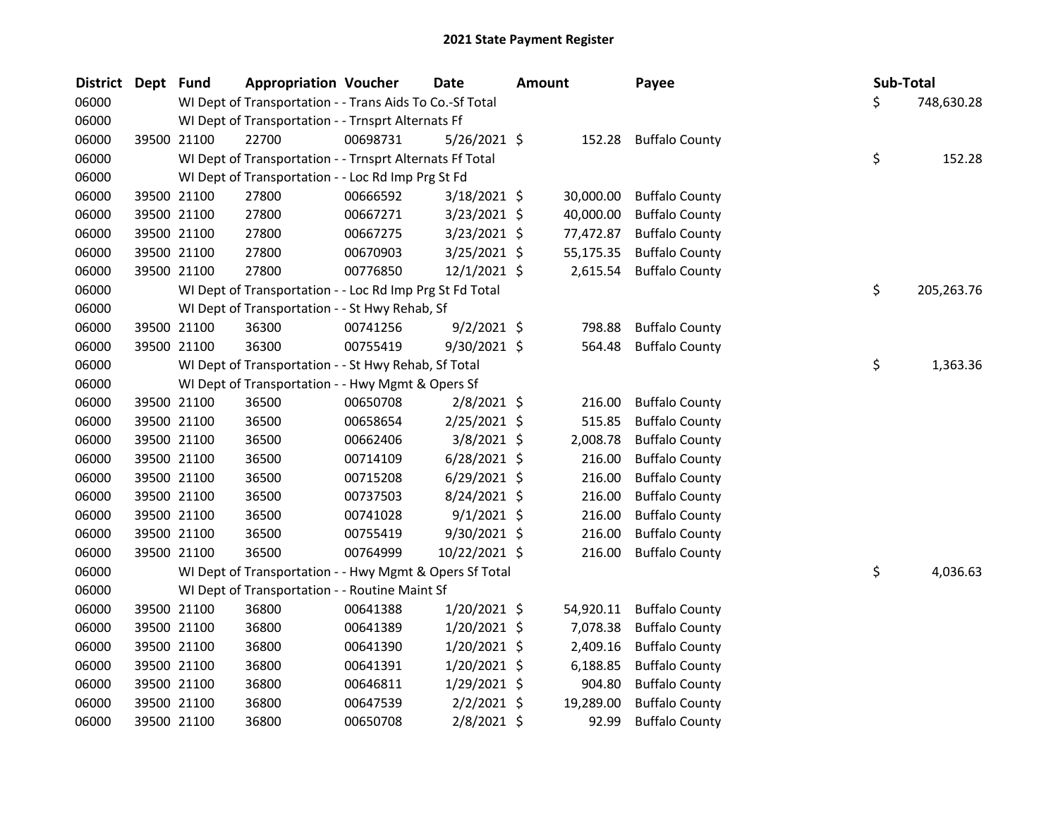| <b>District</b> | Dept Fund |             | <b>Appropriation Voucher</b>                             |          | <b>Date</b>    | <b>Amount</b> |           | Payee                 | Sub-Total |            |
|-----------------|-----------|-------------|----------------------------------------------------------|----------|----------------|---------------|-----------|-----------------------|-----------|------------|
| 06000           |           |             | WI Dept of Transportation - - Trans Aids To Co.-Sf Total |          |                |               |           |                       | \$        | 748,630.28 |
| 06000           |           |             | WI Dept of Transportation - - Trnsprt Alternats Ff       |          |                |               |           |                       |           |            |
| 06000           |           | 39500 21100 | 22700                                                    | 00698731 | 5/26/2021 \$   |               | 152.28    | <b>Buffalo County</b> |           |            |
| 06000           |           |             | WI Dept of Transportation - - Trnsprt Alternats Ff Total |          |                |               |           |                       | \$        | 152.28     |
| 06000           |           |             | WI Dept of Transportation - - Loc Rd Imp Prg St Fd       |          |                |               |           |                       |           |            |
| 06000           |           | 39500 21100 | 27800                                                    | 00666592 | $3/18/2021$ \$ |               | 30,000.00 | <b>Buffalo County</b> |           |            |
| 06000           |           | 39500 21100 | 27800                                                    | 00667271 | $3/23/2021$ \$ |               | 40,000.00 | <b>Buffalo County</b> |           |            |
| 06000           |           | 39500 21100 | 27800                                                    | 00667275 | 3/23/2021 \$   |               | 77,472.87 | <b>Buffalo County</b> |           |            |
| 06000           |           | 39500 21100 | 27800                                                    | 00670903 | $3/25/2021$ \$ |               | 55,175.35 | <b>Buffalo County</b> |           |            |
| 06000           |           | 39500 21100 | 27800                                                    | 00776850 | 12/1/2021 \$   |               | 2,615.54  | <b>Buffalo County</b> |           |            |
| 06000           |           |             | WI Dept of Transportation - - Loc Rd Imp Prg St Fd Total |          |                |               |           |                       | \$        | 205,263.76 |
| 06000           |           |             | WI Dept of Transportation - - St Hwy Rehab, Sf           |          |                |               |           |                       |           |            |
| 06000           |           | 39500 21100 | 36300                                                    | 00741256 | $9/2/2021$ \$  |               | 798.88    | <b>Buffalo County</b> |           |            |
| 06000           |           | 39500 21100 | 36300                                                    | 00755419 | 9/30/2021 \$   |               | 564.48    | <b>Buffalo County</b> |           |            |
| 06000           |           |             | WI Dept of Transportation - - St Hwy Rehab, Sf Total     |          |                |               |           |                       | \$        | 1,363.36   |
| 06000           |           |             | WI Dept of Transportation - - Hwy Mgmt & Opers Sf        |          |                |               |           |                       |           |            |
| 06000           |           | 39500 21100 | 36500                                                    | 00650708 | $2/8/2021$ \$  |               | 216.00    | <b>Buffalo County</b> |           |            |
| 06000           |           | 39500 21100 | 36500                                                    | 00658654 | 2/25/2021 \$   |               | 515.85    | <b>Buffalo County</b> |           |            |
| 06000           |           | 39500 21100 | 36500                                                    | 00662406 | 3/8/2021 \$    |               | 2,008.78  | <b>Buffalo County</b> |           |            |
| 06000           |           | 39500 21100 | 36500                                                    | 00714109 | $6/28/2021$ \$ |               | 216.00    | <b>Buffalo County</b> |           |            |
| 06000           |           | 39500 21100 | 36500                                                    | 00715208 | $6/29/2021$ \$ |               | 216.00    | <b>Buffalo County</b> |           |            |
| 06000           |           | 39500 21100 | 36500                                                    | 00737503 | 8/24/2021 \$   |               | 216.00    | <b>Buffalo County</b> |           |            |
| 06000           |           | 39500 21100 | 36500                                                    | 00741028 | $9/1/2021$ \$  |               | 216.00    | <b>Buffalo County</b> |           |            |
| 06000           |           | 39500 21100 | 36500                                                    | 00755419 | 9/30/2021 \$   |               | 216.00    | <b>Buffalo County</b> |           |            |
| 06000           |           | 39500 21100 | 36500                                                    | 00764999 | 10/22/2021 \$  |               | 216.00    | <b>Buffalo County</b> |           |            |
| 06000           |           |             | WI Dept of Transportation - - Hwy Mgmt & Opers Sf Total  |          |                |               |           |                       | \$        | 4,036.63   |
| 06000           |           |             | WI Dept of Transportation - - Routine Maint Sf           |          |                |               |           |                       |           |            |
| 06000           |           | 39500 21100 | 36800                                                    | 00641388 | 1/20/2021 \$   |               | 54,920.11 | <b>Buffalo County</b> |           |            |
| 06000           |           | 39500 21100 | 36800                                                    | 00641389 | $1/20/2021$ \$ |               | 7,078.38  | <b>Buffalo County</b> |           |            |
| 06000           |           | 39500 21100 | 36800                                                    | 00641390 | $1/20/2021$ \$ |               | 2,409.16  | <b>Buffalo County</b> |           |            |
| 06000           |           | 39500 21100 | 36800                                                    | 00641391 | $1/20/2021$ \$ |               | 6,188.85  | <b>Buffalo County</b> |           |            |
| 06000           |           | 39500 21100 | 36800                                                    | 00646811 | 1/29/2021 \$   |               | 904.80    | <b>Buffalo County</b> |           |            |
| 06000           |           | 39500 21100 | 36800                                                    | 00647539 | $2/2/2021$ \$  |               | 19,289.00 | <b>Buffalo County</b> |           |            |
| 06000           |           | 39500 21100 | 36800                                                    | 00650708 | $2/8/2021$ \$  |               | 92.99     | <b>Buffalo County</b> |           |            |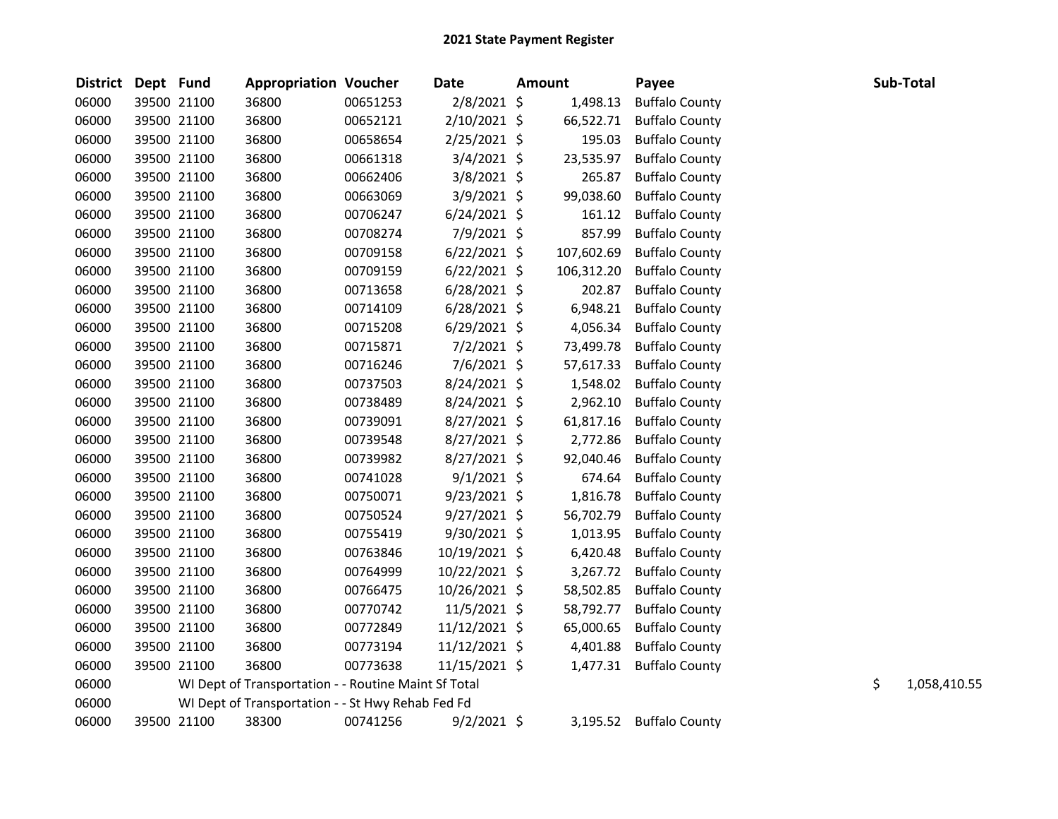| <b>District</b> | Dept Fund |             | <b>Appropriation Voucher</b>                         |          | <b>Date</b>    | <b>Amount</b> |            | Payee                 |    | Sub-Total    |
|-----------------|-----------|-------------|------------------------------------------------------|----------|----------------|---------------|------------|-----------------------|----|--------------|
| 06000           |           | 39500 21100 | 36800                                                | 00651253 | 2/8/2021 \$    |               | 1,498.13   | <b>Buffalo County</b> |    |              |
| 06000           |           | 39500 21100 | 36800                                                | 00652121 | 2/10/2021 \$   |               | 66,522.71  | <b>Buffalo County</b> |    |              |
| 06000           |           | 39500 21100 | 36800                                                | 00658654 | 2/25/2021 \$   |               | 195.03     | <b>Buffalo County</b> |    |              |
| 06000           |           | 39500 21100 | 36800                                                | 00661318 | 3/4/2021 \$    |               | 23,535.97  | <b>Buffalo County</b> |    |              |
| 06000           |           | 39500 21100 | 36800                                                | 00662406 | $3/8/2021$ \$  |               | 265.87     | <b>Buffalo County</b> |    |              |
| 06000           |           | 39500 21100 | 36800                                                | 00663069 | 3/9/2021 \$    |               | 99,038.60  | <b>Buffalo County</b> |    |              |
| 06000           |           | 39500 21100 | 36800                                                | 00706247 | $6/24/2021$ \$ |               | 161.12     | <b>Buffalo County</b> |    |              |
| 06000           |           | 39500 21100 | 36800                                                | 00708274 | 7/9/2021 \$    |               | 857.99     | <b>Buffalo County</b> |    |              |
| 06000           |           | 39500 21100 | 36800                                                | 00709158 | $6/22/2021$ \$ |               | 107,602.69 | <b>Buffalo County</b> |    |              |
| 06000           |           | 39500 21100 | 36800                                                | 00709159 | $6/22/2021$ \$ |               | 106,312.20 | <b>Buffalo County</b> |    |              |
| 06000           |           | 39500 21100 | 36800                                                | 00713658 | $6/28/2021$ \$ |               | 202.87     | <b>Buffalo County</b> |    |              |
| 06000           |           | 39500 21100 | 36800                                                | 00714109 | $6/28/2021$ \$ |               | 6,948.21   | <b>Buffalo County</b> |    |              |
| 06000           |           | 39500 21100 | 36800                                                | 00715208 | $6/29/2021$ \$ |               | 4,056.34   | <b>Buffalo County</b> |    |              |
| 06000           |           | 39500 21100 | 36800                                                | 00715871 | $7/2/2021$ \$  |               | 73,499.78  | <b>Buffalo County</b> |    |              |
| 06000           |           | 39500 21100 | 36800                                                | 00716246 | $7/6/2021$ \$  |               | 57,617.33  | <b>Buffalo County</b> |    |              |
| 06000           |           | 39500 21100 | 36800                                                | 00737503 | 8/24/2021 \$   |               | 1,548.02   | <b>Buffalo County</b> |    |              |
| 06000           |           | 39500 21100 | 36800                                                | 00738489 | 8/24/2021 \$   |               | 2,962.10   | <b>Buffalo County</b> |    |              |
| 06000           |           | 39500 21100 | 36800                                                | 00739091 | 8/27/2021 \$   |               | 61,817.16  | <b>Buffalo County</b> |    |              |
| 06000           |           | 39500 21100 | 36800                                                | 00739548 | $8/27/2021$ \$ |               | 2,772.86   | <b>Buffalo County</b> |    |              |
| 06000           |           | 39500 21100 | 36800                                                | 00739982 | $8/27/2021$ \$ |               | 92,040.46  | <b>Buffalo County</b> |    |              |
| 06000           |           | 39500 21100 | 36800                                                | 00741028 | $9/1/2021$ \$  |               | 674.64     | <b>Buffalo County</b> |    |              |
| 06000           |           | 39500 21100 | 36800                                                | 00750071 | $9/23/2021$ \$ |               | 1,816.78   | <b>Buffalo County</b> |    |              |
| 06000           |           | 39500 21100 | 36800                                                | 00750524 | $9/27/2021$ \$ |               | 56,702.79  | <b>Buffalo County</b> |    |              |
| 06000           |           | 39500 21100 | 36800                                                | 00755419 | 9/30/2021 \$   |               | 1,013.95   | <b>Buffalo County</b> |    |              |
| 06000           |           | 39500 21100 | 36800                                                | 00763846 | 10/19/2021 \$  |               | 6,420.48   | <b>Buffalo County</b> |    |              |
| 06000           |           | 39500 21100 | 36800                                                | 00764999 | 10/22/2021 \$  |               | 3,267.72   | <b>Buffalo County</b> |    |              |
| 06000           |           | 39500 21100 | 36800                                                | 00766475 | 10/26/2021 \$  |               | 58,502.85  | <b>Buffalo County</b> |    |              |
| 06000           |           | 39500 21100 | 36800                                                | 00770742 | 11/5/2021 \$   |               | 58,792.77  | <b>Buffalo County</b> |    |              |
| 06000           |           | 39500 21100 | 36800                                                | 00772849 | 11/12/2021 \$  |               | 65,000.65  | <b>Buffalo County</b> |    |              |
| 06000           |           | 39500 21100 | 36800                                                | 00773194 | 11/12/2021 \$  |               | 4,401.88   | <b>Buffalo County</b> |    |              |
| 06000           |           | 39500 21100 | 36800                                                | 00773638 | 11/15/2021 \$  |               | 1,477.31   | <b>Buffalo County</b> |    |              |
| 06000           |           |             | WI Dept of Transportation - - Routine Maint Sf Total |          |                |               |            |                       | \$ | 1,058,410.55 |
| 06000           |           |             | WI Dept of Transportation - - St Hwy Rehab Fed Fd    |          |                |               |            |                       |    |              |
| 06000           |           | 39500 21100 | 38300                                                | 00741256 | $9/2/2021$ \$  |               | 3,195.52   | <b>Buffalo County</b> |    |              |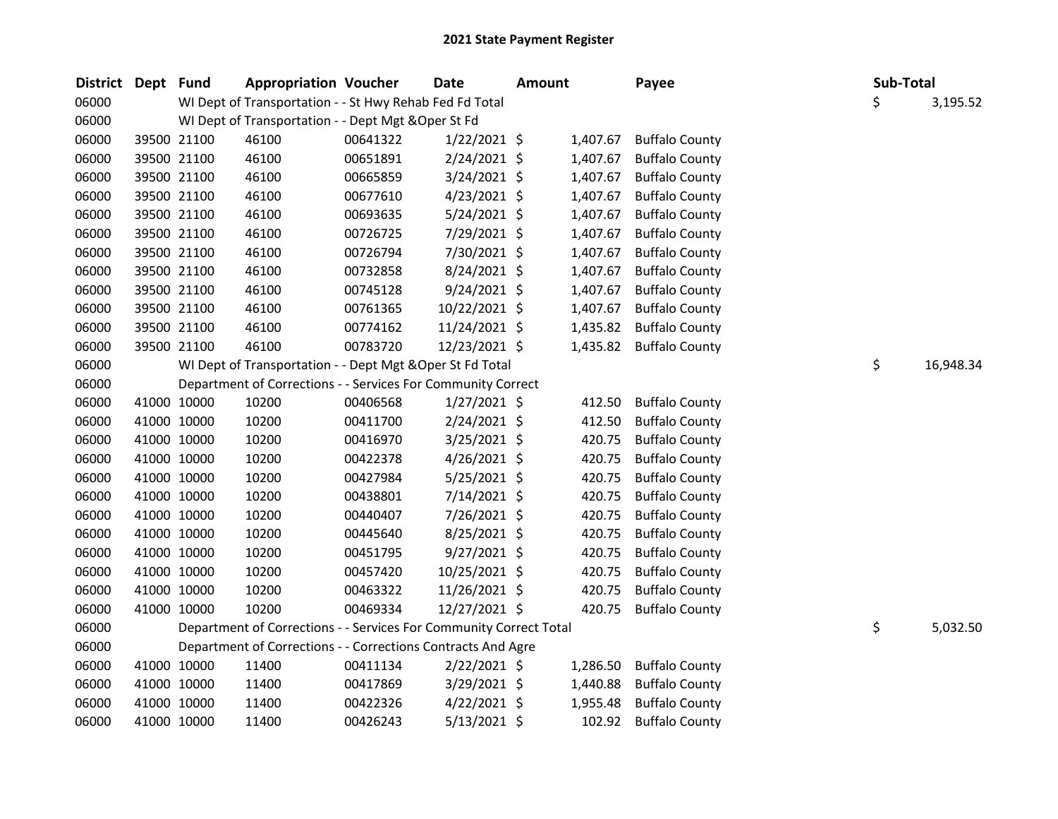| District Dept Fund |             | <b>Appropriation Voucher</b>                                       |          | <b>Date</b>    | <b>Amount</b> |          | Payee                 | Sub-Total |    |           |
|--------------------|-------------|--------------------------------------------------------------------|----------|----------------|---------------|----------|-----------------------|-----------|----|-----------|
| 06000              |             | WI Dept of Transportation - - St Hwy Rehab Fed Fd Total            |          |                |               |          |                       |           | \$ | 3,195.52  |
| 06000              |             | WI Dept of Transportation - - Dept Mgt & Oper St Fd                |          |                |               |          |                       |           |    |           |
| 06000              | 39500 21100 | 46100                                                              | 00641322 | $1/22/2021$ \$ |               | 1,407.67 | <b>Buffalo County</b> |           |    |           |
| 06000              | 39500 21100 | 46100                                                              | 00651891 | 2/24/2021 \$   |               | 1,407.67 | <b>Buffalo County</b> |           |    |           |
| 06000              | 39500 21100 | 46100                                                              | 00665859 | 3/24/2021 \$   |               | 1,407.67 | <b>Buffalo County</b> |           |    |           |
| 06000              | 39500 21100 | 46100                                                              | 00677610 | $4/23/2021$ \$ |               | 1,407.67 | <b>Buffalo County</b> |           |    |           |
| 06000              | 39500 21100 | 46100                                                              | 00693635 | 5/24/2021 \$   |               | 1,407.67 | <b>Buffalo County</b> |           |    |           |
| 06000              | 39500 21100 | 46100                                                              | 00726725 | 7/29/2021 \$   |               | 1,407.67 | <b>Buffalo County</b> |           |    |           |
| 06000              | 39500 21100 | 46100                                                              | 00726794 | 7/30/2021 \$   |               | 1,407.67 | <b>Buffalo County</b> |           |    |           |
| 06000              | 39500 21100 | 46100                                                              | 00732858 | 8/24/2021 \$   |               | 1,407.67 | <b>Buffalo County</b> |           |    |           |
| 06000              | 39500 21100 | 46100                                                              | 00745128 | 9/24/2021 \$   |               | 1,407.67 | <b>Buffalo County</b> |           |    |           |
| 06000              | 39500 21100 | 46100                                                              | 00761365 | 10/22/2021 \$  |               | 1,407.67 | <b>Buffalo County</b> |           |    |           |
| 06000              | 39500 21100 | 46100                                                              | 00774162 | 11/24/2021 \$  |               | 1,435.82 | <b>Buffalo County</b> |           |    |           |
| 06000              | 39500 21100 | 46100                                                              | 00783720 | 12/23/2021 \$  |               | 1,435.82 | <b>Buffalo County</b> |           |    |           |
| 06000              |             | WI Dept of Transportation - - Dept Mgt & Oper St Fd Total          |          |                |               |          |                       |           | \$ | 16,948.34 |
| 06000              |             | Department of Corrections - - Services For Community Correct       |          |                |               |          |                       |           |    |           |
| 06000              | 41000 10000 | 10200                                                              | 00406568 | $1/27/2021$ \$ |               | 412.50   | <b>Buffalo County</b> |           |    |           |
| 06000              | 41000 10000 | 10200                                                              | 00411700 | 2/24/2021 \$   |               | 412.50   | <b>Buffalo County</b> |           |    |           |
| 06000              | 41000 10000 | 10200                                                              | 00416970 | 3/25/2021 \$   |               | 420.75   | <b>Buffalo County</b> |           |    |           |
| 06000              | 41000 10000 | 10200                                                              | 00422378 | $4/26/2021$ \$ |               | 420.75   | <b>Buffalo County</b> |           |    |           |
| 06000              | 41000 10000 | 10200                                                              | 00427984 | $5/25/2021$ \$ |               | 420.75   | <b>Buffalo County</b> |           |    |           |
| 06000              | 41000 10000 | 10200                                                              | 00438801 | 7/14/2021 \$   |               | 420.75   | <b>Buffalo County</b> |           |    |           |
| 06000              | 41000 10000 | 10200                                                              | 00440407 | 7/26/2021 \$   |               | 420.75   | <b>Buffalo County</b> |           |    |           |
| 06000              | 41000 10000 | 10200                                                              | 00445640 | 8/25/2021 \$   |               | 420.75   | <b>Buffalo County</b> |           |    |           |
| 06000              | 41000 10000 | 10200                                                              | 00451795 | 9/27/2021 \$   |               | 420.75   | <b>Buffalo County</b> |           |    |           |
| 06000              | 41000 10000 | 10200                                                              | 00457420 | 10/25/2021 \$  |               | 420.75   | <b>Buffalo County</b> |           |    |           |
| 06000              | 41000 10000 | 10200                                                              | 00463322 | 11/26/2021 \$  |               | 420.75   | <b>Buffalo County</b> |           |    |           |
| 06000              | 41000 10000 | 10200                                                              | 00469334 | 12/27/2021 \$  |               | 420.75   | <b>Buffalo County</b> |           |    |           |
| 06000              |             | Department of Corrections - - Services For Community Correct Total |          |                |               |          |                       |           | \$ | 5,032.50  |
| 06000              |             | Department of Corrections - - Corrections Contracts And Agre       |          |                |               |          |                       |           |    |           |
| 06000              | 41000 10000 | 11400                                                              | 00411134 | $2/22/2021$ \$ |               | 1,286.50 | <b>Buffalo County</b> |           |    |           |
| 06000              | 41000 10000 | 11400                                                              | 00417869 | 3/29/2021 \$   |               | 1,440.88 | <b>Buffalo County</b> |           |    |           |
| 06000              | 41000 10000 | 11400                                                              | 00422326 | $4/22/2021$ \$ |               | 1,955.48 | <b>Buffalo County</b> |           |    |           |
| 06000              | 41000 10000 | 11400                                                              | 00426243 | 5/13/2021 \$   |               | 102.92   | <b>Buffalo County</b> |           |    |           |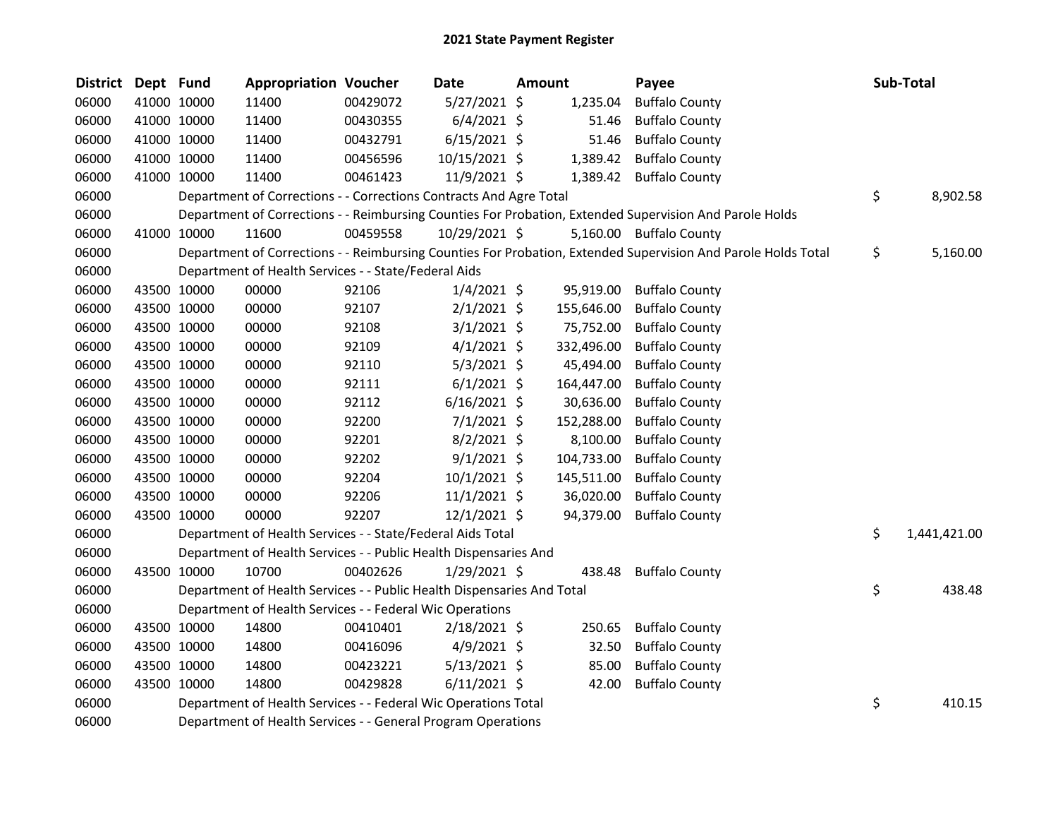| <b>District</b> | Dept Fund   |                                                          | <b>Appropriation Voucher</b>                                           |          | <b>Date</b>    | <b>Amount</b> |            | Payee                                                                                                         | Sub-Total          |
|-----------------|-------------|----------------------------------------------------------|------------------------------------------------------------------------|----------|----------------|---------------|------------|---------------------------------------------------------------------------------------------------------------|--------------------|
| 06000           |             | 41000 10000                                              | 11400                                                                  | 00429072 | $5/27/2021$ \$ |               | 1,235.04   | <b>Buffalo County</b>                                                                                         |                    |
| 06000           |             | 41000 10000                                              | 11400                                                                  | 00430355 | $6/4/2021$ \$  |               | 51.46      | <b>Buffalo County</b>                                                                                         |                    |
| 06000           |             | 41000 10000                                              | 11400                                                                  | 00432791 | $6/15/2021$ \$ |               | 51.46      | <b>Buffalo County</b>                                                                                         |                    |
| 06000           | 41000 10000 |                                                          | 11400                                                                  | 00456596 | 10/15/2021 \$  |               | 1,389.42   | <b>Buffalo County</b>                                                                                         |                    |
| 06000           | 41000 10000 |                                                          | 11400                                                                  | 00461423 | 11/9/2021 \$   |               |            | 1,389.42 Buffalo County                                                                                       |                    |
| 06000           |             |                                                          | Department of Corrections - - Corrections Contracts And Agre Total     |          |                |               |            |                                                                                                               | \$<br>8,902.58     |
| 06000           |             |                                                          |                                                                        |          |                |               |            | Department of Corrections - - Reimbursing Counties For Probation, Extended Supervision And Parole Holds       |                    |
| 06000           |             | 41000 10000                                              | 11600                                                                  | 00459558 | 10/29/2021 \$  |               |            | 5,160.00 Buffalo County                                                                                       |                    |
| 06000           |             |                                                          |                                                                        |          |                |               |            | Department of Corrections - - Reimbursing Counties For Probation, Extended Supervision And Parole Holds Total | \$<br>5,160.00     |
| 06000           |             |                                                          | Department of Health Services - - State/Federal Aids                   |          |                |               |            |                                                                                                               |                    |
| 06000           |             | 43500 10000                                              | 00000                                                                  | 92106    | $1/4/2021$ \$  |               | 95,919.00  | <b>Buffalo County</b>                                                                                         |                    |
| 06000           |             | 43500 10000                                              | 00000                                                                  | 92107    | $2/1/2021$ \$  |               | 155,646.00 | <b>Buffalo County</b>                                                                                         |                    |
| 06000           |             | 43500 10000                                              | 00000                                                                  | 92108    | $3/1/2021$ \$  |               | 75,752.00  | <b>Buffalo County</b>                                                                                         |                    |
| 06000           |             | 43500 10000                                              | 00000                                                                  | 92109    | $4/1/2021$ \$  |               | 332,496.00 | <b>Buffalo County</b>                                                                                         |                    |
| 06000           | 43500 10000 |                                                          | 00000                                                                  | 92110    | $5/3/2021$ \$  |               | 45,494.00  | <b>Buffalo County</b>                                                                                         |                    |
| 06000           |             | 43500 10000                                              | 00000                                                                  | 92111    | $6/1/2021$ \$  |               | 164,447.00 | <b>Buffalo County</b>                                                                                         |                    |
| 06000           | 43500 10000 |                                                          | 00000                                                                  | 92112    | $6/16/2021$ \$ |               | 30,636.00  | <b>Buffalo County</b>                                                                                         |                    |
| 06000           | 43500 10000 |                                                          | 00000                                                                  | 92200    | $7/1/2021$ \$  |               | 152,288.00 | <b>Buffalo County</b>                                                                                         |                    |
| 06000           |             | 43500 10000                                              | 00000                                                                  | 92201    | $8/2/2021$ \$  |               | 8,100.00   | <b>Buffalo County</b>                                                                                         |                    |
| 06000           |             | 43500 10000                                              | 00000                                                                  | 92202    | $9/1/2021$ \$  |               | 104,733.00 | <b>Buffalo County</b>                                                                                         |                    |
| 06000           | 43500 10000 |                                                          | 00000                                                                  | 92204    | $10/1/2021$ \$ |               | 145,511.00 | <b>Buffalo County</b>                                                                                         |                    |
| 06000           | 43500 10000 |                                                          | 00000                                                                  | 92206    | $11/1/2021$ \$ |               | 36,020.00  | <b>Buffalo County</b>                                                                                         |                    |
| 06000           |             | 43500 10000                                              | 00000                                                                  | 92207    | $12/1/2021$ \$ |               | 94,379.00  | <b>Buffalo County</b>                                                                                         |                    |
| 06000           |             |                                                          | Department of Health Services - - State/Federal Aids Total             |          |                |               |            |                                                                                                               | \$<br>1,441,421.00 |
| 06000           |             |                                                          | Department of Health Services - - Public Health Dispensaries And       |          |                |               |            |                                                                                                               |                    |
| 06000           |             | 43500 10000                                              | 10700                                                                  | 00402626 | $1/29/2021$ \$ |               | 438.48     | <b>Buffalo County</b>                                                                                         |                    |
| 06000           |             |                                                          | Department of Health Services - - Public Health Dispensaries And Total |          |                |               |            |                                                                                                               | \$<br>438.48       |
| 06000           |             | Department of Health Services - - Federal Wic Operations |                                                                        |          |                |               |            |                                                                                                               |                    |
| 06000           |             | 43500 10000                                              | 14800                                                                  | 00410401 | $2/18/2021$ \$ |               | 250.65     | <b>Buffalo County</b>                                                                                         |                    |
| 06000           |             | 43500 10000                                              | 14800                                                                  | 00416096 | $4/9/2021$ \$  |               | 32.50      | <b>Buffalo County</b>                                                                                         |                    |
| 06000           |             | 43500 10000                                              | 14800                                                                  | 00423221 | $5/13/2021$ \$ |               | 85.00      | <b>Buffalo County</b>                                                                                         |                    |
| 06000           |             | 43500 10000                                              | 14800                                                                  | 00429828 | $6/11/2021$ \$ |               | 42.00      | <b>Buffalo County</b>                                                                                         |                    |
| 06000           |             |                                                          | Department of Health Services - - Federal Wic Operations Total         |          |                |               |            |                                                                                                               | \$<br>410.15       |
| 06000           |             |                                                          | Department of Health Services - - General Program Operations           |          |                |               |            |                                                                                                               |                    |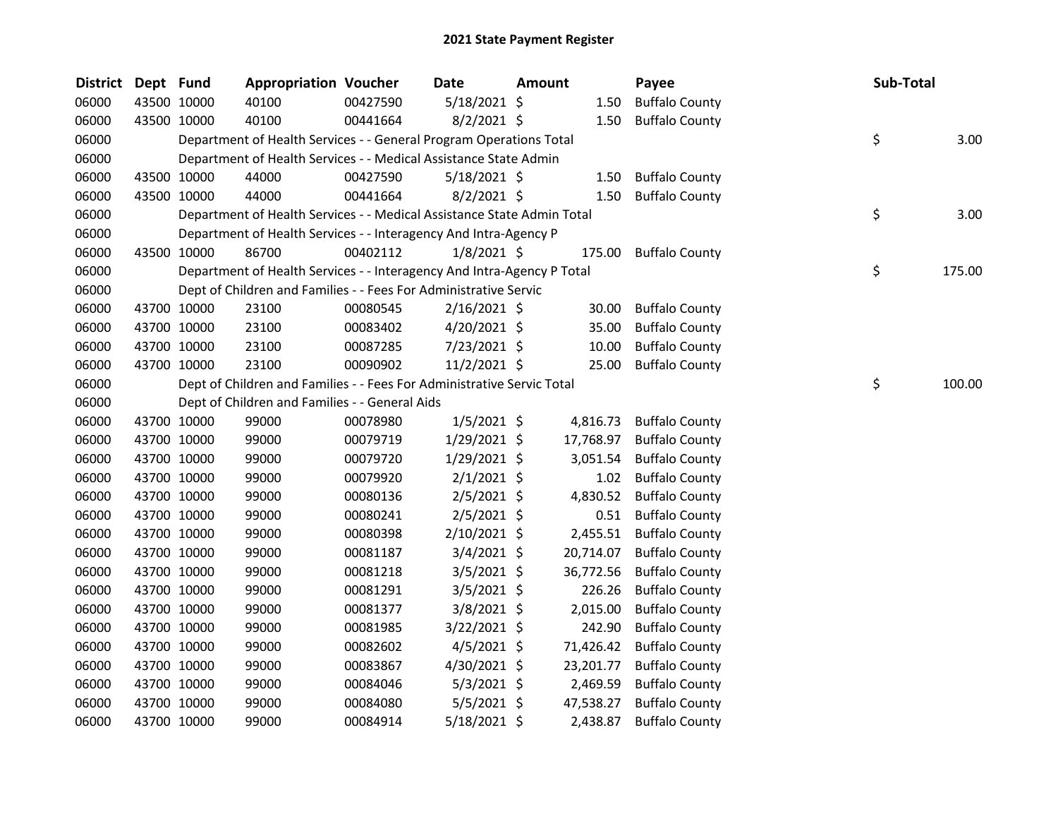| <b>District</b> | Dept Fund |             | <b>Appropriation Voucher</b>                                           |          | <b>Date</b>    | <b>Amount</b> | Payee                 | Sub-Total |        |
|-----------------|-----------|-------------|------------------------------------------------------------------------|----------|----------------|---------------|-----------------------|-----------|--------|
| 06000           |           | 43500 10000 | 40100                                                                  | 00427590 | 5/18/2021 \$   | 1.50          | <b>Buffalo County</b> |           |        |
| 06000           |           | 43500 10000 | 40100                                                                  | 00441664 | 8/2/2021 \$    | 1.50          | <b>Buffalo County</b> |           |        |
| 06000           |           |             | Department of Health Services - - General Program Operations Total     |          |                |               |                       | \$        | 3.00   |
| 06000           |           |             | Department of Health Services - - Medical Assistance State Admin       |          |                |               |                       |           |        |
| 06000           |           | 43500 10000 | 44000                                                                  | 00427590 | $5/18/2021$ \$ | 1.50          | <b>Buffalo County</b> |           |        |
| 06000           |           | 43500 10000 | 44000                                                                  | 00441664 | $8/2/2021$ \$  | 1.50          | <b>Buffalo County</b> |           |        |
| 06000           |           |             | Department of Health Services - - Medical Assistance State Admin Total |          |                |               |                       | \$        | 3.00   |
| 06000           |           |             | Department of Health Services - - Interagency And Intra-Agency P       |          |                |               |                       |           |        |
| 06000           |           | 43500 10000 | 86700                                                                  | 00402112 | $1/8/2021$ \$  | 175.00        | <b>Buffalo County</b> |           |        |
| 06000           |           |             | Department of Health Services - - Interagency And Intra-Agency P Total |          |                |               |                       | \$        | 175.00 |
| 06000           |           |             | Dept of Children and Families - - Fees For Administrative Servic       |          |                |               |                       |           |        |
| 06000           |           | 43700 10000 | 23100                                                                  | 00080545 | $2/16/2021$ \$ | 30.00         | <b>Buffalo County</b> |           |        |
| 06000           |           | 43700 10000 | 23100                                                                  | 00083402 | 4/20/2021 \$   | 35.00         | <b>Buffalo County</b> |           |        |
| 06000           |           | 43700 10000 | 23100                                                                  | 00087285 | 7/23/2021 \$   | 10.00         | <b>Buffalo County</b> |           |        |
| 06000           |           | 43700 10000 | 23100                                                                  | 00090902 | $11/2/2021$ \$ | 25.00         | <b>Buffalo County</b> |           |        |
| 06000           |           |             | Dept of Children and Families - - Fees For Administrative Servic Total |          |                |               |                       | \$        | 100.00 |
| 06000           |           |             | Dept of Children and Families - - General Aids                         |          |                |               |                       |           |        |
| 06000           |           | 43700 10000 | 99000                                                                  | 00078980 | 1/5/2021 \$    | 4,816.73      | <b>Buffalo County</b> |           |        |
| 06000           |           | 43700 10000 | 99000                                                                  | 00079719 | $1/29/2021$ \$ | 17,768.97     | <b>Buffalo County</b> |           |        |
| 06000           |           | 43700 10000 | 99000                                                                  | 00079720 | $1/29/2021$ \$ | 3,051.54      | <b>Buffalo County</b> |           |        |
| 06000           |           | 43700 10000 | 99000                                                                  | 00079920 | $2/1/2021$ \$  | 1.02          | <b>Buffalo County</b> |           |        |
| 06000           |           | 43700 10000 | 99000                                                                  | 00080136 | $2/5/2021$ \$  | 4,830.52      | <b>Buffalo County</b> |           |        |
| 06000           |           | 43700 10000 | 99000                                                                  | 00080241 | $2/5/2021$ \$  | 0.51          | <b>Buffalo County</b> |           |        |
| 06000           |           | 43700 10000 | 99000                                                                  | 00080398 | 2/10/2021 \$   | 2,455.51      | <b>Buffalo County</b> |           |        |
| 06000           |           | 43700 10000 | 99000                                                                  | 00081187 | 3/4/2021 \$    | 20,714.07     | <b>Buffalo County</b> |           |        |
| 06000           |           | 43700 10000 | 99000                                                                  | 00081218 | 3/5/2021 \$    | 36,772.56     | <b>Buffalo County</b> |           |        |
| 06000           |           | 43700 10000 | 99000                                                                  | 00081291 | $3/5/2021$ \$  | 226.26        | <b>Buffalo County</b> |           |        |
| 06000           |           | 43700 10000 | 99000                                                                  | 00081377 | 3/8/2021 \$    | 2,015.00      | <b>Buffalo County</b> |           |        |
| 06000           |           | 43700 10000 | 99000                                                                  | 00081985 | $3/22/2021$ \$ | 242.90        | <b>Buffalo County</b> |           |        |
| 06000           |           | 43700 10000 | 99000                                                                  | 00082602 | $4/5/2021$ \$  | 71,426.42     | <b>Buffalo County</b> |           |        |
| 06000           |           | 43700 10000 | 99000                                                                  | 00083867 | 4/30/2021 \$   | 23,201.77     | <b>Buffalo County</b> |           |        |
| 06000           |           | 43700 10000 | 99000                                                                  | 00084046 | $5/3/2021$ \$  | 2,469.59      | <b>Buffalo County</b> |           |        |
| 06000           |           | 43700 10000 | 99000                                                                  | 00084080 | $5/5/2021$ \$  | 47,538.27     | <b>Buffalo County</b> |           |        |
| 06000           |           | 43700 10000 | 99000                                                                  | 00084914 | 5/18/2021 \$   | 2,438.87      | <b>Buffalo County</b> |           |        |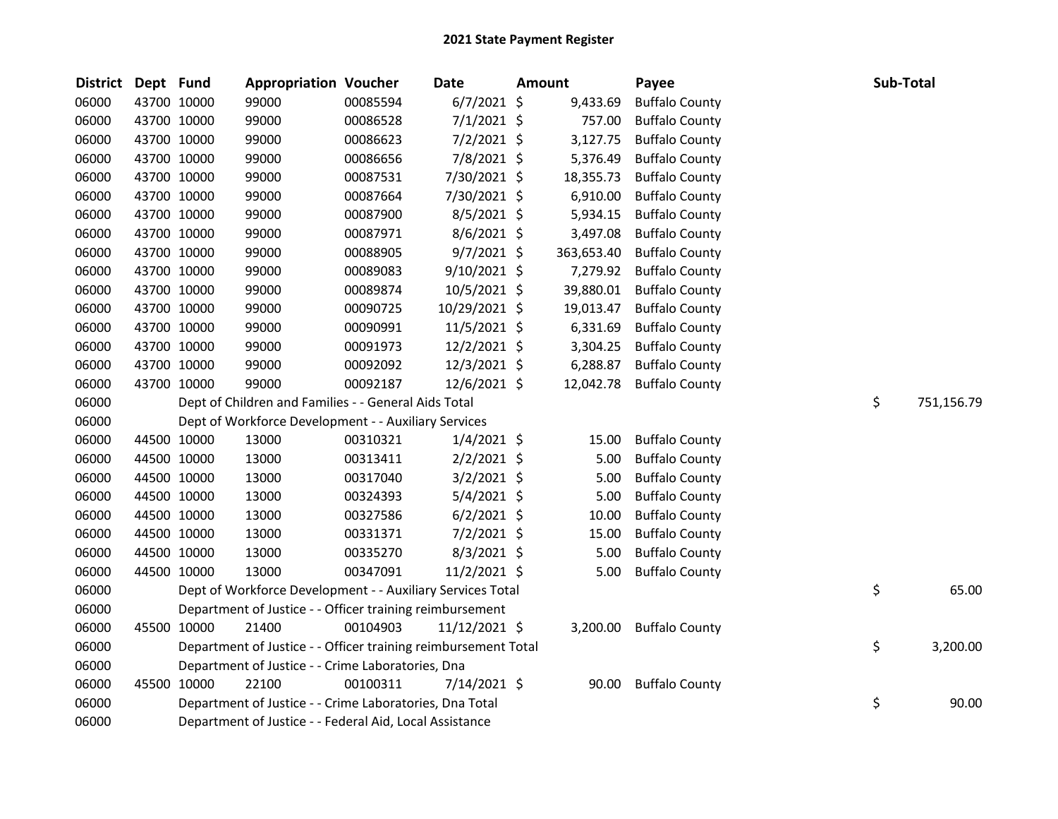| <b>District</b> | Dept Fund |             | <b>Appropriation Voucher</b>                                   |          | Date           | <b>Amount</b> |            | Payee                 | Sub-Total |            |
|-----------------|-----------|-------------|----------------------------------------------------------------|----------|----------------|---------------|------------|-----------------------|-----------|------------|
| 06000           |           | 43700 10000 | 99000                                                          | 00085594 | $6/7/2021$ \$  |               | 9,433.69   | <b>Buffalo County</b> |           |            |
| 06000           |           | 43700 10000 | 99000                                                          | 00086528 | $7/1/2021$ \$  |               | 757.00     | <b>Buffalo County</b> |           |            |
| 06000           |           | 43700 10000 | 99000                                                          | 00086623 | $7/2/2021$ \$  |               | 3,127.75   | <b>Buffalo County</b> |           |            |
| 06000           |           | 43700 10000 | 99000                                                          | 00086656 | 7/8/2021 \$    |               | 5,376.49   | <b>Buffalo County</b> |           |            |
| 06000           |           | 43700 10000 | 99000                                                          | 00087531 | 7/30/2021 \$   |               | 18,355.73  | <b>Buffalo County</b> |           |            |
| 06000           |           | 43700 10000 | 99000                                                          | 00087664 | 7/30/2021 \$   |               | 6,910.00   | <b>Buffalo County</b> |           |            |
| 06000           |           | 43700 10000 | 99000                                                          | 00087900 | 8/5/2021 \$    |               | 5,934.15   | <b>Buffalo County</b> |           |            |
| 06000           |           | 43700 10000 | 99000                                                          | 00087971 | $8/6/2021$ \$  |               | 3,497.08   | <b>Buffalo County</b> |           |            |
| 06000           |           | 43700 10000 | 99000                                                          | 00088905 | $9/7/2021$ \$  |               | 363,653.40 | <b>Buffalo County</b> |           |            |
| 06000           |           | 43700 10000 | 99000                                                          | 00089083 | $9/10/2021$ \$ |               | 7,279.92   | <b>Buffalo County</b> |           |            |
| 06000           |           | 43700 10000 | 99000                                                          | 00089874 | 10/5/2021 \$   |               | 39,880.01  | <b>Buffalo County</b> |           |            |
| 06000           |           | 43700 10000 | 99000                                                          | 00090725 | 10/29/2021 \$  |               | 19,013.47  | <b>Buffalo County</b> |           |            |
| 06000           |           | 43700 10000 | 99000                                                          | 00090991 | 11/5/2021 \$   |               | 6,331.69   | <b>Buffalo County</b> |           |            |
| 06000           |           | 43700 10000 | 99000                                                          | 00091973 | 12/2/2021 \$   |               | 3,304.25   | <b>Buffalo County</b> |           |            |
| 06000           |           | 43700 10000 | 99000                                                          | 00092092 | 12/3/2021 \$   |               | 6,288.87   | <b>Buffalo County</b> |           |            |
| 06000           |           | 43700 10000 | 99000                                                          | 00092187 | 12/6/2021 \$   |               | 12,042.78  | <b>Buffalo County</b> |           |            |
| 06000           |           |             | Dept of Children and Families - - General Aids Total           |          |                |               |            |                       | \$        | 751,156.79 |
| 06000           |           |             | Dept of Workforce Development - - Auxiliary Services           |          |                |               |            |                       |           |            |
| 06000           |           | 44500 10000 | 13000                                                          | 00310321 | $1/4/2021$ \$  |               | 15.00      | <b>Buffalo County</b> |           |            |
| 06000           |           | 44500 10000 | 13000                                                          | 00313411 | $2/2/2021$ \$  |               | 5.00       | <b>Buffalo County</b> |           |            |
| 06000           |           | 44500 10000 | 13000                                                          | 00317040 | $3/2/2021$ \$  |               | 5.00       | <b>Buffalo County</b> |           |            |
| 06000           |           | 44500 10000 | 13000                                                          | 00324393 | $5/4/2021$ \$  |               | 5.00       | <b>Buffalo County</b> |           |            |
| 06000           |           | 44500 10000 | 13000                                                          | 00327586 | $6/2/2021$ \$  |               | 10.00      | <b>Buffalo County</b> |           |            |
| 06000           |           | 44500 10000 | 13000                                                          | 00331371 | $7/2/2021$ \$  |               | 15.00      | <b>Buffalo County</b> |           |            |
| 06000           |           | 44500 10000 | 13000                                                          | 00335270 | $8/3/2021$ \$  |               | 5.00       | <b>Buffalo County</b> |           |            |
| 06000           |           | 44500 10000 | 13000                                                          | 00347091 | $11/2/2021$ \$ |               | 5.00       | <b>Buffalo County</b> |           |            |
| 06000           |           |             | Dept of Workforce Development - - Auxiliary Services Total     |          |                |               |            |                       | \$        | 65.00      |
| 06000           |           |             | Department of Justice - - Officer training reimbursement       |          |                |               |            |                       |           |            |
| 06000           |           | 45500 10000 | 21400                                                          | 00104903 | 11/12/2021 \$  |               | 3,200.00   | <b>Buffalo County</b> |           |            |
| 06000           |           |             | Department of Justice - - Officer training reimbursement Total |          |                |               |            |                       | \$        | 3,200.00   |
| 06000           |           |             | Department of Justice - - Crime Laboratories, Dna              |          |                |               |            |                       |           |            |
| 06000           |           | 45500 10000 | 22100                                                          | 00100311 | 7/14/2021 \$   |               | 90.00      | <b>Buffalo County</b> |           |            |
| 06000           |           |             | Department of Justice - - Crime Laboratories, Dna Total        |          |                |               |            |                       | \$        | 90.00      |
| 06000           |           |             | Department of Justice - - Federal Aid, Local Assistance        |          |                |               |            |                       |           |            |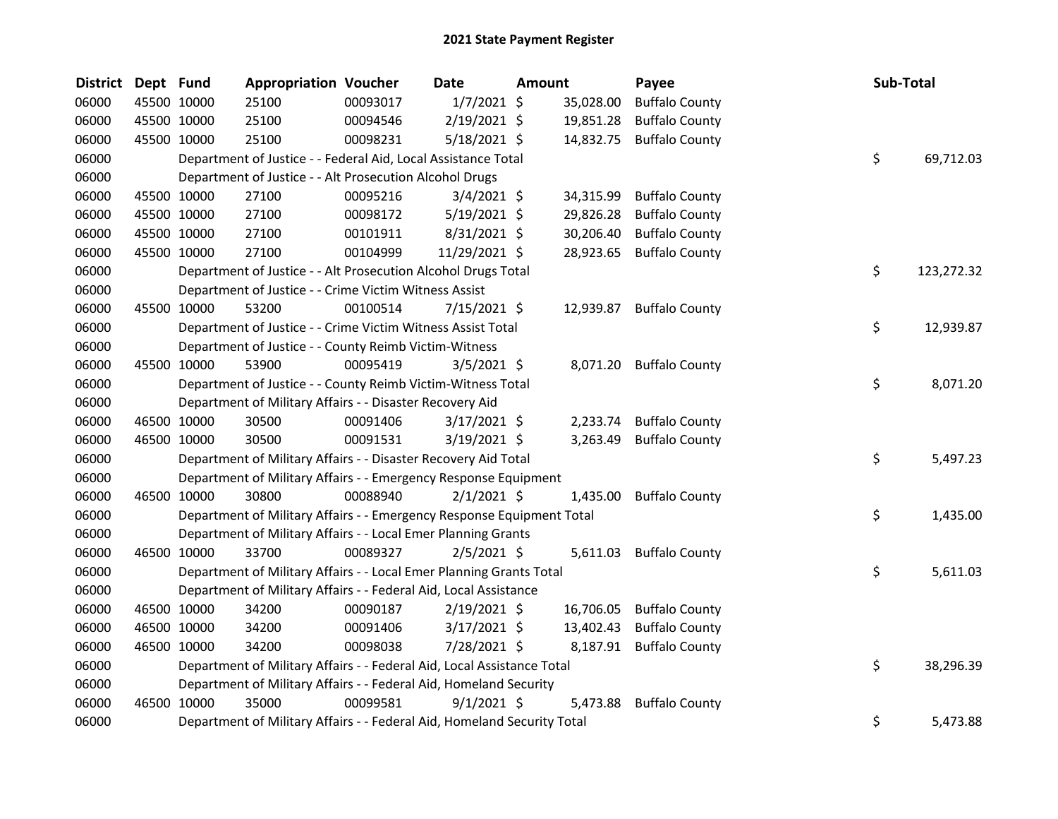| <b>District</b> | Dept Fund |             | <b>Appropriation Voucher</b>                                            |          | Date           | Amount |           | Payee                    | Sub-Total        |
|-----------------|-----------|-------------|-------------------------------------------------------------------------|----------|----------------|--------|-----------|--------------------------|------------------|
| 06000           |           | 45500 10000 | 25100                                                                   | 00093017 | $1/7/2021$ \$  |        | 35,028.00 | <b>Buffalo County</b>    |                  |
| 06000           |           | 45500 10000 | 25100                                                                   | 00094546 | 2/19/2021 \$   |        | 19,851.28 | <b>Buffalo County</b>    |                  |
| 06000           |           | 45500 10000 | 25100                                                                   | 00098231 | $5/18/2021$ \$ |        |           | 14,832.75 Buffalo County |                  |
| 06000           |           |             | Department of Justice - - Federal Aid, Local Assistance Total           |          |                |        |           |                          | \$<br>69,712.03  |
| 06000           |           |             | Department of Justice - - Alt Prosecution Alcohol Drugs                 |          |                |        |           |                          |                  |
| 06000           |           | 45500 10000 | 27100                                                                   | 00095216 | $3/4/2021$ \$  |        | 34,315.99 | <b>Buffalo County</b>    |                  |
| 06000           |           | 45500 10000 | 27100                                                                   | 00098172 | $5/19/2021$ \$ |        | 29,826.28 | <b>Buffalo County</b>    |                  |
| 06000           |           | 45500 10000 | 27100                                                                   | 00101911 | 8/31/2021 \$   |        | 30,206.40 | <b>Buffalo County</b>    |                  |
| 06000           |           | 45500 10000 | 27100                                                                   | 00104999 | 11/29/2021 \$  |        | 28,923.65 | <b>Buffalo County</b>    |                  |
| 06000           |           |             | Department of Justice - - Alt Prosecution Alcohol Drugs Total           |          |                |        |           |                          | \$<br>123,272.32 |
| 06000           |           |             | Department of Justice - - Crime Victim Witness Assist                   |          |                |        |           |                          |                  |
| 06000           |           | 45500 10000 | 53200                                                                   | 00100514 | 7/15/2021 \$   |        |           | 12,939.87 Buffalo County |                  |
| 06000           |           |             | Department of Justice - - Crime Victim Witness Assist Total             |          |                |        |           |                          | \$<br>12,939.87  |
| 06000           |           |             | Department of Justice - - County Reimb Victim-Witness                   |          |                |        |           |                          |                  |
| 06000           |           | 45500 10000 | 53900                                                                   | 00095419 | $3/5/2021$ \$  |        |           | 8,071.20 Buffalo County  |                  |
| 06000           |           |             | Department of Justice - - County Reimb Victim-Witness Total             |          |                |        |           |                          | \$<br>8,071.20   |
| 06000           |           |             | Department of Military Affairs - - Disaster Recovery Aid                |          |                |        |           |                          |                  |
| 06000           |           | 46500 10000 | 30500                                                                   | 00091406 | $3/17/2021$ \$ |        |           | 2,233.74 Buffalo County  |                  |
| 06000           |           | 46500 10000 | 30500                                                                   | 00091531 | $3/19/2021$ \$ |        | 3,263.49  | <b>Buffalo County</b>    |                  |
| 06000           |           |             | Department of Military Affairs - - Disaster Recovery Aid Total          |          |                |        |           |                          | \$<br>5,497.23   |
| 06000           |           |             | Department of Military Affairs - - Emergency Response Equipment         |          |                |        |           |                          |                  |
| 06000           |           | 46500 10000 | 30800                                                                   | 00088940 | $2/1/2021$ \$  |        | 1,435.00  | <b>Buffalo County</b>    |                  |
| 06000           |           |             | Department of Military Affairs - - Emergency Response Equipment Total   |          |                |        |           |                          | \$<br>1,435.00   |
| 06000           |           |             | Department of Military Affairs - - Local Emer Planning Grants           |          |                |        |           |                          |                  |
| 06000           |           | 46500 10000 | 33700                                                                   | 00089327 | $2/5/2021$ \$  |        |           | 5,611.03 Buffalo County  |                  |
| 06000           |           |             | Department of Military Affairs - - Local Emer Planning Grants Total     |          |                |        |           |                          | \$<br>5,611.03   |
| 06000           |           |             | Department of Military Affairs - - Federal Aid, Local Assistance        |          |                |        |           |                          |                  |
| 06000           |           | 46500 10000 | 34200                                                                   | 00090187 | $2/19/2021$ \$ |        | 16,706.05 | <b>Buffalo County</b>    |                  |
| 06000           |           | 46500 10000 | 34200                                                                   | 00091406 | 3/17/2021 \$   |        | 13,402.43 | <b>Buffalo County</b>    |                  |
| 06000           |           | 46500 10000 | 34200                                                                   | 00098038 | 7/28/2021 \$   |        |           | 8,187.91 Buffalo County  |                  |
| 06000           |           |             | Department of Military Affairs - - Federal Aid, Local Assistance Total  |          |                |        |           |                          | \$<br>38,296.39  |
| 06000           |           |             | Department of Military Affairs - - Federal Aid, Homeland Security       |          |                |        |           |                          |                  |
| 06000           |           | 46500 10000 | 35000                                                                   | 00099581 | $9/1/2021$ \$  |        | 5,473.88  | <b>Buffalo County</b>    |                  |
| 06000           |           |             | Department of Military Affairs - - Federal Aid, Homeland Security Total |          |                |        |           |                          | \$<br>5,473.88   |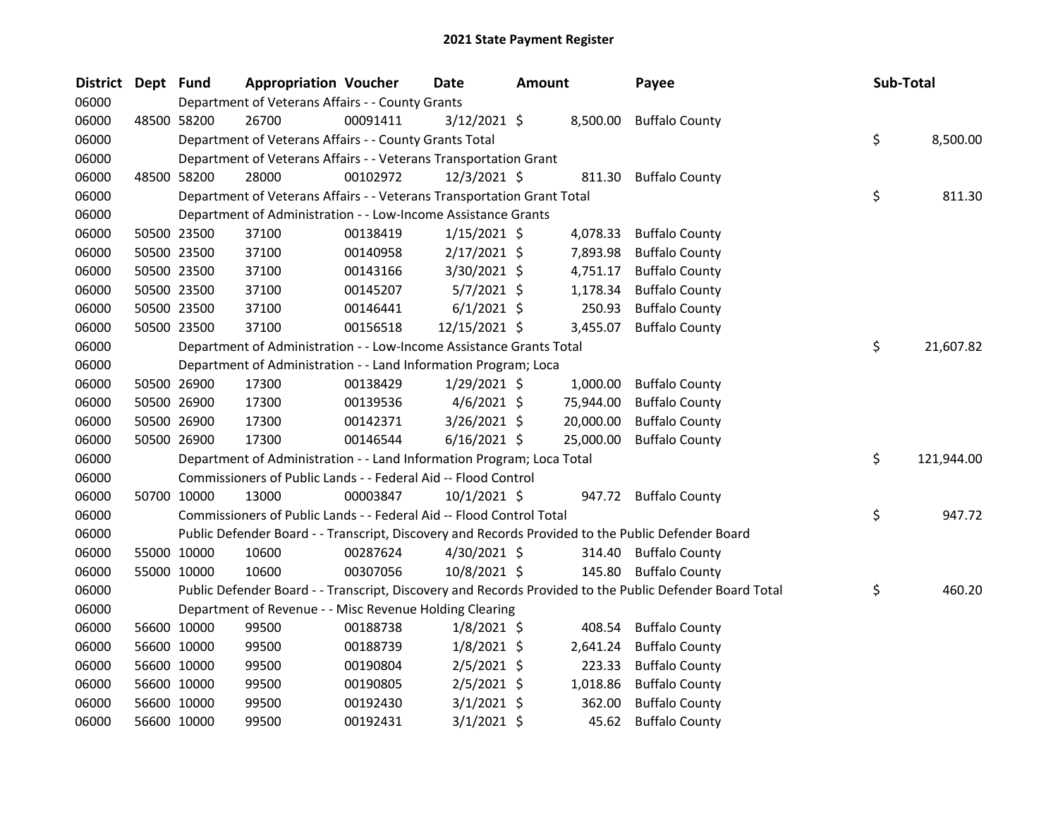| District Dept Fund |             | <b>Appropriation Voucher</b>                                           |          | Date           | <b>Amount</b> |           | Payee                                                                                                   | Sub-Total        |
|--------------------|-------------|------------------------------------------------------------------------|----------|----------------|---------------|-----------|---------------------------------------------------------------------------------------------------------|------------------|
| 06000              |             | Department of Veterans Affairs - - County Grants                       |          |                |               |           |                                                                                                         |                  |
| 06000              | 48500 58200 | 26700                                                                  | 00091411 | $3/12/2021$ \$ |               | 8,500.00  | <b>Buffalo County</b>                                                                                   |                  |
| 06000              |             | Department of Veterans Affairs - - County Grants Total                 |          |                |               |           |                                                                                                         | \$<br>8,500.00   |
| 06000              |             | Department of Veterans Affairs - - Veterans Transportation Grant       |          |                |               |           |                                                                                                         |                  |
| 06000              | 48500 58200 | 28000                                                                  | 00102972 | 12/3/2021 \$   |               | 811.30    | <b>Buffalo County</b>                                                                                   |                  |
| 06000              |             | Department of Veterans Affairs - - Veterans Transportation Grant Total |          |                |               |           |                                                                                                         | \$<br>811.30     |
| 06000              |             | Department of Administration - - Low-Income Assistance Grants          |          |                |               |           |                                                                                                         |                  |
| 06000              | 50500 23500 | 37100                                                                  | 00138419 | $1/15/2021$ \$ |               | 4,078.33  | <b>Buffalo County</b>                                                                                   |                  |
| 06000              | 50500 23500 | 37100                                                                  | 00140958 | $2/17/2021$ \$ |               | 7,893.98  | <b>Buffalo County</b>                                                                                   |                  |
| 06000              | 50500 23500 | 37100                                                                  | 00143166 | 3/30/2021 \$   |               | 4,751.17  | <b>Buffalo County</b>                                                                                   |                  |
| 06000              | 50500 23500 | 37100                                                                  | 00145207 | $5/7/2021$ \$  |               | 1,178.34  | <b>Buffalo County</b>                                                                                   |                  |
| 06000              | 50500 23500 | 37100                                                                  | 00146441 | $6/1/2021$ \$  |               | 250.93    | <b>Buffalo County</b>                                                                                   |                  |
| 06000              | 50500 23500 | 37100                                                                  | 00156518 | 12/15/2021 \$  |               | 3,455.07  | <b>Buffalo County</b>                                                                                   |                  |
| 06000              |             | Department of Administration - - Low-Income Assistance Grants Total    |          |                |               |           |                                                                                                         | \$<br>21,607.82  |
| 06000              |             | Department of Administration - - Land Information Program; Loca        |          |                |               |           |                                                                                                         |                  |
| 06000              | 50500 26900 | 17300                                                                  | 00138429 | $1/29/2021$ \$ |               | 1,000.00  | <b>Buffalo County</b>                                                                                   |                  |
| 06000              | 50500 26900 | 17300                                                                  | 00139536 | $4/6/2021$ \$  |               | 75,944.00 | <b>Buffalo County</b>                                                                                   |                  |
| 06000              | 50500 26900 | 17300                                                                  | 00142371 | 3/26/2021 \$   |               | 20,000.00 | <b>Buffalo County</b>                                                                                   |                  |
| 06000              | 50500 26900 | 17300                                                                  | 00146544 | $6/16/2021$ \$ |               | 25,000.00 | <b>Buffalo County</b>                                                                                   |                  |
| 06000              |             | Department of Administration - - Land Information Program; Loca Total  |          |                |               |           |                                                                                                         | \$<br>121,944.00 |
| 06000              |             | Commissioners of Public Lands - - Federal Aid -- Flood Control         |          |                |               |           |                                                                                                         |                  |
| 06000              | 50700 10000 | 13000                                                                  | 00003847 | $10/1/2021$ \$ |               | 947.72    | <b>Buffalo County</b>                                                                                   |                  |
| 06000              |             | Commissioners of Public Lands - - Federal Aid -- Flood Control Total   |          |                |               |           |                                                                                                         | \$<br>947.72     |
| 06000              |             |                                                                        |          |                |               |           | Public Defender Board - - Transcript, Discovery and Records Provided to the Public Defender Board       |                  |
| 06000              | 55000 10000 | 10600                                                                  | 00287624 | 4/30/2021 \$   |               | 314.40    | <b>Buffalo County</b>                                                                                   |                  |
| 06000              | 55000 10000 | 10600                                                                  | 00307056 | 10/8/2021 \$   |               | 145.80    | <b>Buffalo County</b>                                                                                   |                  |
| 06000              |             |                                                                        |          |                |               |           | Public Defender Board - - Transcript, Discovery and Records Provided to the Public Defender Board Total | \$<br>460.20     |
| 06000              |             | Department of Revenue - - Misc Revenue Holding Clearing                |          |                |               |           |                                                                                                         |                  |
| 06000              | 56600 10000 | 99500                                                                  | 00188738 | $1/8/2021$ \$  |               | 408.54    | <b>Buffalo County</b>                                                                                   |                  |
| 06000              | 56600 10000 | 99500                                                                  | 00188739 | $1/8/2021$ \$  |               | 2,641.24  | <b>Buffalo County</b>                                                                                   |                  |
| 06000              | 56600 10000 | 99500                                                                  | 00190804 | $2/5/2021$ \$  |               | 223.33    | <b>Buffalo County</b>                                                                                   |                  |
| 06000              | 56600 10000 | 99500                                                                  | 00190805 | $2/5/2021$ \$  |               | 1,018.86  | <b>Buffalo County</b>                                                                                   |                  |
| 06000              | 56600 10000 | 99500                                                                  | 00192430 | $3/1/2021$ \$  |               | 362.00    | <b>Buffalo County</b>                                                                                   |                  |
| 06000              | 56600 10000 | 99500                                                                  | 00192431 | $3/1/2021$ \$  |               | 45.62     | <b>Buffalo County</b>                                                                                   |                  |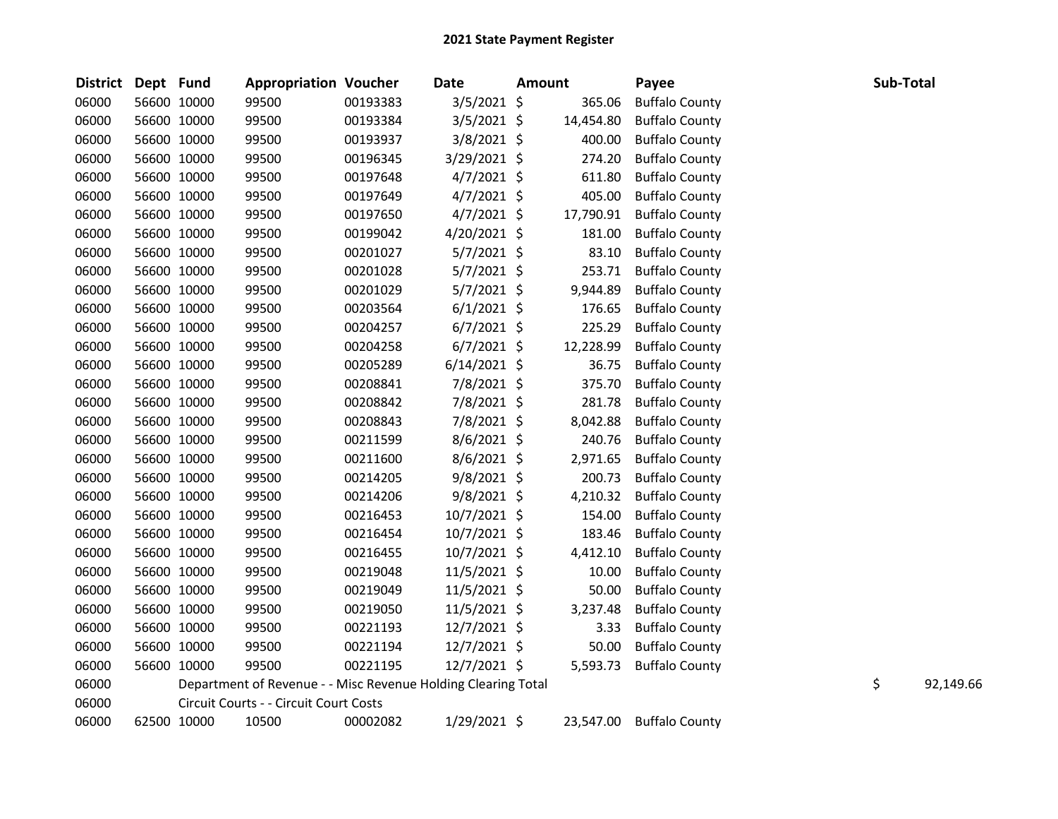| <b>District</b> | Dept Fund |             | <b>Appropriation Voucher</b>                                  |          | <b>Date</b>    | <b>Amount</b> |           | Payee                 | Sub-Total |           |
|-----------------|-----------|-------------|---------------------------------------------------------------|----------|----------------|---------------|-----------|-----------------------|-----------|-----------|
| 06000           |           | 56600 10000 | 99500                                                         | 00193383 | 3/5/2021 \$    |               | 365.06    | <b>Buffalo County</b> |           |           |
| 06000           |           | 56600 10000 | 99500                                                         | 00193384 | $3/5/2021$ \$  |               | 14,454.80 | <b>Buffalo County</b> |           |           |
| 06000           |           | 56600 10000 | 99500                                                         | 00193937 | 3/8/2021 \$    |               | 400.00    | <b>Buffalo County</b> |           |           |
| 06000           |           | 56600 10000 | 99500                                                         | 00196345 | 3/29/2021 \$   |               | 274.20    | <b>Buffalo County</b> |           |           |
| 06000           |           | 56600 10000 | 99500                                                         | 00197648 | $4/7/2021$ \$  |               | 611.80    | <b>Buffalo County</b> |           |           |
| 06000           |           | 56600 10000 | 99500                                                         | 00197649 | $4/7/2021$ \$  |               | 405.00    | <b>Buffalo County</b> |           |           |
| 06000           |           | 56600 10000 | 99500                                                         | 00197650 | $4/7/2021$ \$  |               | 17,790.91 | <b>Buffalo County</b> |           |           |
| 06000           |           | 56600 10000 | 99500                                                         | 00199042 | $4/20/2021$ \$ |               | 181.00    | <b>Buffalo County</b> |           |           |
| 06000           |           | 56600 10000 | 99500                                                         | 00201027 | $5/7/2021$ \$  |               | 83.10     | <b>Buffalo County</b> |           |           |
| 06000           |           | 56600 10000 | 99500                                                         | 00201028 | $5/7/2021$ \$  |               | 253.71    | <b>Buffalo County</b> |           |           |
| 06000           |           | 56600 10000 | 99500                                                         | 00201029 | $5/7/2021$ \$  |               | 9,944.89  | <b>Buffalo County</b> |           |           |
| 06000           |           | 56600 10000 | 99500                                                         | 00203564 | $6/1/2021$ \$  |               | 176.65    | <b>Buffalo County</b> |           |           |
| 06000           |           | 56600 10000 | 99500                                                         | 00204257 | $6/7/2021$ \$  |               | 225.29    | <b>Buffalo County</b> |           |           |
| 06000           |           | 56600 10000 | 99500                                                         | 00204258 | $6/7/2021$ \$  |               | 12,228.99 | <b>Buffalo County</b> |           |           |
| 06000           |           | 56600 10000 | 99500                                                         | 00205289 | $6/14/2021$ \$ |               | 36.75     | <b>Buffalo County</b> |           |           |
| 06000           |           | 56600 10000 | 99500                                                         | 00208841 | 7/8/2021 \$    |               | 375.70    | <b>Buffalo County</b> |           |           |
| 06000           |           | 56600 10000 | 99500                                                         | 00208842 | 7/8/2021 \$    |               | 281.78    | <b>Buffalo County</b> |           |           |
| 06000           |           | 56600 10000 | 99500                                                         | 00208843 | 7/8/2021 \$    |               | 8,042.88  | <b>Buffalo County</b> |           |           |
| 06000           |           | 56600 10000 | 99500                                                         | 00211599 | 8/6/2021 \$    |               | 240.76    | <b>Buffalo County</b> |           |           |
| 06000           |           | 56600 10000 | 99500                                                         | 00211600 | $8/6/2021$ \$  |               | 2,971.65  | <b>Buffalo County</b> |           |           |
| 06000           |           | 56600 10000 | 99500                                                         | 00214205 | $9/8/2021$ \$  |               | 200.73    | <b>Buffalo County</b> |           |           |
| 06000           |           | 56600 10000 | 99500                                                         | 00214206 | $9/8/2021$ \$  |               | 4,210.32  | <b>Buffalo County</b> |           |           |
| 06000           |           | 56600 10000 | 99500                                                         | 00216453 | 10/7/2021 \$   |               | 154.00    | <b>Buffalo County</b> |           |           |
| 06000           |           | 56600 10000 | 99500                                                         | 00216454 | $10/7/2021$ \$ |               | 183.46    | <b>Buffalo County</b> |           |           |
| 06000           |           | 56600 10000 | 99500                                                         | 00216455 | 10/7/2021 \$   |               | 4,412.10  | <b>Buffalo County</b> |           |           |
| 06000           |           | 56600 10000 | 99500                                                         | 00219048 | 11/5/2021 \$   |               | 10.00     | <b>Buffalo County</b> |           |           |
| 06000           |           | 56600 10000 | 99500                                                         | 00219049 | 11/5/2021 \$   |               | 50.00     | <b>Buffalo County</b> |           |           |
| 06000           |           | 56600 10000 | 99500                                                         | 00219050 | 11/5/2021 \$   |               | 3,237.48  | <b>Buffalo County</b> |           |           |
| 06000           |           | 56600 10000 | 99500                                                         | 00221193 | 12/7/2021 \$   |               | 3.33      | <b>Buffalo County</b> |           |           |
| 06000           |           | 56600 10000 | 99500                                                         | 00221194 | 12/7/2021 \$   |               | 50.00     | <b>Buffalo County</b> |           |           |
| 06000           |           | 56600 10000 | 99500                                                         | 00221195 | $12/7/2021$ \$ |               | 5,593.73  | <b>Buffalo County</b> |           |           |
| 06000           |           |             | Department of Revenue - - Misc Revenue Holding Clearing Total |          |                |               |           |                       | \$        | 92,149.66 |
| 06000           |           |             | Circuit Courts - - Circuit Court Costs                        |          |                |               |           |                       |           |           |
| 06000           |           | 62500 10000 | 10500                                                         | 00002082 | $1/29/2021$ \$ |               | 23,547.00 | <b>Buffalo County</b> |           |           |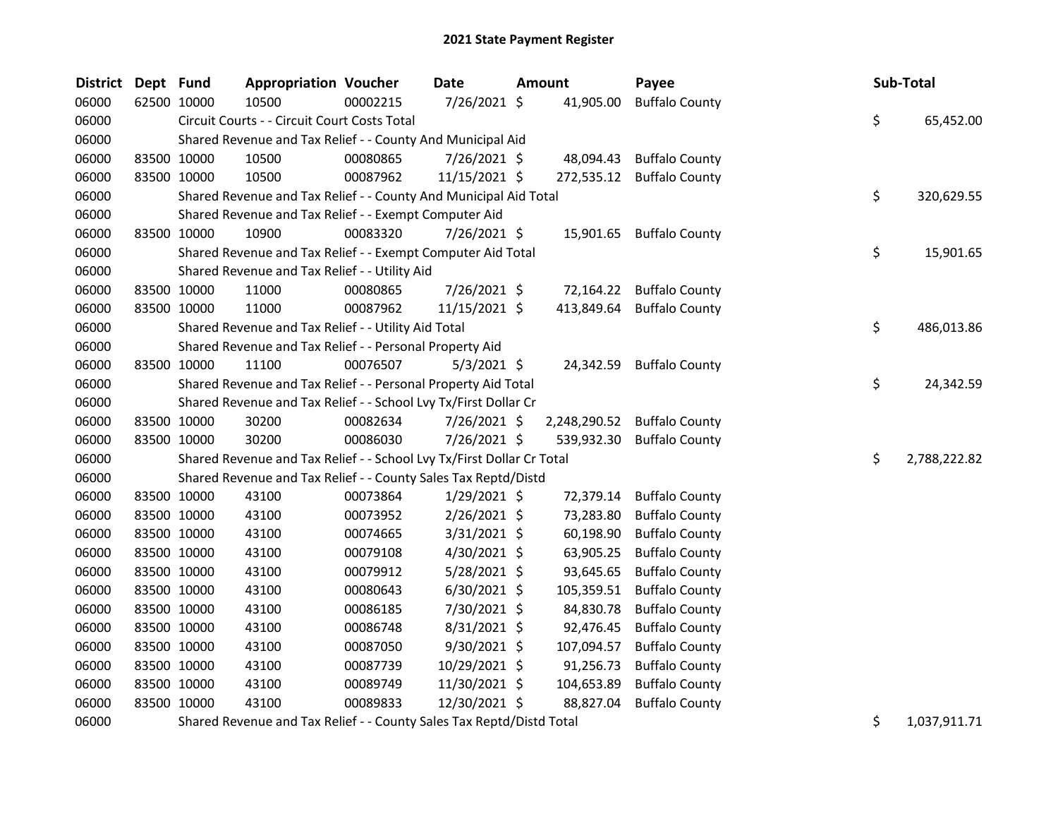| District Dept Fund |             | <b>Appropriation Voucher</b>                                          |          | Date           | Amount |            | Payee                       | Sub-Total |              |
|--------------------|-------------|-----------------------------------------------------------------------|----------|----------------|--------|------------|-----------------------------|-----------|--------------|
| 06000              | 62500 10000 | 10500                                                                 | 00002215 | 7/26/2021 \$   |        | 41,905.00  | <b>Buffalo County</b>       |           |              |
| 06000              |             | Circuit Courts - - Circuit Court Costs Total                          |          |                |        |            |                             | \$        | 65,452.00    |
| 06000              |             | Shared Revenue and Tax Relief - - County And Municipal Aid            |          |                |        |            |                             |           |              |
| 06000              | 83500 10000 | 10500                                                                 | 00080865 | 7/26/2021 \$   |        | 48,094.43  | <b>Buffalo County</b>       |           |              |
| 06000              | 83500 10000 | 10500                                                                 | 00087962 | 11/15/2021 \$  |        | 272,535.12 | <b>Buffalo County</b>       |           |              |
| 06000              |             | Shared Revenue and Tax Relief - - County And Municipal Aid Total      |          |                |        |            |                             | \$        | 320,629.55   |
| 06000              |             | Shared Revenue and Tax Relief - - Exempt Computer Aid                 |          |                |        |            |                             |           |              |
| 06000              | 83500 10000 | 10900                                                                 | 00083320 | 7/26/2021 \$   |        |            | 15,901.65 Buffalo County    |           |              |
| 06000              |             | Shared Revenue and Tax Relief - - Exempt Computer Aid Total           |          |                |        |            |                             | \$        | 15,901.65    |
| 06000              |             | Shared Revenue and Tax Relief - - Utility Aid                         |          |                |        |            |                             |           |              |
| 06000              | 83500 10000 | 11000                                                                 | 00080865 | 7/26/2021 \$   |        |            | 72,164.22 Buffalo County    |           |              |
| 06000              | 83500 10000 | 11000                                                                 | 00087962 | 11/15/2021 \$  |        | 413,849.64 | <b>Buffalo County</b>       |           |              |
| 06000              |             | Shared Revenue and Tax Relief - - Utility Aid Total                   |          |                |        |            |                             | \$        | 486,013.86   |
| 06000              |             | Shared Revenue and Tax Relief - - Personal Property Aid               |          |                |        |            |                             |           |              |
| 06000              | 83500 10000 | 11100                                                                 | 00076507 | $5/3/2021$ \$  |        |            | 24,342.59 Buffalo County    |           |              |
| 06000              |             | Shared Revenue and Tax Relief - - Personal Property Aid Total         |          |                |        |            |                             | \$        | 24,342.59    |
| 06000              |             | Shared Revenue and Tax Relief - - School Lvy Tx/First Dollar Cr       |          |                |        |            |                             |           |              |
| 06000              | 83500 10000 | 30200                                                                 | 00082634 | 7/26/2021 \$   |        |            | 2,248,290.52 Buffalo County |           |              |
| 06000              | 83500 10000 | 30200                                                                 | 00086030 | 7/26/2021 \$   |        | 539,932.30 | <b>Buffalo County</b>       |           |              |
| 06000              |             | Shared Revenue and Tax Relief - - School Lvy Tx/First Dollar Cr Total |          |                |        |            |                             | \$        | 2,788,222.82 |
| 06000              |             | Shared Revenue and Tax Relief - - County Sales Tax Reptd/Distd        |          |                |        |            |                             |           |              |
| 06000              | 83500 10000 | 43100                                                                 | 00073864 | $1/29/2021$ \$ |        | 72,379.14  | <b>Buffalo County</b>       |           |              |
| 06000              | 83500 10000 | 43100                                                                 | 00073952 | 2/26/2021 \$   |        | 73,283.80  | <b>Buffalo County</b>       |           |              |
| 06000              | 83500 10000 | 43100                                                                 | 00074665 | 3/31/2021 \$   |        | 60,198.90  | <b>Buffalo County</b>       |           |              |
| 06000              | 83500 10000 | 43100                                                                 | 00079108 | 4/30/2021 \$   |        | 63,905.25  | <b>Buffalo County</b>       |           |              |
| 06000              | 83500 10000 | 43100                                                                 | 00079912 | 5/28/2021 \$   |        | 93,645.65  | <b>Buffalo County</b>       |           |              |
| 06000              | 83500 10000 | 43100                                                                 | 00080643 | $6/30/2021$ \$ |        | 105,359.51 | <b>Buffalo County</b>       |           |              |
| 06000              | 83500 10000 | 43100                                                                 | 00086185 | 7/30/2021 \$   |        | 84,830.78  | <b>Buffalo County</b>       |           |              |
| 06000              | 83500 10000 | 43100                                                                 | 00086748 | 8/31/2021 \$   |        | 92,476.45  | <b>Buffalo County</b>       |           |              |
| 06000              | 83500 10000 | 43100                                                                 | 00087050 | 9/30/2021 \$   |        | 107,094.57 | <b>Buffalo County</b>       |           |              |
| 06000              | 83500 10000 | 43100                                                                 | 00087739 | 10/29/2021 \$  |        | 91,256.73  | <b>Buffalo County</b>       |           |              |
| 06000              | 83500 10000 | 43100                                                                 | 00089749 | 11/30/2021 \$  |        | 104,653.89 | <b>Buffalo County</b>       |           |              |
| 06000              | 83500 10000 | 43100                                                                 | 00089833 | 12/30/2021 \$  |        | 88,827.04  | <b>Buffalo County</b>       |           |              |
| 06000              |             | Shared Revenue and Tax Relief - - County Sales Tax Reptd/Distd Total  |          |                |        |            |                             | \$        | 1,037,911.71 |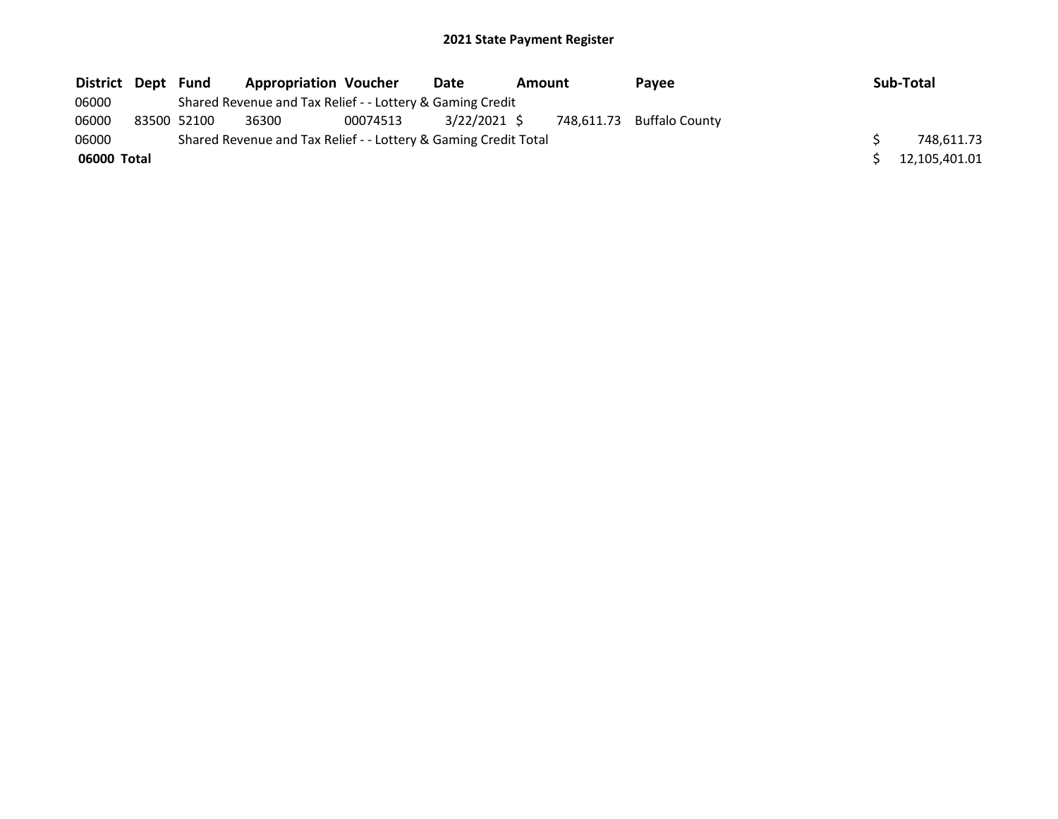| District Dept | Fund                                                      | <b>Appropriation Voucher</b>                                    |          | Date         | Amount |  | Payee                     |  | Sub-Total     |
|---------------|-----------------------------------------------------------|-----------------------------------------------------------------|----------|--------------|--------|--|---------------------------|--|---------------|
| 06000         | Shared Revenue and Tax Relief - - Lottery & Gaming Credit |                                                                 |          |              |        |  |                           |  |               |
| 06000         | 83500 52100                                               | 36300                                                           | 00074513 | 3/22/2021 \$ |        |  | 748,611.73 Buffalo County |  |               |
| 06000         |                                                           | Shared Revenue and Tax Relief - - Lottery & Gaming Credit Total |          |              |        |  |                           |  | 748,611.73    |
| 06000 Total   |                                                           |                                                                 |          |              |        |  |                           |  | 12,105,401.01 |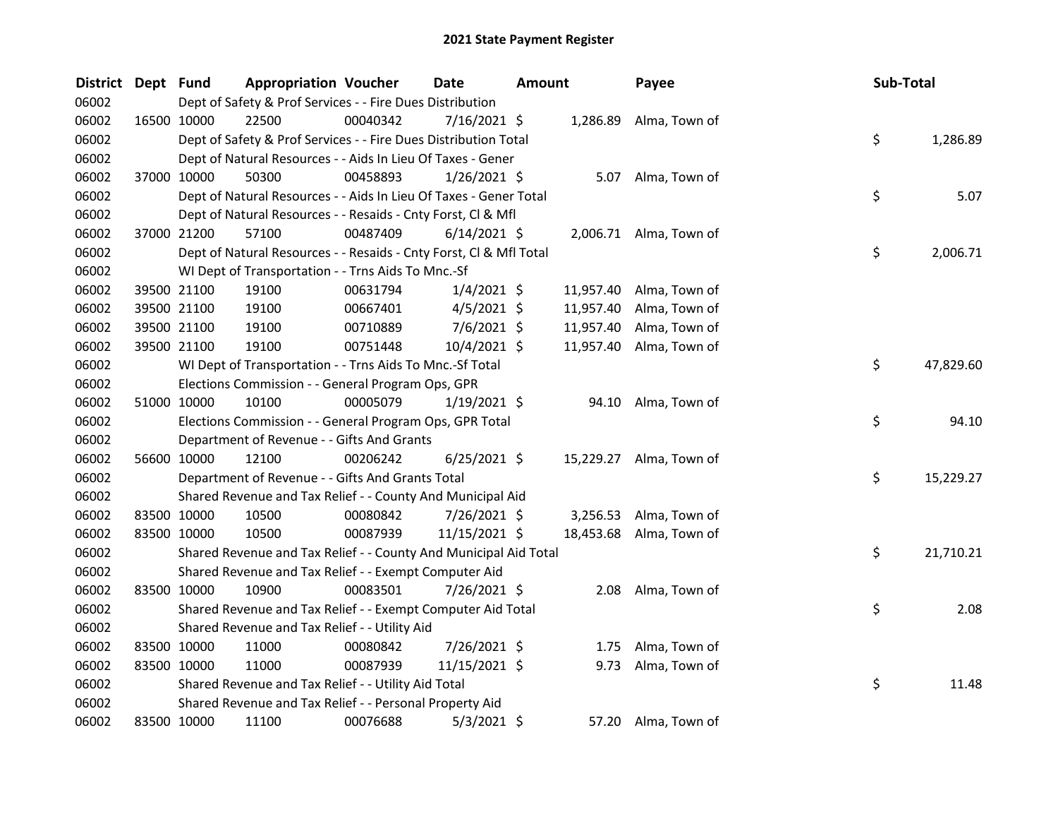| <b>District</b> | Dept Fund |             | <b>Appropriation Voucher</b>                                       |          | <b>Date</b>    | <b>Amount</b> |           | Payee                   | Sub-Total |           |
|-----------------|-----------|-------------|--------------------------------------------------------------------|----------|----------------|---------------|-----------|-------------------------|-----------|-----------|
| 06002           |           |             | Dept of Safety & Prof Services - - Fire Dues Distribution          |          |                |               |           |                         |           |           |
| 06002           |           | 16500 10000 | 22500                                                              | 00040342 | 7/16/2021 \$   |               |           | 1,286.89 Alma, Town of  |           |           |
| 06002           |           |             | Dept of Safety & Prof Services - - Fire Dues Distribution Total    |          |                |               |           |                         | \$        | 1,286.89  |
| 06002           |           |             | Dept of Natural Resources - - Aids In Lieu Of Taxes - Gener        |          |                |               |           |                         |           |           |
| 06002           |           | 37000 10000 | 50300                                                              | 00458893 | $1/26/2021$ \$ |               |           | 5.07 Alma, Town of      |           |           |
| 06002           |           |             | Dept of Natural Resources - - Aids In Lieu Of Taxes - Gener Total  |          |                |               |           |                         | \$        | 5.07      |
| 06002           |           |             | Dept of Natural Resources - - Resaids - Cnty Forst, Cl & Mfl       |          |                |               |           |                         |           |           |
| 06002           |           | 37000 21200 | 57100                                                              | 00487409 | $6/14/2021$ \$ |               |           | 2,006.71 Alma, Town of  |           |           |
| 06002           |           |             | Dept of Natural Resources - - Resaids - Cnty Forst, CI & Mfl Total |          |                |               |           |                         | \$        | 2,006.71  |
| 06002           |           |             | WI Dept of Transportation - - Trns Aids To Mnc.-Sf                 |          |                |               |           |                         |           |           |
| 06002           |           | 39500 21100 | 19100                                                              | 00631794 | $1/4/2021$ \$  |               | 11,957.40 | Alma, Town of           |           |           |
| 06002           |           | 39500 21100 | 19100                                                              | 00667401 | $4/5/2021$ \$  |               | 11,957.40 | Alma, Town of           |           |           |
| 06002           |           | 39500 21100 | 19100                                                              | 00710889 | 7/6/2021 \$    |               | 11,957.40 | Alma, Town of           |           |           |
| 06002           |           | 39500 21100 | 19100                                                              | 00751448 | 10/4/2021 \$   |               | 11,957.40 | Alma, Town of           |           |           |
| 06002           |           |             | WI Dept of Transportation - - Trns Aids To Mnc.-Sf Total           |          |                |               |           |                         | \$        | 47,829.60 |
| 06002           |           |             | Elections Commission - - General Program Ops, GPR                  |          |                |               |           |                         |           |           |
| 06002           |           | 51000 10000 | 10100                                                              | 00005079 | $1/19/2021$ \$ |               |           | 94.10 Alma, Town of     |           |           |
| 06002           |           |             | Elections Commission - - General Program Ops, GPR Total            |          |                |               |           |                         | \$        | 94.10     |
| 06002           |           |             | Department of Revenue - - Gifts And Grants                         |          |                |               |           |                         |           |           |
| 06002           |           | 56600 10000 | 12100                                                              | 00206242 | $6/25/2021$ \$ |               |           | 15,229.27 Alma, Town of |           |           |
| 06002           |           |             | Department of Revenue - - Gifts And Grants Total                   |          |                |               |           |                         | \$        | 15,229.27 |
| 06002           |           |             | Shared Revenue and Tax Relief - - County And Municipal Aid         |          |                |               |           |                         |           |           |
| 06002           |           | 83500 10000 | 10500                                                              | 00080842 | 7/26/2021 \$   |               | 3,256.53  | Alma, Town of           |           |           |
| 06002           |           | 83500 10000 | 10500                                                              | 00087939 | 11/15/2021 \$  |               | 18,453.68 | Alma, Town of           |           |           |
| 06002           |           |             | Shared Revenue and Tax Relief - - County And Municipal Aid Total   |          |                |               |           |                         | \$        | 21,710.21 |
| 06002           |           |             | Shared Revenue and Tax Relief - - Exempt Computer Aid              |          |                |               |           |                         |           |           |
| 06002           |           | 83500 10000 | 10900                                                              | 00083501 | 7/26/2021 \$   |               | 2.08      | Alma, Town of           |           |           |
| 06002           |           |             | Shared Revenue and Tax Relief - - Exempt Computer Aid Total        |          |                |               |           |                         | \$        | 2.08      |
| 06002           |           |             | Shared Revenue and Tax Relief - - Utility Aid                      |          |                |               |           |                         |           |           |
| 06002           |           | 83500 10000 | 11000                                                              | 00080842 | 7/26/2021 \$   |               |           | 1.75 Alma, Town of      |           |           |
| 06002           |           | 83500 10000 | 11000                                                              | 00087939 | 11/15/2021 \$  |               | 9.73      | Alma, Town of           |           |           |
| 06002           |           |             | Shared Revenue and Tax Relief - - Utility Aid Total                |          |                |               |           |                         | \$        | 11.48     |
| 06002           |           |             | Shared Revenue and Tax Relief - - Personal Property Aid            |          |                |               |           |                         |           |           |
| 06002           |           | 83500 10000 | 11100                                                              | 00076688 | $5/3/2021$ \$  |               |           | 57.20 Alma, Town of     |           |           |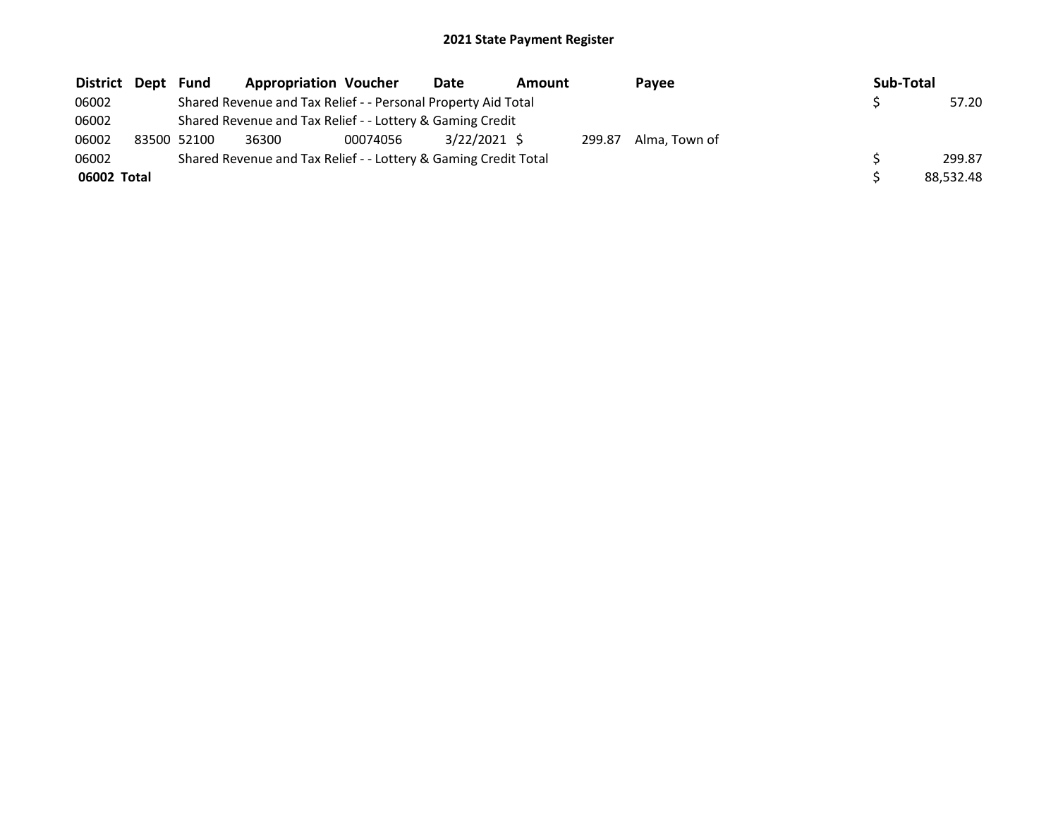| District Dept | Fund        | <b>Appropriation Voucher</b>                                    |          | Date         | <b>Amount</b> |        | <b>Pavee</b>  |  | Sub-Total |           |  |
|---------------|-------------|-----------------------------------------------------------------|----------|--------------|---------------|--------|---------------|--|-----------|-----------|--|
| 06002         |             | Shared Revenue and Tax Relief - - Personal Property Aid Total   |          |              |               |        |               |  |           | 57.20     |  |
| 06002         |             | Shared Revenue and Tax Relief - - Lottery & Gaming Credit       |          |              |               |        |               |  |           |           |  |
| 06002         | 83500 52100 | 36300                                                           | 00074056 | 3/22/2021 \$ |               | 299.87 | Alma, Town of |  |           |           |  |
| 06002         |             | Shared Revenue and Tax Relief - - Lottery & Gaming Credit Total |          |              |               |        |               |  |           | 299.87    |  |
| 06002 Total   |             |                                                                 |          |              |               |        |               |  |           | 88.532.48 |  |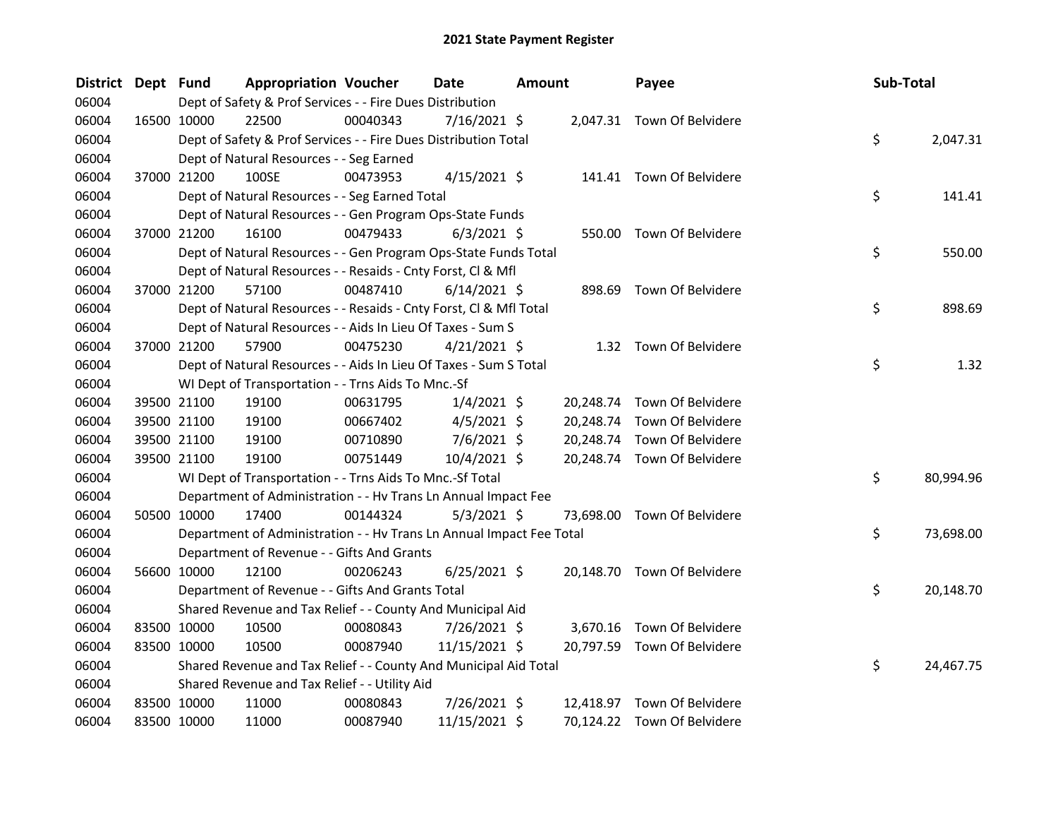| <b>District</b> | Dept Fund |             | <b>Appropriation Voucher</b>                                         |          | Date           | <b>Amount</b> |           | Payee                       | Sub-Total |           |
|-----------------|-----------|-------------|----------------------------------------------------------------------|----------|----------------|---------------|-----------|-----------------------------|-----------|-----------|
| 06004           |           |             | Dept of Safety & Prof Services - - Fire Dues Distribution            |          |                |               |           |                             |           |           |
| 06004           |           | 16500 10000 | 22500                                                                | 00040343 | 7/16/2021 \$   |               |           | 2,047.31 Town Of Belvidere  |           |           |
| 06004           |           |             | Dept of Safety & Prof Services - - Fire Dues Distribution Total      |          |                |               |           |                             | \$        | 2,047.31  |
| 06004           |           |             | Dept of Natural Resources - - Seg Earned                             |          |                |               |           |                             |           |           |
| 06004           |           | 37000 21200 | 100SE                                                                | 00473953 | $4/15/2021$ \$ |               |           | 141.41 Town Of Belvidere    |           |           |
| 06004           |           |             | Dept of Natural Resources - - Seg Earned Total                       |          |                |               |           |                             | \$        | 141.41    |
| 06004           |           |             | Dept of Natural Resources - - Gen Program Ops-State Funds            |          |                |               |           |                             |           |           |
| 06004           |           | 37000 21200 | 16100                                                                | 00479433 | $6/3/2021$ \$  |               |           | 550.00 Town Of Belvidere    |           |           |
| 06004           |           |             | Dept of Natural Resources - - Gen Program Ops-State Funds Total      |          |                |               |           |                             | \$        | 550.00    |
| 06004           |           |             | Dept of Natural Resources - - Resaids - Cnty Forst, Cl & Mfl         |          |                |               |           |                             |           |           |
| 06004           |           | 37000 21200 | 57100                                                                | 00487410 | $6/14/2021$ \$ |               |           | 898.69 Town Of Belvidere    |           |           |
| 06004           |           |             | Dept of Natural Resources - - Resaids - Cnty Forst, Cl & Mfl Total   |          |                |               |           |                             | \$        | 898.69    |
| 06004           |           |             | Dept of Natural Resources - - Aids In Lieu Of Taxes - Sum S          |          |                |               |           |                             |           |           |
| 06004           |           | 37000 21200 | 57900                                                                | 00475230 | $4/21/2021$ \$ |               |           | 1.32 Town Of Belvidere      |           |           |
| 06004           |           |             | Dept of Natural Resources - - Aids In Lieu Of Taxes - Sum S Total    |          |                |               |           |                             | \$        | 1.32      |
| 06004           |           |             | WI Dept of Transportation - - Trns Aids To Mnc.-Sf                   |          |                |               |           |                             |           |           |
| 06004           |           | 39500 21100 | 19100                                                                | 00631795 | $1/4/2021$ \$  |               |           | 20,248.74 Town Of Belvidere |           |           |
| 06004           |           | 39500 21100 | 19100                                                                | 00667402 | $4/5/2021$ \$  |               | 20,248.74 | Town Of Belvidere           |           |           |
| 06004           |           | 39500 21100 | 19100                                                                | 00710890 | $7/6/2021$ \$  |               | 20,248.74 | Town Of Belvidere           |           |           |
| 06004           |           | 39500 21100 | 19100                                                                | 00751449 | 10/4/2021 \$   |               |           | 20,248.74 Town Of Belvidere |           |           |
| 06004           |           |             | WI Dept of Transportation - - Trns Aids To Mnc.-Sf Total             |          |                |               |           |                             | \$        | 80,994.96 |
| 06004           |           |             | Department of Administration - - Hv Trans Ln Annual Impact Fee       |          |                |               |           |                             |           |           |
| 06004           |           | 50500 10000 | 17400                                                                | 00144324 | $5/3/2021$ \$  |               |           | 73,698.00 Town Of Belvidere |           |           |
| 06004           |           |             | Department of Administration - - Hv Trans Ln Annual Impact Fee Total |          |                |               |           |                             | \$        | 73,698.00 |
| 06004           |           |             | Department of Revenue - - Gifts And Grants                           |          |                |               |           |                             |           |           |
| 06004           |           | 56600 10000 | 12100                                                                | 00206243 | $6/25/2021$ \$ |               |           | 20,148.70 Town Of Belvidere |           |           |
| 06004           |           |             | Department of Revenue - - Gifts And Grants Total                     |          |                |               |           |                             | \$.       | 20,148.70 |
| 06004           |           |             | Shared Revenue and Tax Relief - - County And Municipal Aid           |          |                |               |           |                             |           |           |
| 06004           |           | 83500 10000 | 10500                                                                | 00080843 | 7/26/2021 \$   |               |           | 3,670.16 Town Of Belvidere  |           |           |
| 06004           |           | 83500 10000 | 10500                                                                | 00087940 | 11/15/2021 \$  |               |           | 20,797.59 Town Of Belvidere |           |           |
| 06004           |           |             | Shared Revenue and Tax Relief - - County And Municipal Aid Total     |          |                |               |           |                             | \$        | 24,467.75 |
| 06004           |           |             | Shared Revenue and Tax Relief - - Utility Aid                        |          |                |               |           |                             |           |           |
| 06004           |           | 83500 10000 | 11000                                                                | 00080843 | 7/26/2021 \$   |               |           | 12,418.97 Town Of Belvidere |           |           |
| 06004           |           | 83500 10000 | 11000                                                                | 00087940 | 11/15/2021 \$  |               |           | 70,124.22 Town Of Belvidere |           |           |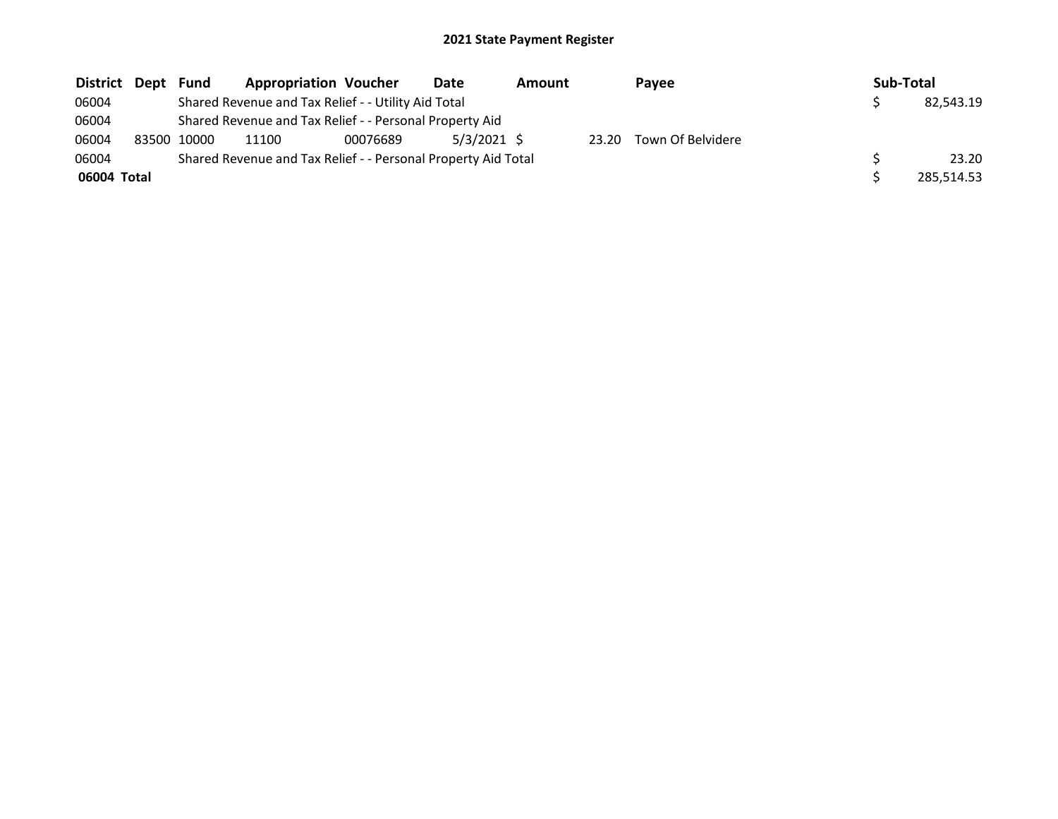| District Dept |  | Fund                                                          | <b>Appropriation Voucher</b>                            |          | Date          | <b>Amount</b> |       | Payee             |  | Sub-Total |            |
|---------------|--|---------------------------------------------------------------|---------------------------------------------------------|----------|---------------|---------------|-------|-------------------|--|-----------|------------|
| 06004         |  |                                                               | Shared Revenue and Tax Relief - - Utility Aid Total     |          |               |               |       |                   |  |           | 82,543.19  |
| 06004         |  |                                                               | Shared Revenue and Tax Relief - - Personal Property Aid |          |               |               |       |                   |  |           |            |
| 06004         |  | 83500 10000                                                   | 11100                                                   | 00076689 | $5/3/2021$ \$ |               | 23.20 | Town Of Belvidere |  |           |            |
| 06004         |  | Shared Revenue and Tax Relief - - Personal Property Aid Total |                                                         |          |               |               |       |                   |  | 23.20     |            |
| 06004 Total   |  |                                                               |                                                         |          |               |               |       |                   |  |           | 285.514.53 |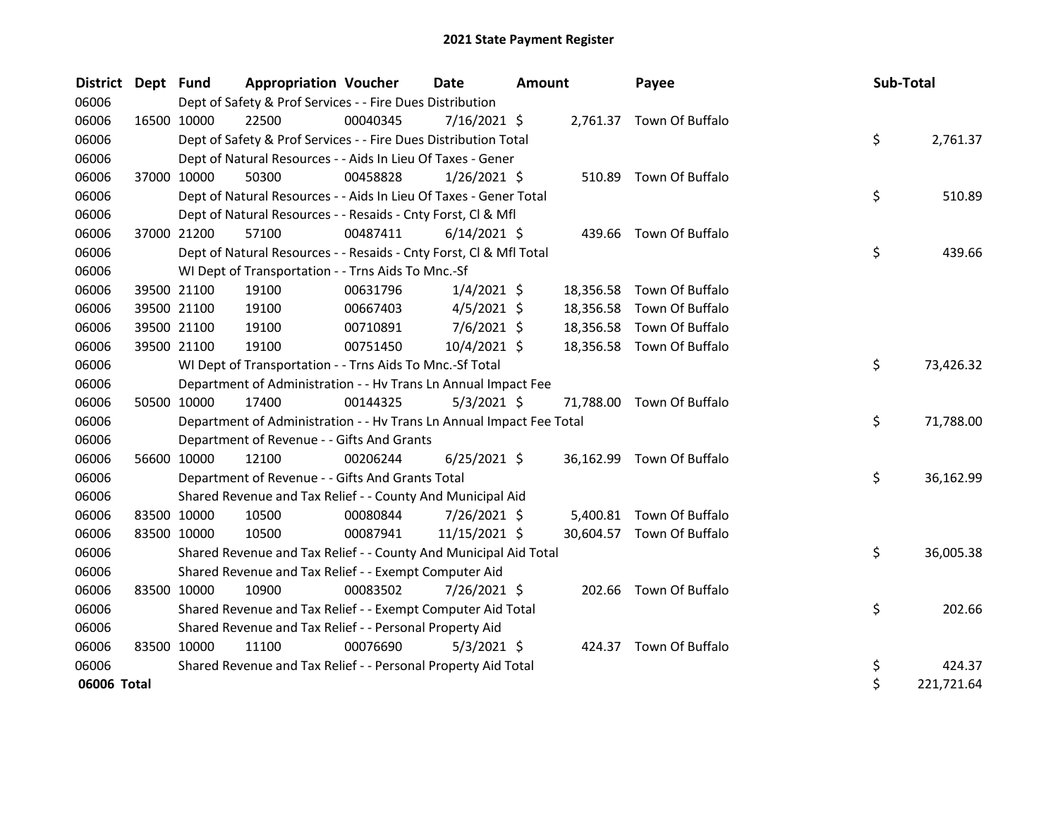| <b>District</b> | Dept Fund   |                                                                | <b>Appropriation Voucher</b>                                         |          | <b>Date</b>    | <b>Amount</b> |           | Payee                     | Sub-Total |            |
|-----------------|-------------|----------------------------------------------------------------|----------------------------------------------------------------------|----------|----------------|---------------|-----------|---------------------------|-----------|------------|
| 06006           |             |                                                                | Dept of Safety & Prof Services - - Fire Dues Distribution            |          |                |               |           |                           |           |            |
| 06006           |             | 16500 10000                                                    | 22500                                                                | 00040345 | $7/16/2021$ \$ |               |           | 2,761.37 Town Of Buffalo  |           |            |
| 06006           |             |                                                                | Dept of Safety & Prof Services - - Fire Dues Distribution Total      |          |                |               |           |                           | \$        | 2,761.37   |
| 06006           |             |                                                                | Dept of Natural Resources - - Aids In Lieu Of Taxes - Gener          |          |                |               |           |                           |           |            |
| 06006           |             | 37000 10000                                                    | 50300                                                                | 00458828 | 1/26/2021 \$   |               | 510.89    | Town Of Buffalo           |           |            |
| 06006           |             |                                                                | Dept of Natural Resources - - Aids In Lieu Of Taxes - Gener Total    |          |                |               |           |                           | \$        | 510.89     |
| 06006           |             |                                                                | Dept of Natural Resources - - Resaids - Cnty Forst, Cl & Mfl         |          |                |               |           |                           |           |            |
| 06006           |             | 37000 21200                                                    | 57100                                                                | 00487411 | $6/14/2021$ \$ |               |           | 439.66 Town Of Buffalo    |           |            |
| 06006           |             |                                                                | Dept of Natural Resources - - Resaids - Cnty Forst, Cl & Mfl Total   |          |                |               |           |                           | \$        | 439.66     |
| 06006           |             |                                                                | WI Dept of Transportation - - Trns Aids To Mnc.-Sf                   |          |                |               |           |                           |           |            |
| 06006           |             | 39500 21100                                                    | 19100                                                                | 00631796 | $1/4/2021$ \$  |               | 18,356.58 | Town Of Buffalo           |           |            |
| 06006           |             | 39500 21100                                                    | 19100                                                                | 00667403 | $4/5/2021$ \$  |               | 18,356.58 | Town Of Buffalo           |           |            |
| 06006           |             | 39500 21100                                                    | 19100                                                                | 00710891 | $7/6/2021$ \$  |               | 18,356.58 | Town Of Buffalo           |           |            |
| 06006           |             | 39500 21100                                                    | 19100                                                                | 00751450 | $10/4/2021$ \$ |               |           | 18,356.58 Town Of Buffalo |           |            |
| 06006           |             |                                                                | WI Dept of Transportation - - Trns Aids To Mnc.-Sf Total             |          |                |               |           |                           | \$        | 73,426.32  |
| 06006           |             | Department of Administration - - Hv Trans Ln Annual Impact Fee |                                                                      |          |                |               |           |                           |           |            |
| 06006           |             | 50500 10000                                                    | 17400                                                                | 00144325 | $5/3/2021$ \$  |               |           | 71,788.00 Town Of Buffalo |           |            |
| 06006           |             |                                                                | Department of Administration - - Hv Trans Ln Annual Impact Fee Total |          |                |               |           |                           | \$        | 71,788.00  |
| 06006           |             |                                                                | Department of Revenue - - Gifts And Grants                           |          |                |               |           |                           |           |            |
| 06006           |             | 56600 10000                                                    | 12100                                                                | 00206244 | $6/25/2021$ \$ |               |           | 36,162.99 Town Of Buffalo |           |            |
| 06006           |             |                                                                | Department of Revenue - - Gifts And Grants Total                     |          |                |               |           |                           | \$        | 36,162.99  |
| 06006           |             |                                                                | Shared Revenue and Tax Relief - - County And Municipal Aid           |          |                |               |           |                           |           |            |
| 06006           |             | 83500 10000                                                    | 10500                                                                | 00080844 | 7/26/2021 \$   |               |           | 5,400.81 Town Of Buffalo  |           |            |
| 06006           |             | 83500 10000                                                    | 10500                                                                | 00087941 | 11/15/2021 \$  |               |           | 30,604.57 Town Of Buffalo |           |            |
| 06006           |             |                                                                | Shared Revenue and Tax Relief - - County And Municipal Aid Total     |          |                |               |           |                           | \$        | 36,005.38  |
| 06006           |             |                                                                | Shared Revenue and Tax Relief - - Exempt Computer Aid                |          |                |               |           |                           |           |            |
| 06006           | 83500 10000 |                                                                | 10900                                                                | 00083502 | 7/26/2021 \$   |               | 202.66    | Town Of Buffalo           |           |            |
| 06006           |             |                                                                | Shared Revenue and Tax Relief - - Exempt Computer Aid Total          |          |                |               |           |                           | \$        | 202.66     |
| 06006           |             |                                                                | Shared Revenue and Tax Relief - - Personal Property Aid              |          |                |               |           |                           |           |            |
| 06006           | 83500 10000 |                                                                | 11100                                                                | 00076690 | $5/3/2021$ \$  |               |           | 424.37 Town Of Buffalo    |           |            |
| 06006           |             |                                                                | Shared Revenue and Tax Relief - - Personal Property Aid Total        |          |                |               |           |                           | \$        | 424.37     |
| 06006 Total     |             |                                                                |                                                                      |          |                |               |           |                           | \$        | 221,721.64 |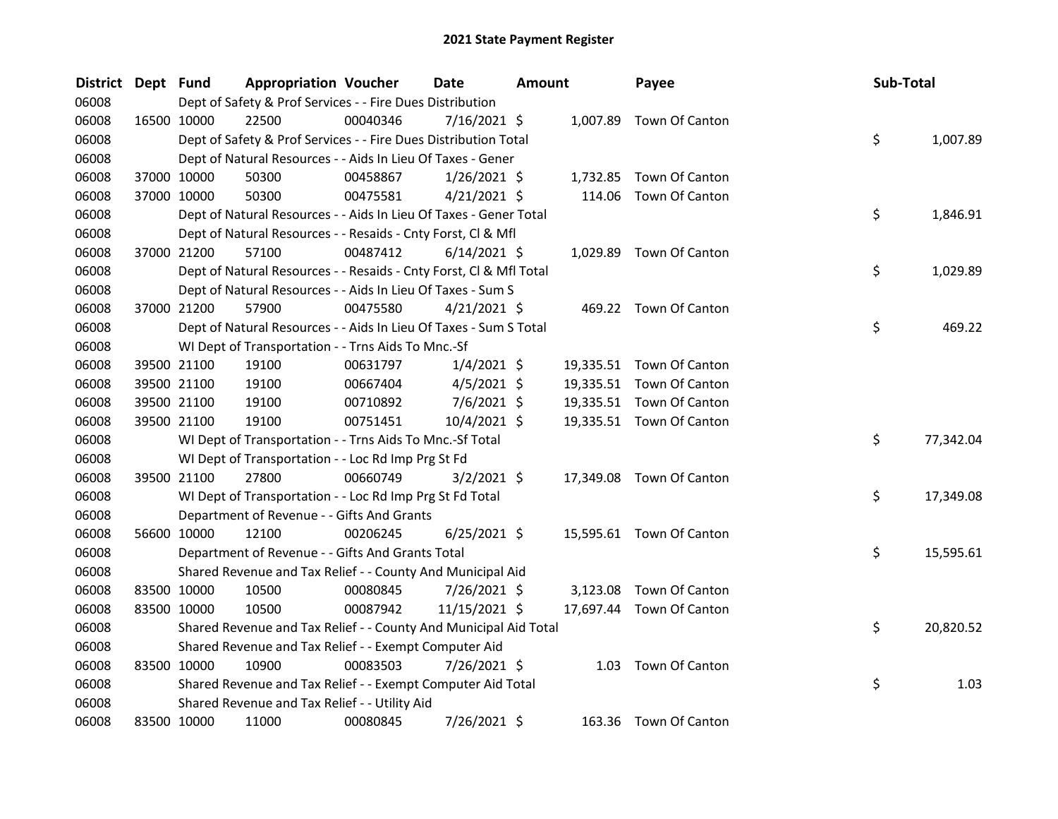| <b>District</b> | Dept Fund   |             | <b>Appropriation Voucher</b>                                       |          | Date           | <b>Amount</b> |           | Payee                    | Sub-Total |           |
|-----------------|-------------|-------------|--------------------------------------------------------------------|----------|----------------|---------------|-----------|--------------------------|-----------|-----------|
| 06008           |             |             | Dept of Safety & Prof Services - - Fire Dues Distribution          |          |                |               |           |                          |           |           |
| 06008           |             | 16500 10000 | 22500                                                              | 00040346 | 7/16/2021 \$   |               |           | 1,007.89 Town Of Canton  |           |           |
| 06008           |             |             | Dept of Safety & Prof Services - - Fire Dues Distribution Total    |          |                |               |           |                          | \$        | 1,007.89  |
| 06008           |             |             | Dept of Natural Resources - - Aids In Lieu Of Taxes - Gener        |          |                |               |           |                          |           |           |
| 06008           |             | 37000 10000 | 50300                                                              | 00458867 | $1/26/2021$ \$ |               |           | 1,732.85 Town Of Canton  |           |           |
| 06008           |             | 37000 10000 | 50300                                                              | 00475581 | $4/21/2021$ \$ |               | 114.06    | Town Of Canton           |           |           |
| 06008           |             |             | Dept of Natural Resources - - Aids In Lieu Of Taxes - Gener Total  |          |                |               |           |                          | \$        | 1,846.91  |
| 06008           |             |             | Dept of Natural Resources - - Resaids - Cnty Forst, Cl & Mfl       |          |                |               |           |                          |           |           |
| 06008           |             | 37000 21200 | 57100                                                              | 00487412 | $6/14/2021$ \$ |               |           | 1,029.89 Town Of Canton  |           |           |
| 06008           |             |             | Dept of Natural Resources - - Resaids - Cnty Forst, CI & Mfl Total |          |                |               |           |                          | \$        | 1,029.89  |
| 06008           |             |             | Dept of Natural Resources - - Aids In Lieu Of Taxes - Sum S        |          |                |               |           |                          |           |           |
| 06008           |             | 37000 21200 | 57900                                                              | 00475580 | $4/21/2021$ \$ |               |           | 469.22 Town Of Canton    |           |           |
| 06008           |             |             | Dept of Natural Resources - - Aids In Lieu Of Taxes - Sum S Total  |          |                |               |           |                          | \$        | 469.22    |
| 06008           |             |             | WI Dept of Transportation - - Trns Aids To Mnc.-Sf                 |          |                |               |           |                          |           |           |
| 06008           |             | 39500 21100 | 19100                                                              | 00631797 | $1/4/2021$ \$  |               |           | 19,335.51 Town Of Canton |           |           |
| 06008           |             | 39500 21100 | 19100                                                              | 00667404 | $4/5/2021$ \$  |               |           | 19,335.51 Town Of Canton |           |           |
| 06008           |             | 39500 21100 | 19100                                                              | 00710892 | 7/6/2021 \$    |               | 19,335.51 | Town Of Canton           |           |           |
| 06008           |             | 39500 21100 | 19100                                                              | 00751451 | 10/4/2021 \$   |               |           | 19,335.51 Town Of Canton |           |           |
| 06008           |             |             | WI Dept of Transportation - - Trns Aids To Mnc.-Sf Total           |          |                |               |           |                          | \$        | 77,342.04 |
| 06008           |             |             | WI Dept of Transportation - - Loc Rd Imp Prg St Fd                 |          |                |               |           |                          |           |           |
| 06008           |             | 39500 21100 | 27800                                                              | 00660749 | $3/2/2021$ \$  |               |           | 17,349.08 Town Of Canton |           |           |
| 06008           |             |             | WI Dept of Transportation - - Loc Rd Imp Prg St Fd Total           |          |                |               |           |                          | \$        | 17,349.08 |
| 06008           |             |             | Department of Revenue - - Gifts And Grants                         |          |                |               |           |                          |           |           |
| 06008           |             | 56600 10000 | 12100                                                              | 00206245 | $6/25/2021$ \$ |               |           | 15,595.61 Town Of Canton |           |           |
| 06008           |             |             | Department of Revenue - - Gifts And Grants Total                   |          |                |               |           |                          | \$        | 15,595.61 |
| 06008           |             |             | Shared Revenue and Tax Relief - - County And Municipal Aid         |          |                |               |           |                          |           |           |
| 06008           |             | 83500 10000 | 10500                                                              | 00080845 | 7/26/2021 \$   |               |           | 3,123.08 Town Of Canton  |           |           |
| 06008           |             | 83500 10000 | 10500                                                              | 00087942 | 11/15/2021 \$  |               | 17,697.44 | Town Of Canton           |           |           |
| 06008           |             |             | Shared Revenue and Tax Relief - - County And Municipal Aid Total   |          |                |               |           |                          | \$        | 20,820.52 |
| 06008           |             |             | Shared Revenue and Tax Relief - - Exempt Computer Aid              |          |                |               |           |                          |           |           |
| 06008           |             | 83500 10000 | 10900                                                              | 00083503 | 7/26/2021 \$   |               |           | 1.03 Town Of Canton      |           |           |
| 06008           |             |             | Shared Revenue and Tax Relief - - Exempt Computer Aid Total        |          |                |               |           |                          | \$        | 1.03      |
| 06008           |             |             | Shared Revenue and Tax Relief - - Utility Aid                      |          |                |               |           |                          |           |           |
| 06008           | 83500 10000 |             | 11000                                                              | 00080845 | 7/26/2021 \$   |               |           | 163.36 Town Of Canton    |           |           |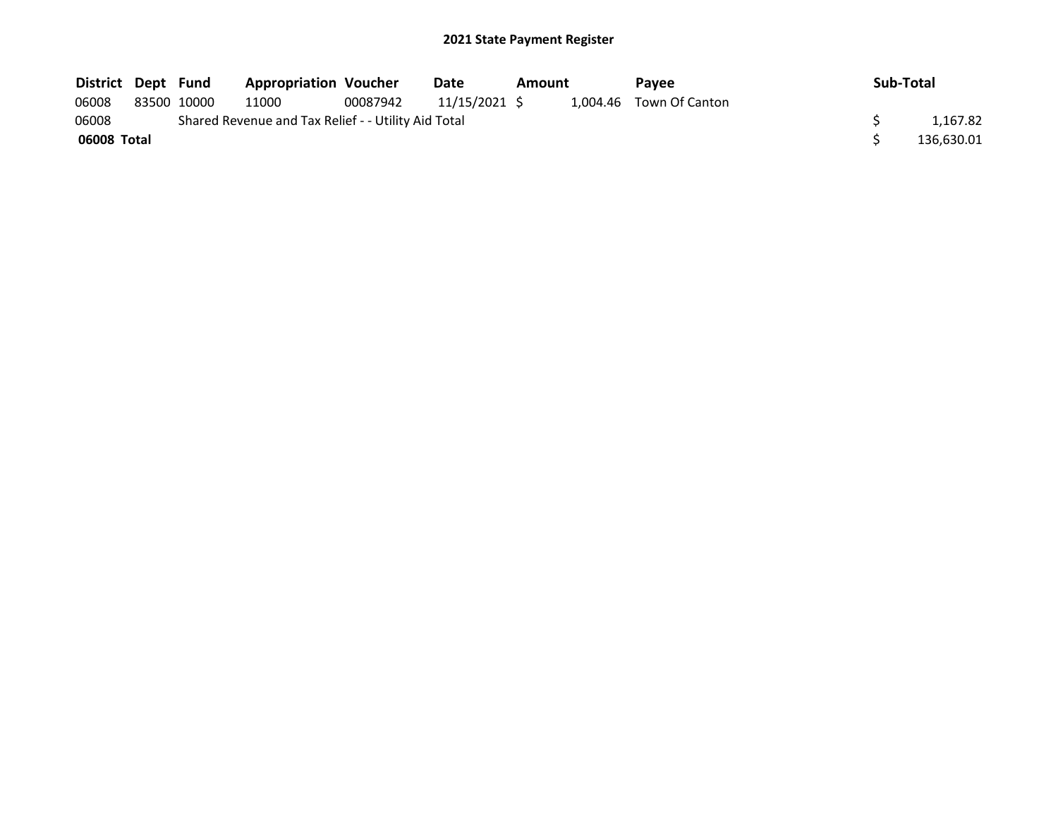| District Dept Fund |             | <b>Appropriation Voucher</b>                        |          | Date          | Amount | <b>Pavee</b>            | Sub-Total |            |
|--------------------|-------------|-----------------------------------------------------|----------|---------------|--------|-------------------------|-----------|------------|
| 06008              | 83500 10000 | 11000                                               | 00087942 | 11/15/2021 \$ |        | 1.004.46 Town Of Canton |           |            |
| 06008              |             | Shared Revenue and Tax Relief - - Utility Aid Total |          |               |        |                         |           | 1.167.82   |
| 06008 Total        |             |                                                     |          |               |        |                         |           | 136,630.01 |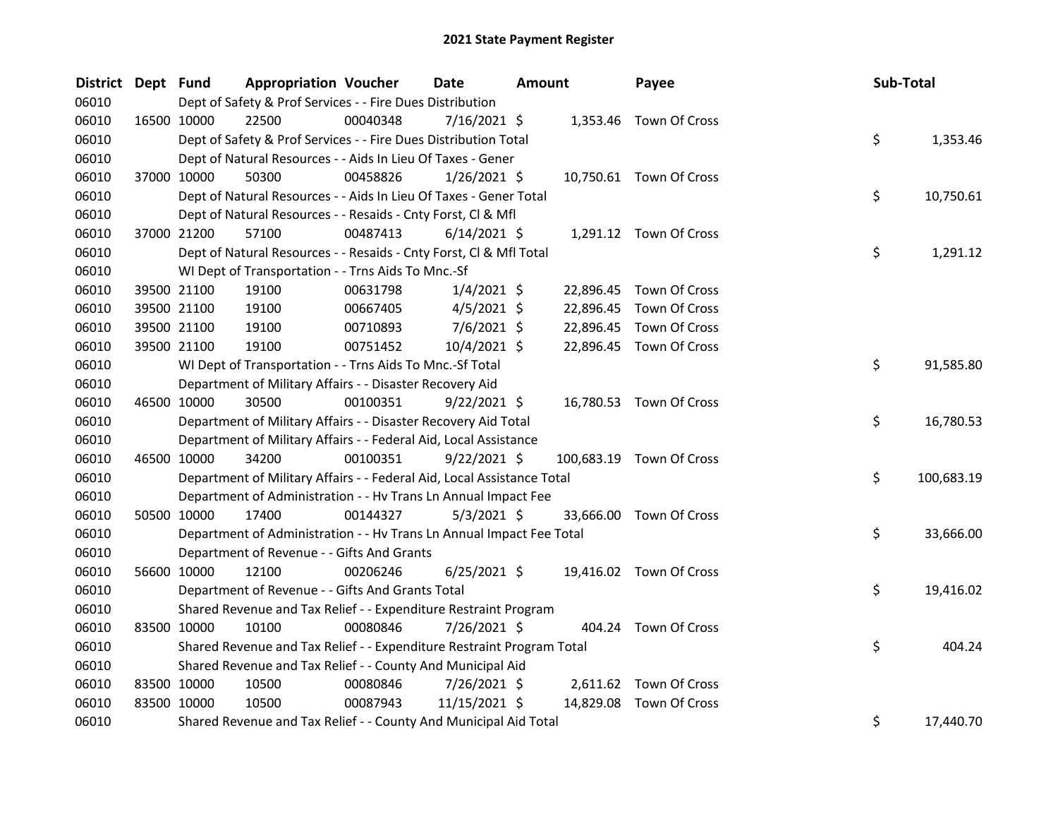| <b>District</b> | Dept Fund   |             | <b>Appropriation Voucher</b>                                           |          | Date           | <b>Amount</b> |           | Payee                    | Sub-Total |            |
|-----------------|-------------|-------------|------------------------------------------------------------------------|----------|----------------|---------------|-----------|--------------------------|-----------|------------|
| 06010           |             |             | Dept of Safety & Prof Services - - Fire Dues Distribution              |          |                |               |           |                          |           |            |
| 06010           |             | 16500 10000 | 22500                                                                  | 00040348 | 7/16/2021 \$   |               |           | 1,353.46 Town Of Cross   |           |            |
| 06010           |             |             | Dept of Safety & Prof Services - - Fire Dues Distribution Total        |          |                |               |           |                          | \$        | 1,353.46   |
| 06010           |             |             | Dept of Natural Resources - - Aids In Lieu Of Taxes - Gener            |          |                |               |           |                          |           |            |
| 06010           |             | 37000 10000 | 50300                                                                  | 00458826 | $1/26/2021$ \$ |               |           | 10,750.61 Town Of Cross  |           |            |
| 06010           |             |             | Dept of Natural Resources - - Aids In Lieu Of Taxes - Gener Total      |          |                |               |           |                          | \$        | 10,750.61  |
| 06010           |             |             | Dept of Natural Resources - - Resaids - Cnty Forst, Cl & Mfl           |          |                |               |           |                          |           |            |
| 06010           |             | 37000 21200 | 57100                                                                  | 00487413 | $6/14/2021$ \$ |               |           | 1,291.12 Town Of Cross   |           |            |
| 06010           |             |             | Dept of Natural Resources - - Resaids - Cnty Forst, CI & Mfl Total     |          |                |               |           |                          | \$        | 1,291.12   |
| 06010           |             |             | WI Dept of Transportation - - Trns Aids To Mnc.-Sf                     |          |                |               |           |                          |           |            |
| 06010           |             | 39500 21100 | 19100                                                                  | 00631798 | $1/4/2021$ \$  |               | 22,896.45 | <b>Town Of Cross</b>     |           |            |
| 06010           |             | 39500 21100 | 19100                                                                  | 00667405 | $4/5/2021$ \$  |               |           | 22,896.45 Town Of Cross  |           |            |
| 06010           |             | 39500 21100 | 19100                                                                  | 00710893 | 7/6/2021 \$    |               |           | 22,896.45 Town Of Cross  |           |            |
| 06010           |             | 39500 21100 | 19100                                                                  | 00751452 | 10/4/2021 \$   |               |           | 22,896.45 Town Of Cross  |           |            |
| 06010           |             |             | WI Dept of Transportation - - Trns Aids To Mnc.-Sf Total               |          |                |               |           |                          | \$        | 91,585.80  |
| 06010           |             |             | Department of Military Affairs - - Disaster Recovery Aid               |          |                |               |           |                          |           |            |
| 06010           |             | 46500 10000 | 30500                                                                  | 00100351 | $9/22/2021$ \$ |               |           | 16,780.53 Town Of Cross  |           |            |
| 06010           |             |             | Department of Military Affairs - - Disaster Recovery Aid Total         |          |                |               |           |                          | \$        | 16,780.53  |
| 06010           |             |             | Department of Military Affairs - - Federal Aid, Local Assistance       |          |                |               |           |                          |           |            |
| 06010           |             | 46500 10000 | 34200                                                                  | 00100351 | $9/22/2021$ \$ |               |           | 100,683.19 Town Of Cross |           |            |
| 06010           |             |             | Department of Military Affairs - - Federal Aid, Local Assistance Total |          |                |               |           |                          | \$        | 100,683.19 |
| 06010           |             |             | Department of Administration - - Hv Trans Ln Annual Impact Fee         |          |                |               |           |                          |           |            |
| 06010           |             | 50500 10000 | 17400                                                                  | 00144327 | $5/3/2021$ \$  |               |           | 33,666.00 Town Of Cross  |           |            |
| 06010           |             |             | Department of Administration - - Hv Trans Ln Annual Impact Fee Total   |          |                |               |           |                          | \$        | 33,666.00  |
| 06010           |             |             | Department of Revenue - - Gifts And Grants                             |          |                |               |           |                          |           |            |
| 06010           |             | 56600 10000 | 12100                                                                  | 00206246 | $6/25/2021$ \$ |               |           | 19,416.02 Town Of Cross  |           |            |
| 06010           |             |             | Department of Revenue - - Gifts And Grants Total                       |          |                |               |           |                          | \$        | 19,416.02  |
| 06010           |             |             | Shared Revenue and Tax Relief - - Expenditure Restraint Program        |          |                |               |           |                          |           |            |
| 06010           | 83500 10000 |             | 10100                                                                  | 00080846 | 7/26/2021 \$   |               |           | 404.24 Town Of Cross     |           |            |
| 06010           |             |             | Shared Revenue and Tax Relief - - Expenditure Restraint Program Total  |          |                |               |           |                          | \$        | 404.24     |
| 06010           |             |             | Shared Revenue and Tax Relief - - County And Municipal Aid             |          |                |               |           |                          |           |            |
| 06010           |             | 83500 10000 | 10500                                                                  | 00080846 | 7/26/2021 \$   |               |           | 2,611.62 Town Of Cross   |           |            |
| 06010           | 83500 10000 |             | 10500                                                                  | 00087943 | 11/15/2021 \$  |               | 14,829.08 | Town Of Cross            |           |            |
| 06010           |             |             | Shared Revenue and Tax Relief - - County And Municipal Aid Total       |          |                |               |           |                          | \$        | 17,440.70  |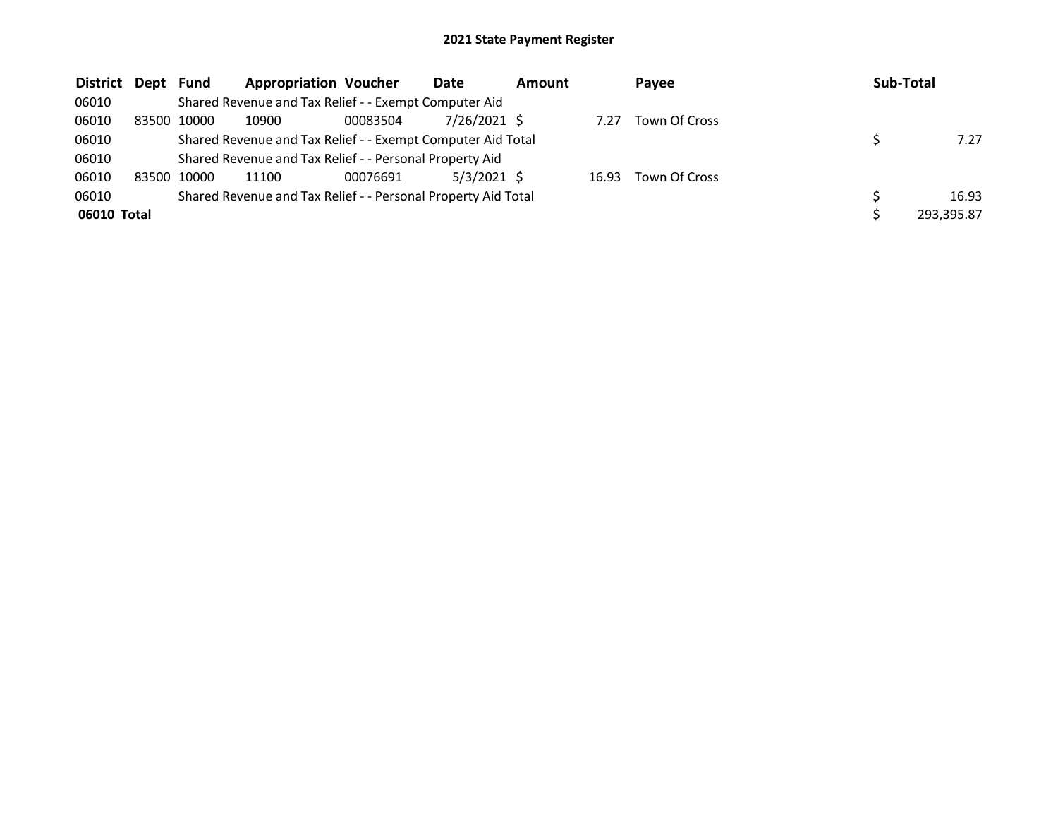| District Dept |       | Fund        | <b>Appropriation Voucher</b>                                  |          | Date           | <b>Amount</b> |       | Payee         | Sub-Total |            |
|---------------|-------|-------------|---------------------------------------------------------------|----------|----------------|---------------|-------|---------------|-----------|------------|
| 06010         |       |             | Shared Revenue and Tax Relief - - Exempt Computer Aid         |          |                |               |       |               |           |            |
| 06010         | 83500 | 10000       | 10900                                                         | 00083504 | $7/26/2021$ \$ |               | 7.27  | Town Of Cross |           |            |
| 06010         |       |             | Shared Revenue and Tax Relief - - Exempt Computer Aid Total   |          |                |               |       |               |           | 7.27       |
| 06010         |       |             | Shared Revenue and Tax Relief - - Personal Property Aid       |          |                |               |       |               |           |            |
| 06010         |       | 83500 10000 | 11100                                                         | 00076691 | $5/3/2021$ \$  |               | 16.93 | Town Of Cross |           |            |
| 06010         |       |             | Shared Revenue and Tax Relief - - Personal Property Aid Total |          |                |               |       |               |           | 16.93      |
| 06010 Total   |       |             |                                                               |          |                |               |       |               |           | 293.395.87 |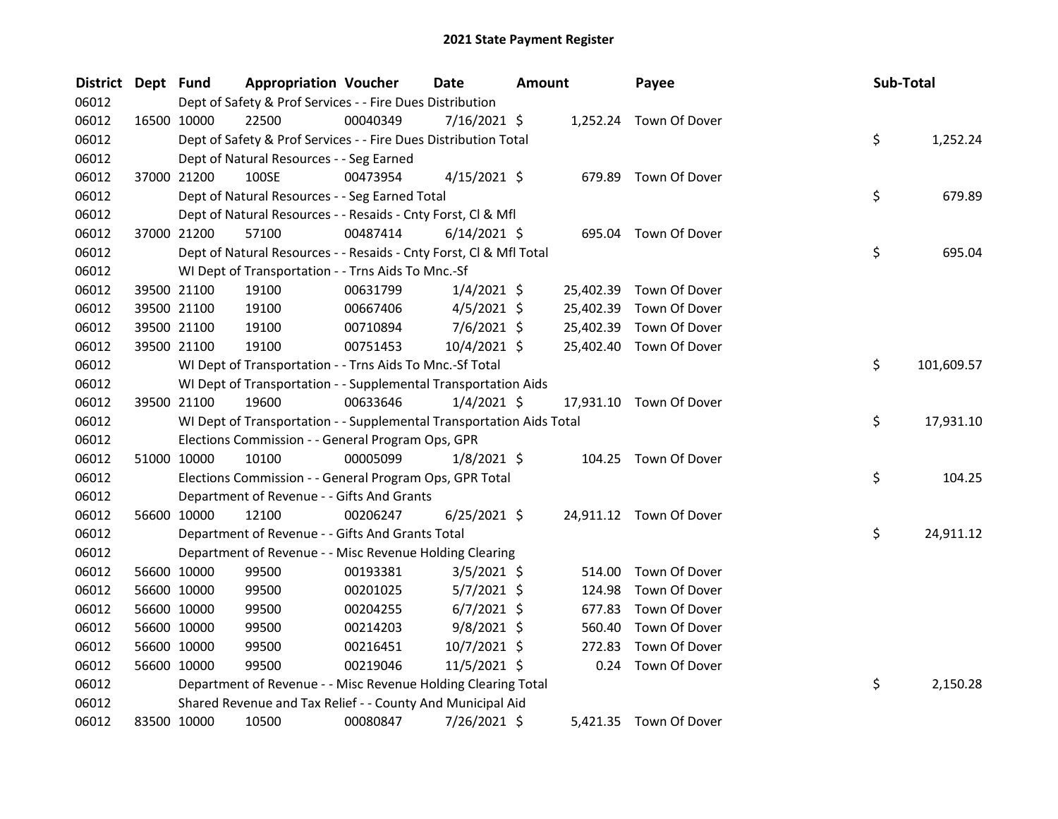| District Dept Fund |             | <b>Appropriation Voucher</b>                                         |          | <b>Date</b>    | <b>Amount</b> |           | Payee                   | Sub-Total |            |
|--------------------|-------------|----------------------------------------------------------------------|----------|----------------|---------------|-----------|-------------------------|-----------|------------|
| 06012              |             | Dept of Safety & Prof Services - - Fire Dues Distribution            |          |                |               |           |                         |           |            |
| 06012              | 16500 10000 | 22500                                                                | 00040349 | 7/16/2021 \$   |               |           | 1,252.24 Town Of Dover  |           |            |
| 06012              |             | Dept of Safety & Prof Services - - Fire Dues Distribution Total      |          |                |               |           |                         | \$        | 1,252.24   |
| 06012              |             | Dept of Natural Resources - - Seg Earned                             |          |                |               |           |                         |           |            |
| 06012              | 37000 21200 | 100SE                                                                | 00473954 | $4/15/2021$ \$ |               |           | 679.89 Town Of Dover    |           |            |
| 06012              |             | Dept of Natural Resources - - Seg Earned Total                       |          |                |               |           |                         | \$        | 679.89     |
| 06012              |             | Dept of Natural Resources - - Resaids - Cnty Forst, Cl & Mfl         |          |                |               |           |                         |           |            |
| 06012              | 37000 21200 | 57100                                                                | 00487414 | $6/14/2021$ \$ |               |           | 695.04 Town Of Dover    |           |            |
| 06012              |             | Dept of Natural Resources - - Resaids - Cnty Forst, CI & Mfl Total   |          |                |               |           |                         | \$        | 695.04     |
| 06012              |             | WI Dept of Transportation - - Trns Aids To Mnc.-Sf                   |          |                |               |           |                         |           |            |
| 06012              | 39500 21100 | 19100                                                                | 00631799 | $1/4/2021$ \$  |               | 25,402.39 | Town Of Dover           |           |            |
| 06012              | 39500 21100 | 19100                                                                | 00667406 | 4/5/2021 \$    |               | 25,402.39 | Town Of Dover           |           |            |
| 06012              | 39500 21100 | 19100                                                                | 00710894 | $7/6/2021$ \$  |               | 25,402.39 | Town Of Dover           |           |            |
| 06012              | 39500 21100 | 19100                                                                | 00751453 | 10/4/2021 \$   |               |           | 25,402.40 Town Of Dover |           |            |
| 06012              |             | WI Dept of Transportation - - Trns Aids To Mnc.-Sf Total             |          |                |               |           |                         | \$        | 101,609.57 |
| 06012              |             | WI Dept of Transportation - - Supplemental Transportation Aids       |          |                |               |           |                         |           |            |
| 06012              | 39500 21100 | 19600                                                                | 00633646 | $1/4/2021$ \$  |               |           | 17,931.10 Town Of Dover |           |            |
| 06012              |             | WI Dept of Transportation - - Supplemental Transportation Aids Total |          |                |               |           |                         | \$        | 17,931.10  |
| 06012              |             | Elections Commission - - General Program Ops, GPR                    |          |                |               |           |                         |           |            |
| 06012              | 51000 10000 | 10100                                                                | 00005099 | $1/8/2021$ \$  |               |           | 104.25 Town Of Dover    |           |            |
| 06012              |             | Elections Commission - - General Program Ops, GPR Total              |          |                |               |           |                         | \$        | 104.25     |
| 06012              |             | Department of Revenue - - Gifts And Grants                           |          |                |               |           |                         |           |            |
| 06012              | 56600 10000 | 12100                                                                | 00206247 | $6/25/2021$ \$ |               |           | 24,911.12 Town Of Dover |           |            |
| 06012              |             | Department of Revenue - - Gifts And Grants Total                     |          |                |               |           |                         | \$        | 24,911.12  |
| 06012              |             | Department of Revenue - - Misc Revenue Holding Clearing              |          |                |               |           |                         |           |            |
| 06012              | 56600 10000 | 99500                                                                | 00193381 | $3/5/2021$ \$  |               | 514.00    | Town Of Dover           |           |            |
| 06012              | 56600 10000 | 99500                                                                | 00201025 | $5/7/2021$ \$  |               | 124.98    | Town Of Dover           |           |            |
| 06012              | 56600 10000 | 99500                                                                | 00204255 | $6/7/2021$ \$  |               | 677.83    | Town Of Dover           |           |            |
| 06012              | 56600 10000 | 99500                                                                | 00214203 | $9/8/2021$ \$  |               | 560.40    | Town Of Dover           |           |            |
| 06012              | 56600 10000 | 99500                                                                | 00216451 | 10/7/2021 \$   |               | 272.83    | Town Of Dover           |           |            |
| 06012              | 56600 10000 | 99500                                                                | 00219046 | 11/5/2021 \$   |               | 0.24      | Town Of Dover           |           |            |
| 06012              |             | Department of Revenue - - Misc Revenue Holding Clearing Total        |          |                |               |           |                         | \$        | 2,150.28   |
| 06012              |             | Shared Revenue and Tax Relief - - County And Municipal Aid           |          |                |               |           |                         |           |            |
| 06012              | 83500 10000 | 10500                                                                | 00080847 | 7/26/2021 \$   |               |           | 5,421.35 Town Of Dover  |           |            |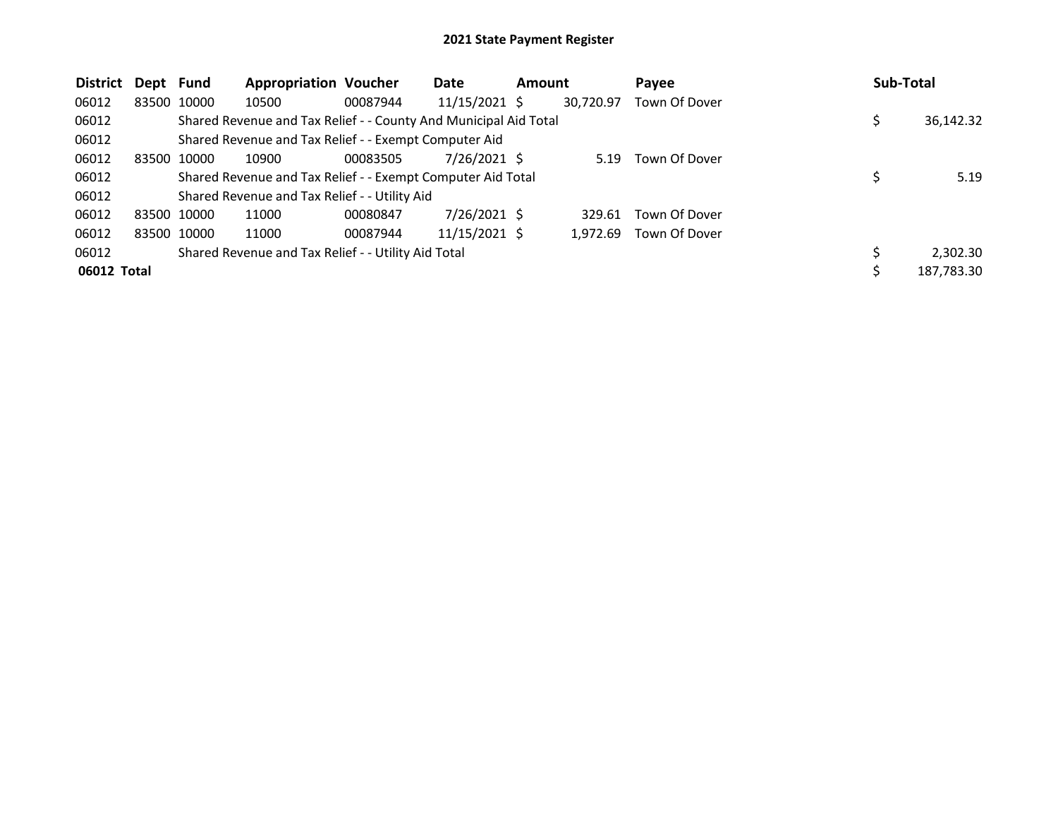| District Dept Fund |             |             | <b>Appropriation Voucher</b>                                     |          | Date            | Amount |           | Payee         | Sub-Total |            |
|--------------------|-------------|-------------|------------------------------------------------------------------|----------|-----------------|--------|-----------|---------------|-----------|------------|
| 06012              |             | 83500 10000 | 10500                                                            | 00087944 | $11/15/2021$ \$ |        | 30,720.97 | Town Of Dover |           |            |
| 06012              |             |             | Shared Revenue and Tax Relief - - County And Municipal Aid Total |          |                 |        |           |               |           | 36,142.32  |
| 06012              |             |             | Shared Revenue and Tax Relief - - Exempt Computer Aid            |          |                 |        |           |               |           |            |
| 06012              | 83500 10000 |             | 10900                                                            | 00083505 | $7/26/2021$ \$  |        | 5.19      | Town Of Dover |           |            |
| 06012              |             |             | Shared Revenue and Tax Relief - - Exempt Computer Aid Total      |          |                 |        |           |               |           | 5.19       |
| 06012              |             |             | Shared Revenue and Tax Relief - - Utility Aid                    |          |                 |        |           |               |           |            |
| 06012              |             | 83500 10000 | 11000                                                            | 00080847 | $7/26/2021$ \$  |        | 329.61    | Town Of Dover |           |            |
| 06012              |             | 83500 10000 | 11000                                                            | 00087944 | $11/15/2021$ \$ |        | 1,972.69  | Town Of Dover |           |            |
| 06012              |             |             | Shared Revenue and Tax Relief - - Utility Aid Total              |          |                 |        |           |               |           | 2,302.30   |
| 06012 Total        |             |             |                                                                  |          |                 |        |           |               |           | 187,783.30 |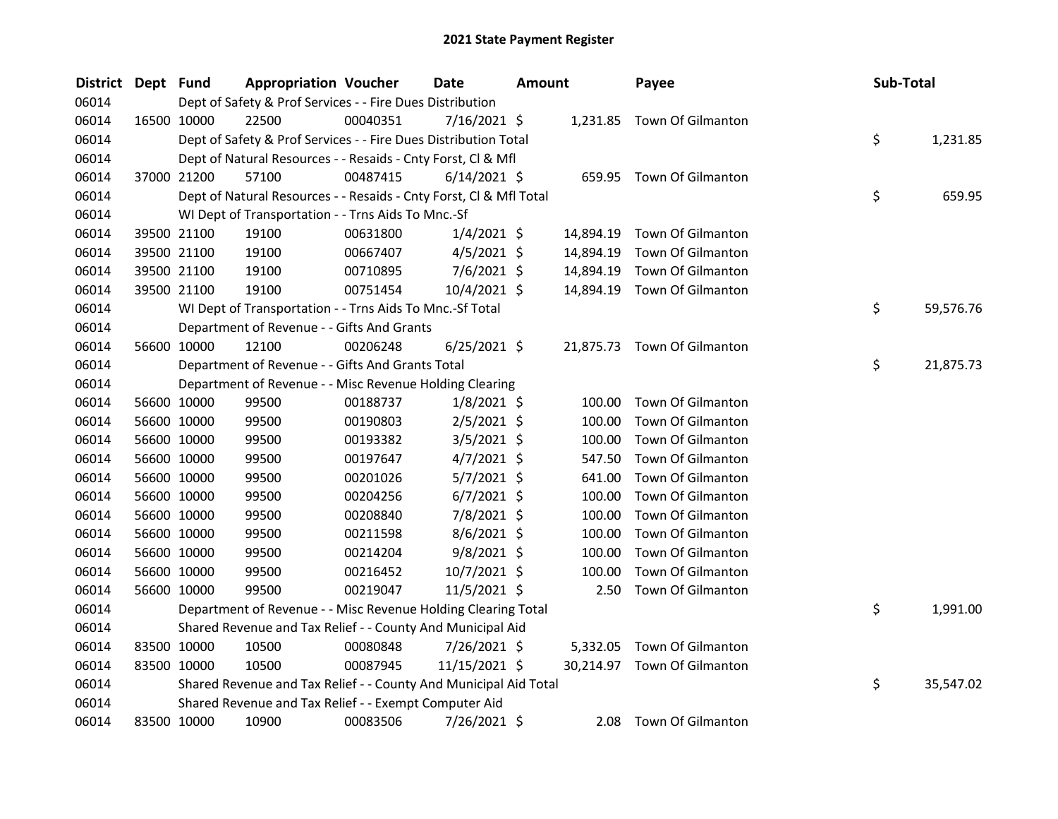| District | Dept Fund |             | <b>Appropriation Voucher</b>                                       |          | Date<br><b>Amount</b> |  | Payee     | Sub-Total                   |    |           |
|----------|-----------|-------------|--------------------------------------------------------------------|----------|-----------------------|--|-----------|-----------------------------|----|-----------|
| 06014    |           |             | Dept of Safety & Prof Services - - Fire Dues Distribution          |          |                       |  |           |                             |    |           |
| 06014    |           | 16500 10000 | 22500                                                              | 00040351 | 7/16/2021 \$          |  |           | 1,231.85 Town Of Gilmanton  |    |           |
| 06014    |           |             | Dept of Safety & Prof Services - - Fire Dues Distribution Total    |          |                       |  |           |                             | \$ | 1,231.85  |
| 06014    |           |             | Dept of Natural Resources - - Resaids - Cnty Forst, Cl & Mfl       |          |                       |  |           |                             |    |           |
| 06014    |           | 37000 21200 | 57100                                                              | 00487415 | $6/14/2021$ \$        |  |           | 659.95 Town Of Gilmanton    |    |           |
| 06014    |           |             | Dept of Natural Resources - - Resaids - Cnty Forst, Cl & Mfl Total |          |                       |  |           |                             | \$ | 659.95    |
| 06014    |           |             | WI Dept of Transportation - - Trns Aids To Mnc.-Sf                 |          |                       |  |           |                             |    |           |
| 06014    |           | 39500 21100 | 19100                                                              | 00631800 | $1/4/2021$ \$         |  | 14,894.19 | Town Of Gilmanton           |    |           |
| 06014    |           | 39500 21100 | 19100                                                              | 00667407 | $4/5/2021$ \$         |  | 14,894.19 | <b>Town Of Gilmanton</b>    |    |           |
| 06014    |           | 39500 21100 | 19100                                                              | 00710895 | 7/6/2021 \$           |  | 14,894.19 | Town Of Gilmanton           |    |           |
| 06014    |           | 39500 21100 | 19100                                                              | 00751454 | 10/4/2021 \$          |  |           | 14,894.19 Town Of Gilmanton |    |           |
| 06014    |           |             | WI Dept of Transportation - - Trns Aids To Mnc.-Sf Total           |          |                       |  |           |                             | \$ | 59,576.76 |
| 06014    |           |             | Department of Revenue - - Gifts And Grants                         |          |                       |  |           |                             |    |           |
| 06014    |           | 56600 10000 | 12100                                                              | 00206248 | $6/25/2021$ \$        |  |           | 21,875.73 Town Of Gilmanton |    |           |
| 06014    |           |             | Department of Revenue - - Gifts And Grants Total                   |          |                       |  |           |                             | \$ | 21,875.73 |
| 06014    |           |             | Department of Revenue - - Misc Revenue Holding Clearing            |          |                       |  |           |                             |    |           |
| 06014    |           | 56600 10000 | 99500                                                              | 00188737 | $1/8/2021$ \$         |  | 100.00    | Town Of Gilmanton           |    |           |
| 06014    |           | 56600 10000 | 99500                                                              | 00190803 | $2/5/2021$ \$         |  | 100.00    | Town Of Gilmanton           |    |           |
| 06014    |           | 56600 10000 | 99500                                                              | 00193382 | $3/5/2021$ \$         |  | 100.00    | Town Of Gilmanton           |    |           |
| 06014    |           | 56600 10000 | 99500                                                              | 00197647 | $4/7/2021$ \$         |  | 547.50    | Town Of Gilmanton           |    |           |
| 06014    |           | 56600 10000 | 99500                                                              | 00201026 | $5/7/2021$ \$         |  | 641.00    | Town Of Gilmanton           |    |           |
| 06014    |           | 56600 10000 | 99500                                                              | 00204256 | $6/7/2021$ \$         |  | 100.00    | Town Of Gilmanton           |    |           |
| 06014    |           | 56600 10000 | 99500                                                              | 00208840 | 7/8/2021 \$           |  | 100.00    | Town Of Gilmanton           |    |           |
| 06014    |           | 56600 10000 | 99500                                                              | 00211598 | $8/6/2021$ \$         |  | 100.00    | <b>Town Of Gilmanton</b>    |    |           |
| 06014    |           | 56600 10000 | 99500                                                              | 00214204 | $9/8/2021$ \$         |  | 100.00    | Town Of Gilmanton           |    |           |
| 06014    |           | 56600 10000 | 99500                                                              | 00216452 | 10/7/2021 \$          |  | 100.00    | Town Of Gilmanton           |    |           |
| 06014    |           | 56600 10000 | 99500                                                              | 00219047 | 11/5/2021 \$          |  | 2.50      | <b>Town Of Gilmanton</b>    |    |           |
| 06014    |           |             | Department of Revenue - - Misc Revenue Holding Clearing Total      |          |                       |  |           |                             | \$ | 1,991.00  |
| 06014    |           |             | Shared Revenue and Tax Relief - - County And Municipal Aid         |          |                       |  |           |                             |    |           |
| 06014    |           | 83500 10000 | 10500                                                              | 00080848 | 7/26/2021 \$          |  | 5,332.05  | <b>Town Of Gilmanton</b>    |    |           |
| 06014    |           | 83500 10000 | 10500                                                              | 00087945 | 11/15/2021 \$         |  |           | 30,214.97 Town Of Gilmanton |    |           |
| 06014    |           |             | Shared Revenue and Tax Relief - - County And Municipal Aid Total   |          |                       |  |           |                             | \$ | 35,547.02 |
| 06014    |           |             | Shared Revenue and Tax Relief - - Exempt Computer Aid              |          |                       |  |           |                             |    |           |
| 06014    |           | 83500 10000 | 10900                                                              | 00083506 | 7/26/2021 \$          |  | 2.08      | <b>Town Of Gilmanton</b>    |    |           |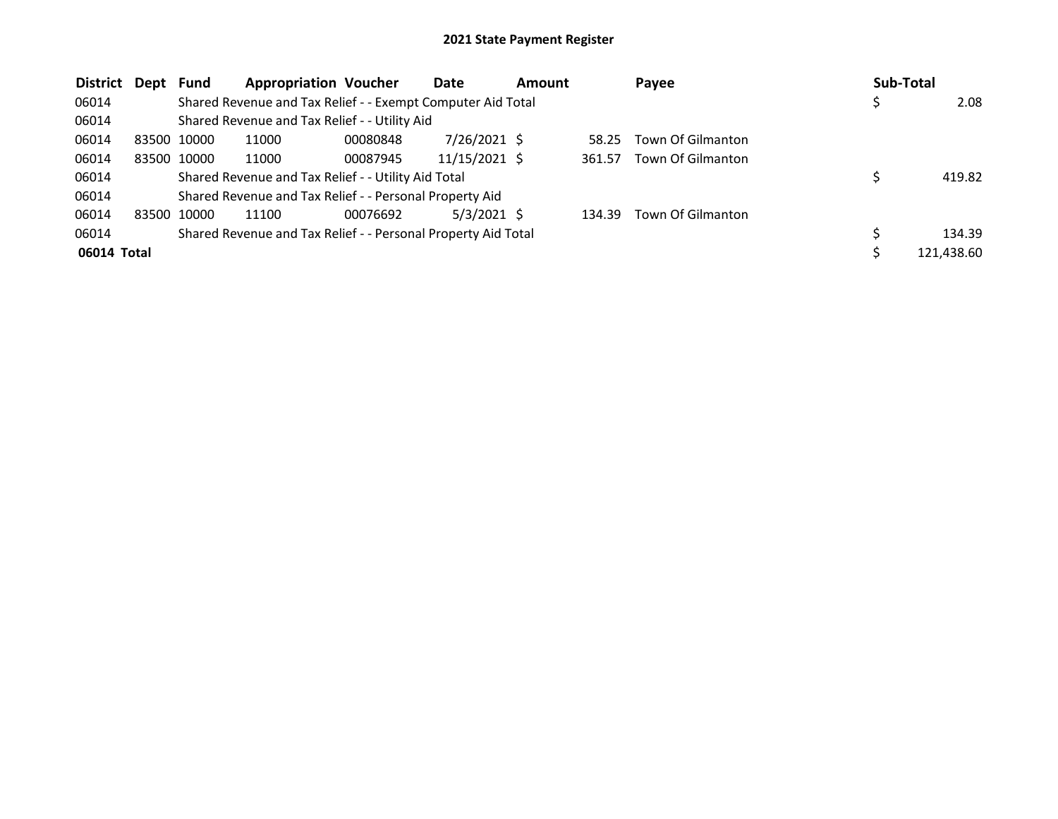| <b>District</b> | Dept  | Fund        | <b>Appropriation Voucher</b>                                  |          | Date          | <b>Amount</b> |        | Payee             | Sub-Total  |
|-----------------|-------|-------------|---------------------------------------------------------------|----------|---------------|---------------|--------|-------------------|------------|
| 06014           |       |             | Shared Revenue and Tax Relief - - Exempt Computer Aid Total   |          |               |               |        |                   | 2.08       |
| 06014           |       |             | Shared Revenue and Tax Relief - - Utility Aid                 |          |               |               |        |                   |            |
| 06014           |       | 83500 10000 | 11000                                                         | 00080848 | 7/26/2021 \$  |               | 58.25  | Town Of Gilmanton |            |
| 06014           |       | 83500 10000 | 11000                                                         | 00087945 | 11/15/2021 \$ |               | 361.57 | Town Of Gilmanton |            |
| 06014           |       |             | Shared Revenue and Tax Relief - - Utility Aid Total           |          |               | 419.82        |        |                   |            |
| 06014           |       |             | Shared Revenue and Tax Relief - - Personal Property Aid       |          |               |               |        |                   |            |
| 06014           | 83500 | 10000       | 11100                                                         | 00076692 | $5/3/2021$ \$ |               | 134.39 | Town Of Gilmanton |            |
| 06014           |       |             | Shared Revenue and Tax Relief - - Personal Property Aid Total |          |               |               |        |                   | 134.39     |
| 06014 Total     |       |             |                                                               |          |               |               |        |                   | 121,438.60 |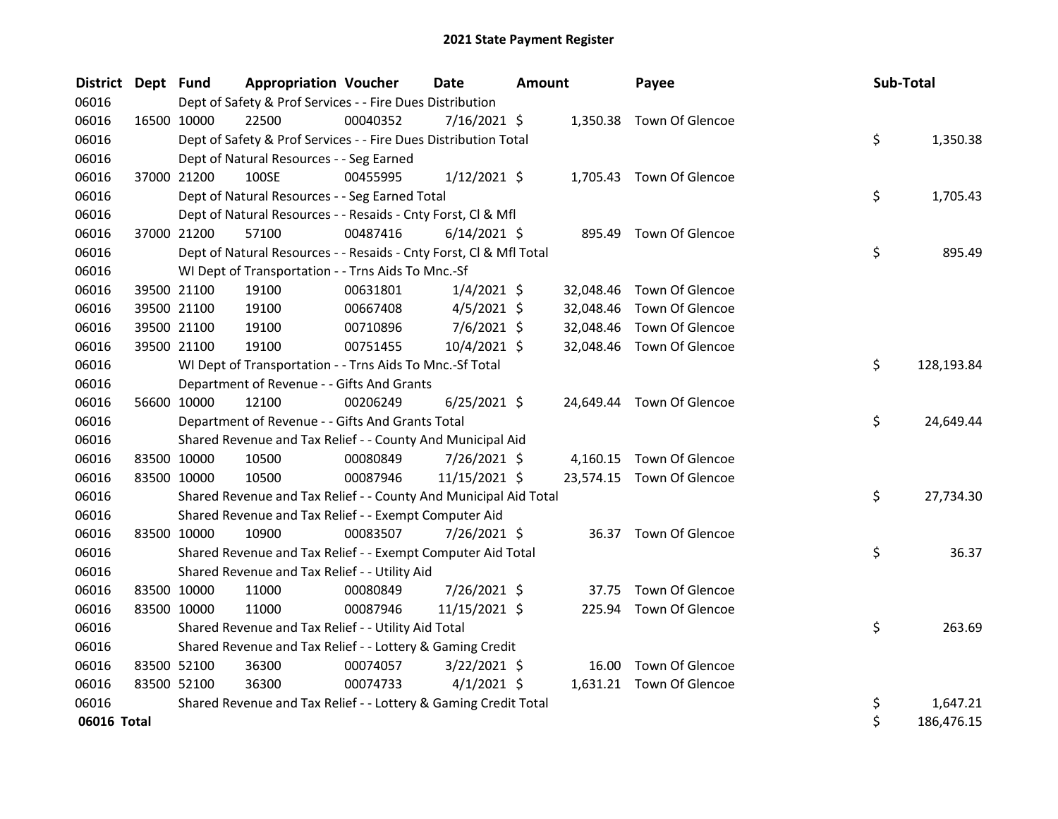| <b>District</b> | Dept Fund |             | <b>Appropriation Voucher</b>                                       |          | <b>Date</b><br><b>Amount</b> |  |           | Payee                     | Sub-Total |            |
|-----------------|-----------|-------------|--------------------------------------------------------------------|----------|------------------------------|--|-----------|---------------------------|-----------|------------|
| 06016           |           |             | Dept of Safety & Prof Services - - Fire Dues Distribution          |          |                              |  |           |                           |           |            |
| 06016           |           | 16500 10000 | 22500                                                              | 00040352 | 7/16/2021 \$                 |  |           | 1,350.38 Town Of Glencoe  |           |            |
| 06016           |           |             | Dept of Safety & Prof Services - - Fire Dues Distribution Total    |          |                              |  |           |                           | \$        | 1,350.38   |
| 06016           |           |             | Dept of Natural Resources - - Seg Earned                           |          |                              |  |           |                           |           |            |
| 06016           |           | 37000 21200 | 100SE                                                              | 00455995 | $1/12/2021$ \$               |  |           | 1,705.43 Town Of Glencoe  |           |            |
| 06016           |           |             | Dept of Natural Resources - - Seg Earned Total                     |          |                              |  |           |                           | \$        | 1,705.43   |
| 06016           |           |             | Dept of Natural Resources - - Resaids - Cnty Forst, Cl & Mfl       |          |                              |  |           |                           |           |            |
| 06016           |           | 37000 21200 | 57100                                                              | 00487416 | $6/14/2021$ \$               |  | 895.49    | Town Of Glencoe           |           |            |
| 06016           |           |             | Dept of Natural Resources - - Resaids - Cnty Forst, Cl & Mfl Total |          |                              |  |           |                           | \$        | 895.49     |
| 06016           |           |             | WI Dept of Transportation - - Trns Aids To Mnc.-Sf                 |          |                              |  |           |                           |           |            |
| 06016           |           | 39500 21100 | 19100                                                              | 00631801 | $1/4/2021$ \$                |  | 32,048.46 | Town Of Glencoe           |           |            |
| 06016           |           | 39500 21100 | 19100                                                              | 00667408 | $4/5/2021$ \$                |  | 32,048.46 | Town Of Glencoe           |           |            |
| 06016           |           | 39500 21100 | 19100                                                              | 00710896 | $7/6/2021$ \$                |  | 32,048.46 | Town Of Glencoe           |           |            |
| 06016           |           | 39500 21100 | 19100                                                              | 00751455 | 10/4/2021 \$                 |  |           | 32,048.46 Town Of Glencoe |           |            |
| 06016           |           |             | WI Dept of Transportation - - Trns Aids To Mnc.-Sf Total           |          |                              |  |           |                           | \$        | 128,193.84 |
| 06016           |           |             | Department of Revenue - - Gifts And Grants                         |          |                              |  |           |                           |           |            |
| 06016           |           | 56600 10000 | 12100                                                              | 00206249 | $6/25/2021$ \$               |  |           | 24,649.44 Town Of Glencoe |           |            |
| 06016           |           |             | Department of Revenue - - Gifts And Grants Total                   |          |                              |  |           |                           | \$        | 24,649.44  |
| 06016           |           |             | Shared Revenue and Tax Relief - - County And Municipal Aid         |          |                              |  |           |                           |           |            |
| 06016           |           | 83500 10000 | 10500                                                              | 00080849 | 7/26/2021 \$                 |  |           | 4,160.15 Town Of Glencoe  |           |            |
| 06016           |           | 83500 10000 | 10500                                                              | 00087946 | 11/15/2021 \$                |  |           | 23,574.15 Town Of Glencoe |           |            |
| 06016           |           |             | Shared Revenue and Tax Relief - - County And Municipal Aid Total   |          |                              |  |           |                           | \$        | 27,734.30  |
| 06016           |           |             | Shared Revenue and Tax Relief - - Exempt Computer Aid              |          |                              |  |           |                           |           |            |
| 06016           |           | 83500 10000 | 10900                                                              | 00083507 | 7/26/2021 \$                 |  |           | 36.37 Town Of Glencoe     |           |            |
| 06016           |           |             | Shared Revenue and Tax Relief - - Exempt Computer Aid Total        |          |                              |  |           |                           | \$        | 36.37      |
| 06016           |           |             | Shared Revenue and Tax Relief - - Utility Aid                      |          |                              |  |           |                           |           |            |
| 06016           |           | 83500 10000 | 11000                                                              | 00080849 | 7/26/2021 \$                 |  | 37.75     | Town Of Glencoe           |           |            |
| 06016           |           | 83500 10000 | 11000                                                              | 00087946 | 11/15/2021 \$                |  |           | 225.94 Town Of Glencoe    |           |            |
| 06016           |           |             | Shared Revenue and Tax Relief - - Utility Aid Total                |          |                              |  |           |                           | \$        | 263.69     |
| 06016           |           |             | Shared Revenue and Tax Relief - - Lottery & Gaming Credit          |          |                              |  |           |                           |           |            |
| 06016           |           | 83500 52100 | 36300                                                              | 00074057 | $3/22/2021$ \$               |  | 16.00     | Town Of Glencoe           |           |            |
| 06016           |           | 83500 52100 | 36300                                                              | 00074733 | $4/1/2021$ \$                |  |           | 1,631.21 Town Of Glencoe  |           |            |
| 06016           |           |             | Shared Revenue and Tax Relief - - Lottery & Gaming Credit Total    |          |                              |  |           |                           | \$        | 1,647.21   |
| 06016 Total     |           |             |                                                                    |          |                              |  |           |                           | \$        | 186,476.15 |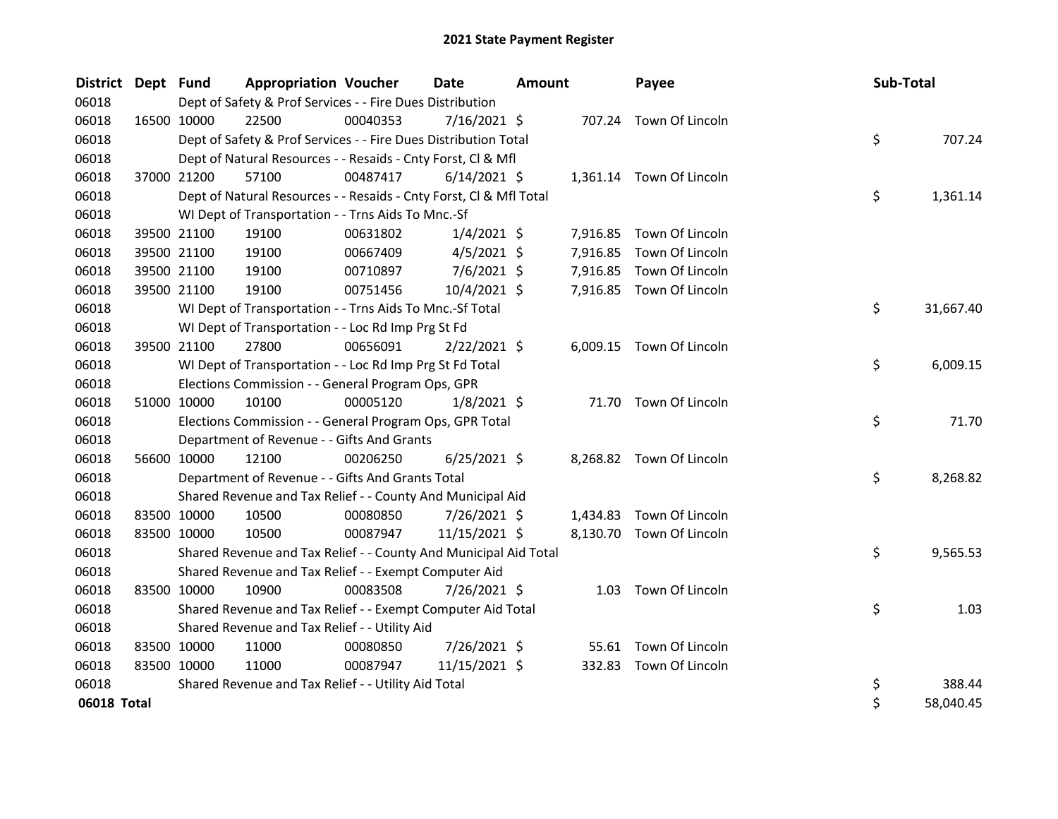| <b>District</b> | Dept Fund |             | <b>Appropriation Voucher</b>                                       |          | Date           | <b>Amount</b> |          | Payee                    | Sub-Total |                 |
|-----------------|-----------|-------------|--------------------------------------------------------------------|----------|----------------|---------------|----------|--------------------------|-----------|-----------------|
| 06018           |           |             | Dept of Safety & Prof Services - - Fire Dues Distribution          |          |                |               |          |                          |           |                 |
| 06018           |           | 16500 10000 | 22500                                                              | 00040353 | 7/16/2021 \$   |               |          | 707.24 Town Of Lincoln   |           |                 |
| 06018           |           |             | Dept of Safety & Prof Services - - Fire Dues Distribution Total    |          |                |               |          |                          |           | \$<br>707.24    |
| 06018           |           |             | Dept of Natural Resources - - Resaids - Cnty Forst, Cl & Mfl       |          |                |               |          |                          |           |                 |
| 06018           |           | 37000 21200 | 57100                                                              | 00487417 | $6/14/2021$ \$ |               |          | 1,361.14 Town Of Lincoln |           |                 |
| 06018           |           |             | Dept of Natural Resources - - Resaids - Cnty Forst, Cl & Mfl Total |          |                |               |          |                          |           | \$<br>1,361.14  |
| 06018           |           |             | WI Dept of Transportation - - Trns Aids To Mnc.-Sf                 |          |                |               |          |                          |           |                 |
| 06018           |           | 39500 21100 | 19100                                                              | 00631802 | $1/4/2021$ \$  |               |          | 7,916.85 Town Of Lincoln |           |                 |
| 06018           |           | 39500 21100 | 19100                                                              | 00667409 | $4/5/2021$ \$  |               | 7,916.85 | Town Of Lincoln          |           |                 |
| 06018           |           | 39500 21100 | 19100                                                              | 00710897 | $7/6/2021$ \$  |               | 7,916.85 | Town Of Lincoln          |           |                 |
| 06018           |           | 39500 21100 | 19100                                                              | 00751456 | 10/4/2021 \$   |               |          | 7,916.85 Town Of Lincoln |           |                 |
| 06018           |           |             | WI Dept of Transportation - - Trns Aids To Mnc.-Sf Total           |          |                |               |          |                          |           | \$<br>31,667.40 |
| 06018           |           |             | WI Dept of Transportation - - Loc Rd Imp Prg St Fd                 |          |                |               |          |                          |           |                 |
| 06018           |           | 39500 21100 | 27800                                                              | 00656091 | $2/22/2021$ \$ |               |          | 6,009.15 Town Of Lincoln |           |                 |
| 06018           |           |             | WI Dept of Transportation - - Loc Rd Imp Prg St Fd Total           |          |                |               |          |                          |           | \$<br>6,009.15  |
| 06018           |           |             | Elections Commission - - General Program Ops, GPR                  |          |                |               |          |                          |           |                 |
| 06018           |           | 51000 10000 | 10100                                                              | 00005120 | $1/8/2021$ \$  |               |          | 71.70 Town Of Lincoln    |           |                 |
| 06018           |           |             | Elections Commission - - General Program Ops, GPR Total            |          |                |               |          |                          |           | \$<br>71.70     |
| 06018           |           |             | Department of Revenue - - Gifts And Grants                         |          |                |               |          |                          |           |                 |
| 06018           |           | 56600 10000 | 12100                                                              | 00206250 | $6/25/2021$ \$ |               |          | 8,268.82 Town Of Lincoln |           |                 |
| 06018           |           |             | Department of Revenue - - Gifts And Grants Total                   |          |                |               |          |                          |           | \$<br>8,268.82  |
| 06018           |           |             | Shared Revenue and Tax Relief - - County And Municipal Aid         |          |                |               |          |                          |           |                 |
| 06018           |           | 83500 10000 | 10500                                                              | 00080850 | $7/26/2021$ \$ |               | 1,434.83 | Town Of Lincoln          |           |                 |
| 06018           |           | 83500 10000 | 10500                                                              | 00087947 | 11/15/2021 \$  |               |          | 8,130.70 Town Of Lincoln |           |                 |
| 06018           |           |             | Shared Revenue and Tax Relief - - County And Municipal Aid Total   |          |                |               |          |                          |           | \$<br>9,565.53  |
| 06018           |           |             | Shared Revenue and Tax Relief - - Exempt Computer Aid              |          |                |               |          |                          |           |                 |
| 06018           |           | 83500 10000 | 10900                                                              | 00083508 | 7/26/2021 \$   |               | 1.03     | Town Of Lincoln          |           |                 |
| 06018           |           |             | Shared Revenue and Tax Relief - - Exempt Computer Aid Total        |          |                |               |          |                          |           | \$<br>1.03      |
| 06018           |           |             | Shared Revenue and Tax Relief - - Utility Aid                      |          |                |               |          |                          |           |                 |
| 06018           |           | 83500 10000 | 11000                                                              | 00080850 | 7/26/2021 \$   |               |          | 55.61 Town Of Lincoln    |           |                 |
| 06018           |           | 83500 10000 | 11000                                                              | 00087947 | 11/15/2021 \$  |               | 332.83   | Town Of Lincoln          |           |                 |
| 06018           |           |             | Shared Revenue and Tax Relief - - Utility Aid Total                |          |                |               |          |                          |           | \$<br>388.44    |
| 06018 Total     |           |             |                                                                    |          |                |               |          |                          |           | \$<br>58,040.45 |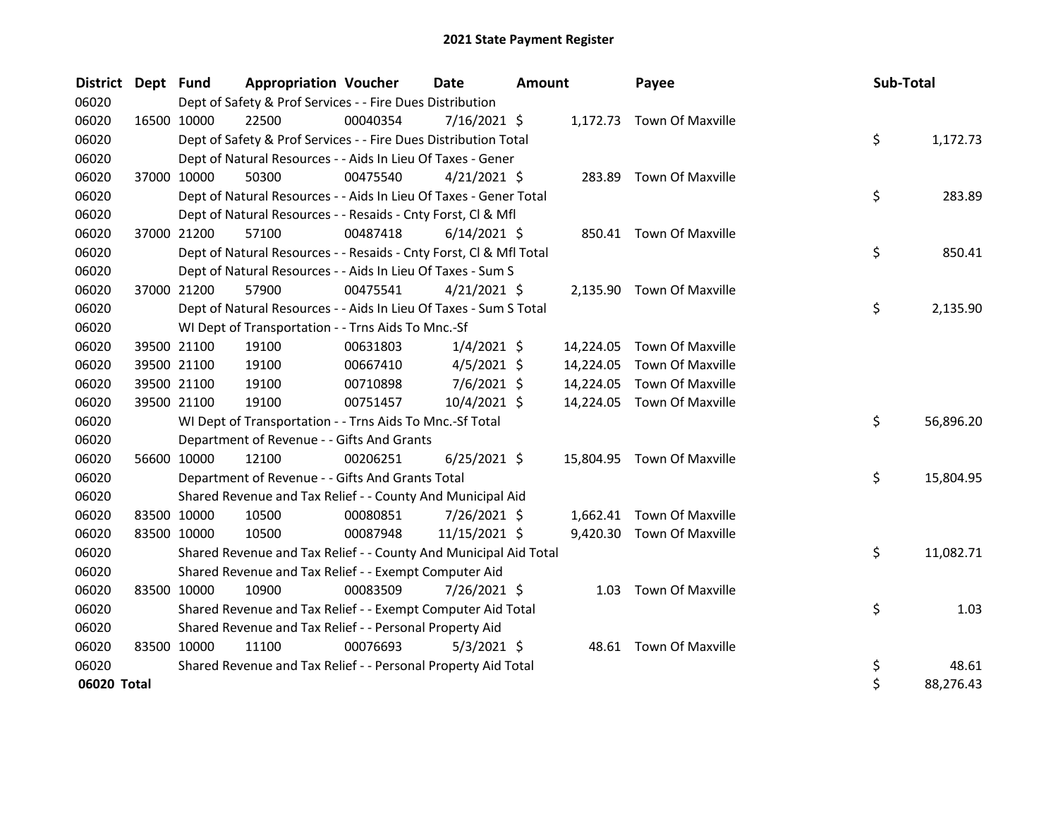| <b>District</b> | Dept Fund   |             | <b>Appropriation Voucher</b>                                       |          | <b>Date</b>    | <b>Amount</b> |           | Payee                      |  | Sub-Total |           |
|-----------------|-------------|-------------|--------------------------------------------------------------------|----------|----------------|---------------|-----------|----------------------------|--|-----------|-----------|
| 06020           |             |             | Dept of Safety & Prof Services - - Fire Dues Distribution          |          |                |               |           |                            |  |           |           |
| 06020           |             | 16500 10000 | 22500                                                              | 00040354 | 7/16/2021 \$   |               |           | 1,172.73 Town Of Maxville  |  |           |           |
| 06020           |             |             | Dept of Safety & Prof Services - - Fire Dues Distribution Total    |          |                |               |           |                            |  | \$        | 1,172.73  |
| 06020           |             |             | Dept of Natural Resources - - Aids In Lieu Of Taxes - Gener        |          |                |               |           |                            |  |           |           |
| 06020           |             | 37000 10000 | 50300                                                              | 00475540 | $4/21/2021$ \$ |               | 283.89    | Town Of Maxville           |  |           |           |
| 06020           |             |             | Dept of Natural Resources - - Aids In Lieu Of Taxes - Gener Total  |          |                |               |           |                            |  | \$        | 283.89    |
| 06020           |             |             | Dept of Natural Resources - - Resaids - Cnty Forst, Cl & Mfl       |          |                |               |           |                            |  |           |           |
| 06020           |             | 37000 21200 | 57100                                                              | 00487418 | $6/14/2021$ \$ |               |           | 850.41 Town Of Maxville    |  |           |           |
| 06020           |             |             | Dept of Natural Resources - - Resaids - Cnty Forst, Cl & Mfl Total |          |                |               |           |                            |  | \$        | 850.41    |
| 06020           |             |             | Dept of Natural Resources - - Aids In Lieu Of Taxes - Sum S        |          |                |               |           |                            |  |           |           |
| 06020           |             | 37000 21200 | 57900                                                              | 00475541 | $4/21/2021$ \$ |               |           | 2,135.90 Town Of Maxville  |  |           |           |
| 06020           |             |             | Dept of Natural Resources - - Aids In Lieu Of Taxes - Sum S Total  |          |                |               |           |                            |  | \$        | 2,135.90  |
| 06020           |             |             | WI Dept of Transportation - - Trns Aids To Mnc.-Sf                 |          |                |               |           |                            |  |           |           |
| 06020           |             | 39500 21100 | 19100                                                              | 00631803 | $1/4/2021$ \$  |               | 14,224.05 | <b>Town Of Maxville</b>    |  |           |           |
| 06020           |             | 39500 21100 | 19100                                                              | 00667410 | $4/5/2021$ \$  |               | 14,224.05 | <b>Town Of Maxville</b>    |  |           |           |
| 06020           |             | 39500 21100 | 19100                                                              | 00710898 | $7/6/2021$ \$  |               | 14,224.05 | <b>Town Of Maxville</b>    |  |           |           |
| 06020           |             | 39500 21100 | 19100                                                              | 00751457 | 10/4/2021 \$   |               | 14,224.05 | Town Of Maxville           |  |           |           |
| 06020           |             |             | WI Dept of Transportation - - Trns Aids To Mnc.-Sf Total           |          |                |               |           |                            |  | \$        | 56,896.20 |
| 06020           |             |             | Department of Revenue - - Gifts And Grants                         |          |                |               |           |                            |  |           |           |
| 06020           |             | 56600 10000 | 12100                                                              | 00206251 | $6/25/2021$ \$ |               |           | 15,804.95 Town Of Maxville |  |           |           |
| 06020           |             |             | Department of Revenue - - Gifts And Grants Total                   |          |                |               |           |                            |  | \$        | 15,804.95 |
| 06020           |             |             | Shared Revenue and Tax Relief - - County And Municipal Aid         |          |                |               |           |                            |  |           |           |
| 06020           |             | 83500 10000 | 10500                                                              | 00080851 | 7/26/2021 \$   |               |           | 1,662.41 Town Of Maxville  |  |           |           |
| 06020           |             | 83500 10000 | 10500                                                              | 00087948 | 11/15/2021 \$  |               |           | 9,420.30 Town Of Maxville  |  |           |           |
| 06020           |             |             | Shared Revenue and Tax Relief - - County And Municipal Aid Total   |          |                |               |           |                            |  | \$        | 11,082.71 |
| 06020           |             |             | Shared Revenue and Tax Relief - - Exempt Computer Aid              |          |                |               |           |                            |  |           |           |
| 06020           |             | 83500 10000 | 10900                                                              | 00083509 | 7/26/2021 \$   |               | 1.03      | <b>Town Of Maxville</b>    |  |           |           |
| 06020           |             |             | Shared Revenue and Tax Relief - - Exempt Computer Aid Total        |          |                |               |           |                            |  | \$        | 1.03      |
| 06020           |             |             | Shared Revenue and Tax Relief - - Personal Property Aid            |          |                |               |           |                            |  |           |           |
| 06020           | 83500 10000 |             | 11100                                                              | 00076693 | $5/3/2021$ \$  |               |           | 48.61 Town Of Maxville     |  |           |           |
| 06020           |             |             | Shared Revenue and Tax Relief - - Personal Property Aid Total      |          |                |               |           |                            |  | \$        | 48.61     |
| 06020 Total     |             |             |                                                                    |          |                |               |           |                            |  | \$        | 88,276.43 |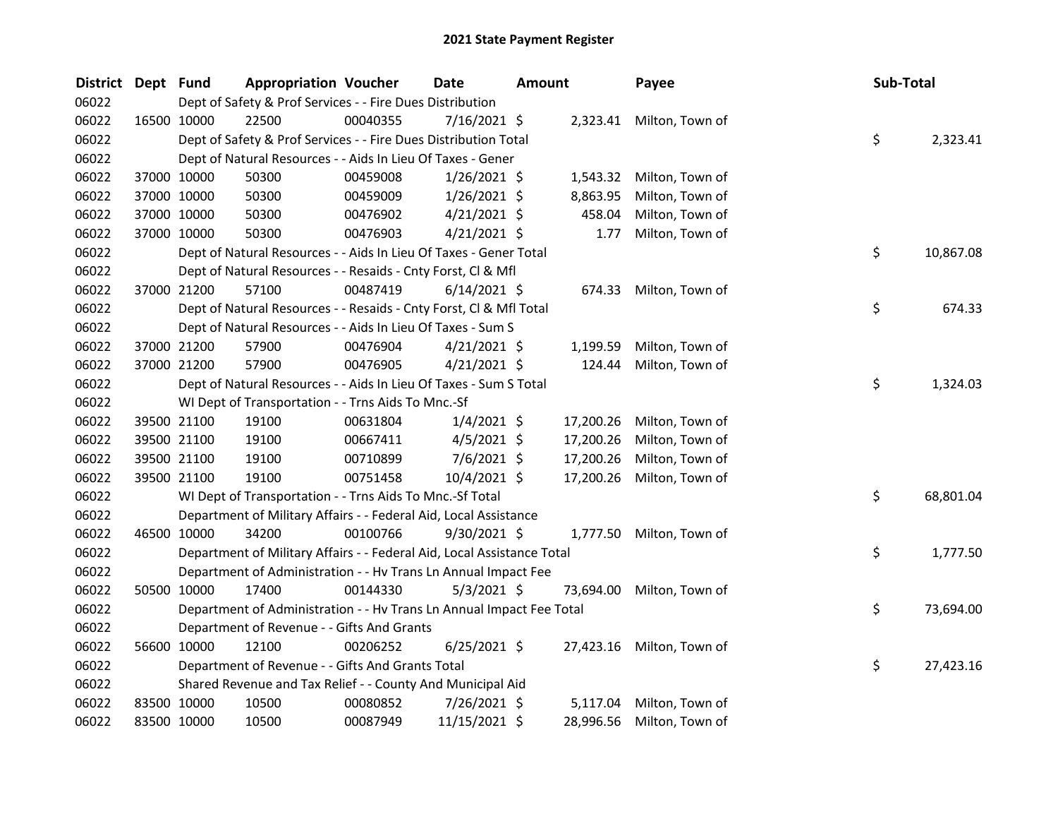| <b>District</b> | Dept Fund |             | <b>Appropriation Voucher</b>                                           |          | Date           | <b>Amount</b> |           | Payee                     | Sub-Total |           |
|-----------------|-----------|-------------|------------------------------------------------------------------------|----------|----------------|---------------|-----------|---------------------------|-----------|-----------|
| 06022           |           |             | Dept of Safety & Prof Services - - Fire Dues Distribution              |          |                |               |           |                           |           |           |
| 06022           |           | 16500 10000 | 22500                                                                  | 00040355 | 7/16/2021 \$   |               |           | 2,323.41 Milton, Town of  |           |           |
| 06022           |           |             | Dept of Safety & Prof Services - - Fire Dues Distribution Total        |          |                |               |           |                           | \$        | 2,323.41  |
| 06022           |           |             | Dept of Natural Resources - - Aids In Lieu Of Taxes - Gener            |          |                |               |           |                           |           |           |
| 06022           |           | 37000 10000 | 50300                                                                  | 00459008 | $1/26/2021$ \$ |               |           | 1,543.32 Milton, Town of  |           |           |
| 06022           |           | 37000 10000 | 50300                                                                  | 00459009 | $1/26/2021$ \$ |               | 8,863.95  | Milton, Town of           |           |           |
| 06022           |           | 37000 10000 | 50300                                                                  | 00476902 | $4/21/2021$ \$ |               | 458.04    | Milton, Town of           |           |           |
| 06022           |           | 37000 10000 | 50300                                                                  | 00476903 | $4/21/2021$ \$ |               | 1.77      | Milton, Town of           |           |           |
| 06022           |           |             | Dept of Natural Resources - - Aids In Lieu Of Taxes - Gener Total      |          |                |               |           |                           | \$        | 10,867.08 |
| 06022           |           |             | Dept of Natural Resources - - Resaids - Cnty Forst, Cl & Mfl           |          |                |               |           |                           |           |           |
| 06022           |           | 37000 21200 | 57100                                                                  | 00487419 | $6/14/2021$ \$ |               | 674.33    | Milton, Town of           |           |           |
| 06022           |           |             | Dept of Natural Resources - - Resaids - Cnty Forst, CI & Mfl Total     |          |                |               |           |                           | \$        | 674.33    |
| 06022           |           |             | Dept of Natural Resources - - Aids In Lieu Of Taxes - Sum S            |          |                |               |           |                           |           |           |
| 06022           |           | 37000 21200 | 57900                                                                  | 00476904 | $4/21/2021$ \$ |               | 1,199.59  | Milton, Town of           |           |           |
| 06022           |           | 37000 21200 | 57900                                                                  | 00476905 | $4/21/2021$ \$ |               | 124.44    | Milton, Town of           |           |           |
| 06022           |           |             | Dept of Natural Resources - - Aids In Lieu Of Taxes - Sum S Total      |          |                |               |           |                           | \$        | 1,324.03  |
| 06022           |           |             | WI Dept of Transportation - - Trns Aids To Mnc.-Sf                     |          |                |               |           |                           |           |           |
| 06022           |           | 39500 21100 | 19100                                                                  | 00631804 | $1/4/2021$ \$  |               | 17,200.26 | Milton, Town of           |           |           |
| 06022           |           | 39500 21100 | 19100                                                                  | 00667411 | $4/5/2021$ \$  |               | 17,200.26 | Milton, Town of           |           |           |
| 06022           |           | 39500 21100 | 19100                                                                  | 00710899 | 7/6/2021 \$    |               | 17,200.26 | Milton, Town of           |           |           |
| 06022           |           | 39500 21100 | 19100                                                                  | 00751458 | 10/4/2021 \$   |               | 17,200.26 | Milton, Town of           |           |           |
| 06022           |           |             | WI Dept of Transportation - - Trns Aids To Mnc.-Sf Total               |          |                |               |           |                           | \$        | 68,801.04 |
| 06022           |           |             | Department of Military Affairs - - Federal Aid, Local Assistance       |          |                |               |           |                           |           |           |
| 06022           |           | 46500 10000 | 34200                                                                  | 00100766 | 9/30/2021 \$   |               |           | 1,777.50 Milton, Town of  |           |           |
| 06022           |           |             | Department of Military Affairs - - Federal Aid, Local Assistance Total |          |                |               |           |                           | \$        | 1,777.50  |
| 06022           |           |             | Department of Administration - - Hv Trans Ln Annual Impact Fee         |          |                |               |           |                           |           |           |
| 06022           |           | 50500 10000 | 17400                                                                  | 00144330 | $5/3/2021$ \$  |               | 73,694.00 | Milton, Town of           |           |           |
| 06022           |           |             | Department of Administration - - Hv Trans Ln Annual Impact Fee Total   |          |                |               |           |                           | \$        | 73,694.00 |
| 06022           |           |             | Department of Revenue - - Gifts And Grants                             |          |                |               |           |                           |           |           |
| 06022           |           | 56600 10000 | 12100                                                                  | 00206252 | $6/25/2021$ \$ |               |           | 27,423.16 Milton, Town of |           |           |
| 06022           |           |             | Department of Revenue - - Gifts And Grants Total                       |          |                |               |           |                           | \$        | 27,423.16 |
| 06022           |           |             | Shared Revenue and Tax Relief - - County And Municipal Aid             |          |                |               |           |                           |           |           |
| 06022           |           | 83500 10000 | 10500                                                                  | 00080852 | 7/26/2021 \$   |               | 5,117.04  | Milton, Town of           |           |           |
| 06022           |           | 83500 10000 | 10500                                                                  | 00087949 | 11/15/2021 \$  |               | 28,996.56 | Milton, Town of           |           |           |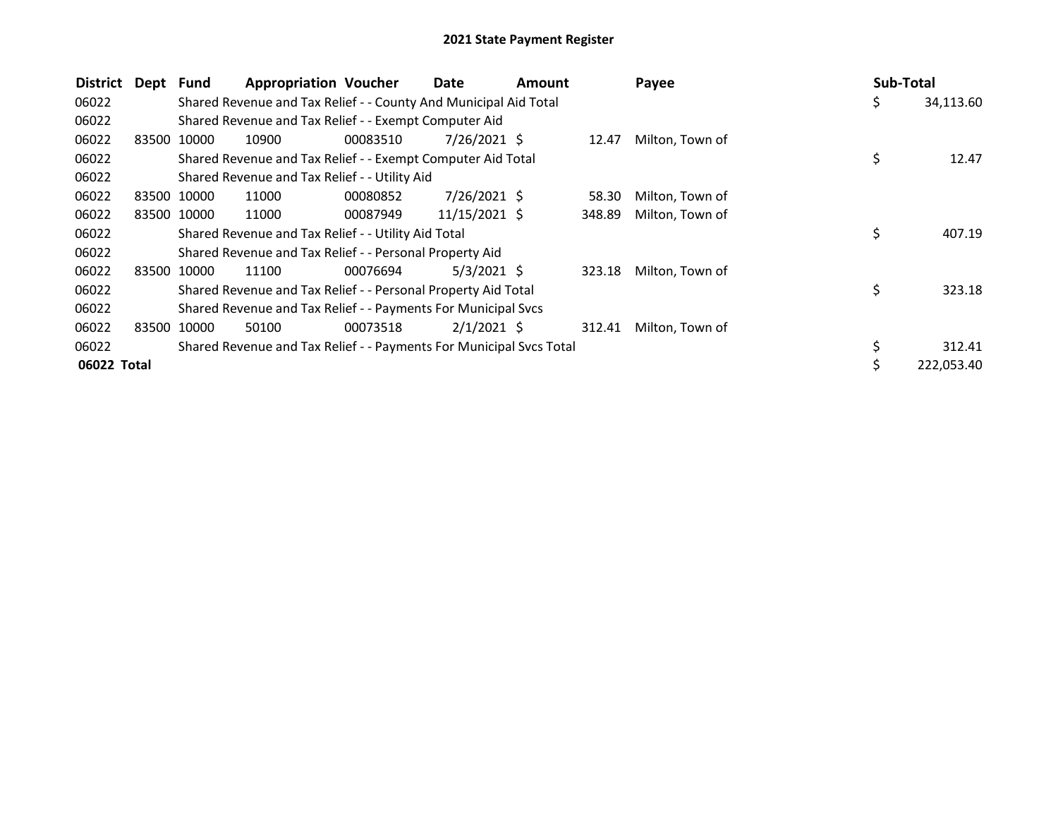| <b>District</b> | Dept Fund |             | <b>Appropriation Voucher</b>                                        |          | Date           | <b>Amount</b> |        | Payee           | Sub-Total |            |
|-----------------|-----------|-------------|---------------------------------------------------------------------|----------|----------------|---------------|--------|-----------------|-----------|------------|
| 06022           |           |             | Shared Revenue and Tax Relief - - County And Municipal Aid Total    |          |                |               |        |                 | \$        | 34,113.60  |
| 06022           |           |             | Shared Revenue and Tax Relief - - Exempt Computer Aid               |          |                |               |        |                 |           |            |
| 06022           | 83500     | 10000       | 10900                                                               | 00083510 | $7/26/2021$ \$ |               | 12.47  | Milton, Town of |           |            |
| 06022           |           |             | Shared Revenue and Tax Relief - - Exempt Computer Aid Total         |          |                |               |        |                 | \$        | 12.47      |
| 06022           |           |             | Shared Revenue and Tax Relief - - Utility Aid                       |          |                |               |        |                 |           |            |
| 06022           |           | 83500 10000 | 11000                                                               | 00080852 | $7/26/2021$ \$ |               | 58.30  | Milton, Town of |           |            |
| 06022           |           | 83500 10000 | 11000                                                               | 00087949 | 11/15/2021 \$  |               | 348.89 | Milton, Town of |           |            |
| 06022           |           |             | Shared Revenue and Tax Relief - - Utility Aid Total                 |          |                |               |        |                 | \$        | 407.19     |
| 06022           |           |             | Shared Revenue and Tax Relief - - Personal Property Aid             |          |                |               |        |                 |           |            |
| 06022           |           | 83500 10000 | 11100                                                               | 00076694 | $5/3/2021$ \$  |               | 323.18 | Milton, Town of |           |            |
| 06022           |           |             | Shared Revenue and Tax Relief - - Personal Property Aid Total       |          |                |               |        |                 | \$        | 323.18     |
| 06022           |           |             | Shared Revenue and Tax Relief - - Payments For Municipal Svcs       |          |                |               |        |                 |           |            |
| 06022           |           | 83500 10000 | 50100                                                               | 00073518 | $2/1/2021$ \$  |               | 312.41 | Milton, Town of |           |            |
| 06022           |           |             | Shared Revenue and Tax Relief - - Payments For Municipal Svcs Total |          |                |               |        |                 |           | 312.41     |
| 06022 Total     |           |             |                                                                     |          |                |               |        |                 | \$        | 222,053.40 |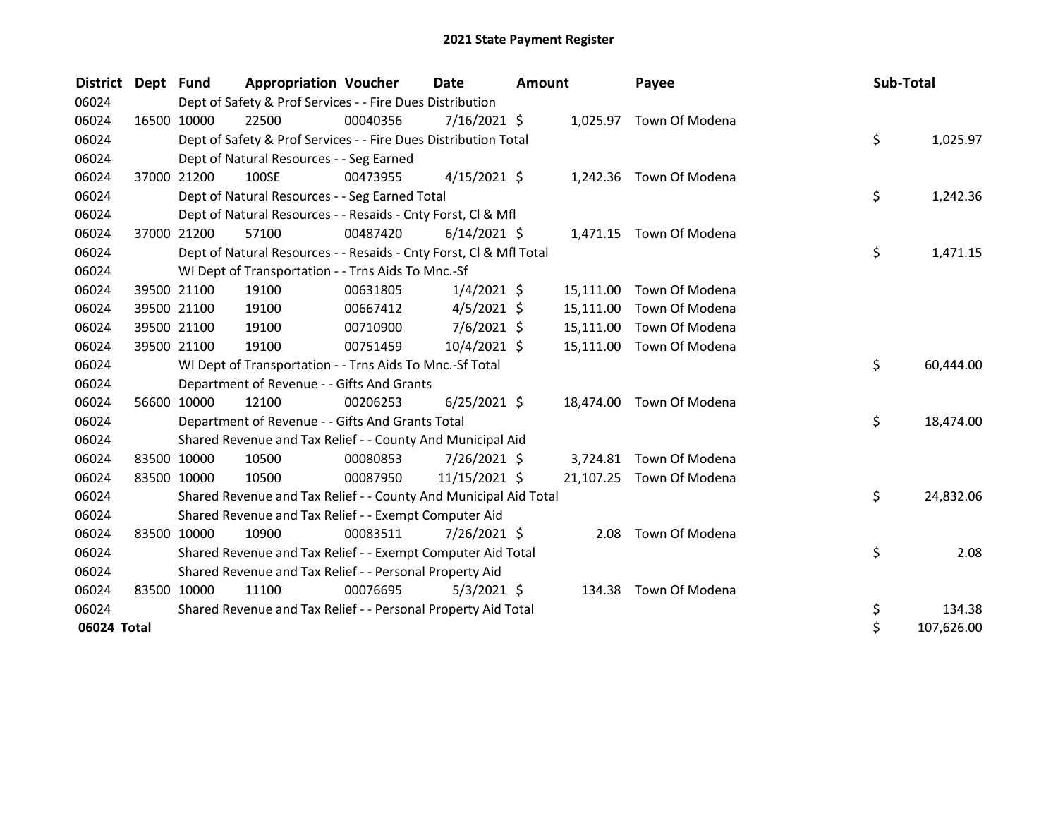| <b>District</b> | Dept Fund |                                                           | <b>Appropriation Voucher</b>                                       |          | Date           | <b>Amount</b> |           | Payee                   |  | Sub-Total |            |
|-----------------|-----------|-----------------------------------------------------------|--------------------------------------------------------------------|----------|----------------|---------------|-----------|-------------------------|--|-----------|------------|
| 06024           |           | Dept of Safety & Prof Services - - Fire Dues Distribution |                                                                    |          |                |               |           |                         |  |           |            |
| 06024           |           | 16500 10000                                               | 22500                                                              | 00040356 | $7/16/2021$ \$ |               |           | 1,025.97 Town Of Modena |  |           |            |
| 06024           |           |                                                           | Dept of Safety & Prof Services - - Fire Dues Distribution Total    |          |                |               |           |                         |  | \$        | 1,025.97   |
| 06024           |           |                                                           | Dept of Natural Resources - - Seg Earned                           |          |                |               |           |                         |  |           |            |
| 06024           |           | 37000 21200                                               | 100SE                                                              | 00473955 | $4/15/2021$ \$ |               |           | 1,242.36 Town Of Modena |  |           |            |
| 06024           |           |                                                           | Dept of Natural Resources - - Seg Earned Total                     |          |                |               |           |                         |  | \$        | 1,242.36   |
| 06024           |           |                                                           | Dept of Natural Resources - - Resaids - Cnty Forst, CI & Mfl       |          |                |               |           |                         |  |           |            |
| 06024           |           | 37000 21200                                               | 57100                                                              | 00487420 | $6/14/2021$ \$ |               |           | 1,471.15 Town Of Modena |  |           |            |
| 06024           |           |                                                           | Dept of Natural Resources - - Resaids - Cnty Forst, CI & Mfl Total |          |                |               |           |                         |  | \$        | 1,471.15   |
| 06024           |           |                                                           | WI Dept of Transportation - - Trns Aids To Mnc.-Sf                 |          |                |               |           |                         |  |           |            |
| 06024           |           | 39500 21100                                               | 19100                                                              | 00631805 | $1/4/2021$ \$  |               | 15,111.00 | Town Of Modena          |  |           |            |
| 06024           |           | 39500 21100                                               | 19100                                                              | 00667412 | $4/5/2021$ \$  |               | 15,111.00 | Town Of Modena          |  |           |            |
| 06024           |           | 39500 21100                                               | 19100                                                              | 00710900 | $7/6/2021$ \$  |               | 15,111.00 | Town Of Modena          |  |           |            |
| 06024           |           | 39500 21100                                               | 19100                                                              | 00751459 | 10/4/2021 \$   |               | 15,111.00 | Town Of Modena          |  |           |            |
| 06024           |           |                                                           | WI Dept of Transportation - - Trns Aids To Mnc.-Sf Total           |          |                |               |           |                         |  | \$        | 60,444.00  |
| 06024           |           |                                                           | Department of Revenue - - Gifts And Grants                         |          |                |               |           |                         |  |           |            |
| 06024           |           | 56600 10000                                               | 12100                                                              | 00206253 | $6/25/2021$ \$ |               | 18,474.00 | Town Of Modena          |  |           |            |
| 06024           |           |                                                           | Department of Revenue - - Gifts And Grants Total                   |          |                |               |           |                         |  | \$        | 18,474.00  |
| 06024           |           |                                                           | Shared Revenue and Tax Relief - - County And Municipal Aid         |          |                |               |           |                         |  |           |            |
| 06024           |           | 83500 10000                                               | 10500                                                              | 00080853 | 7/26/2021 \$   |               |           | 3,724.81 Town Of Modena |  |           |            |
| 06024           |           | 83500 10000                                               | 10500                                                              | 00087950 | 11/15/2021 \$  |               | 21,107.25 | Town Of Modena          |  |           |            |
| 06024           |           |                                                           | Shared Revenue and Tax Relief - - County And Municipal Aid Total   |          |                |               |           |                         |  | \$        | 24,832.06  |
| 06024           |           |                                                           | Shared Revenue and Tax Relief - - Exempt Computer Aid              |          |                |               |           |                         |  |           |            |
| 06024           |           | 83500 10000                                               | 10900                                                              | 00083511 | 7/26/2021 \$   |               |           | 2.08 Town Of Modena     |  |           |            |
| 06024           |           |                                                           | Shared Revenue and Tax Relief - - Exempt Computer Aid Total        |          |                |               |           |                         |  | \$        | 2.08       |
| 06024           |           |                                                           | Shared Revenue and Tax Relief - - Personal Property Aid            |          |                |               |           |                         |  |           |            |
| 06024           |           | 83500 10000                                               | 11100                                                              | 00076695 | $5/3/2021$ \$  |               | 134.38    | Town Of Modena          |  |           |            |
| 06024           |           |                                                           | Shared Revenue and Tax Relief - - Personal Property Aid Total      |          |                |               |           |                         |  | \$        | 134.38     |
| 06024 Total     |           |                                                           |                                                                    |          |                |               |           |                         |  | \$        | 107,626.00 |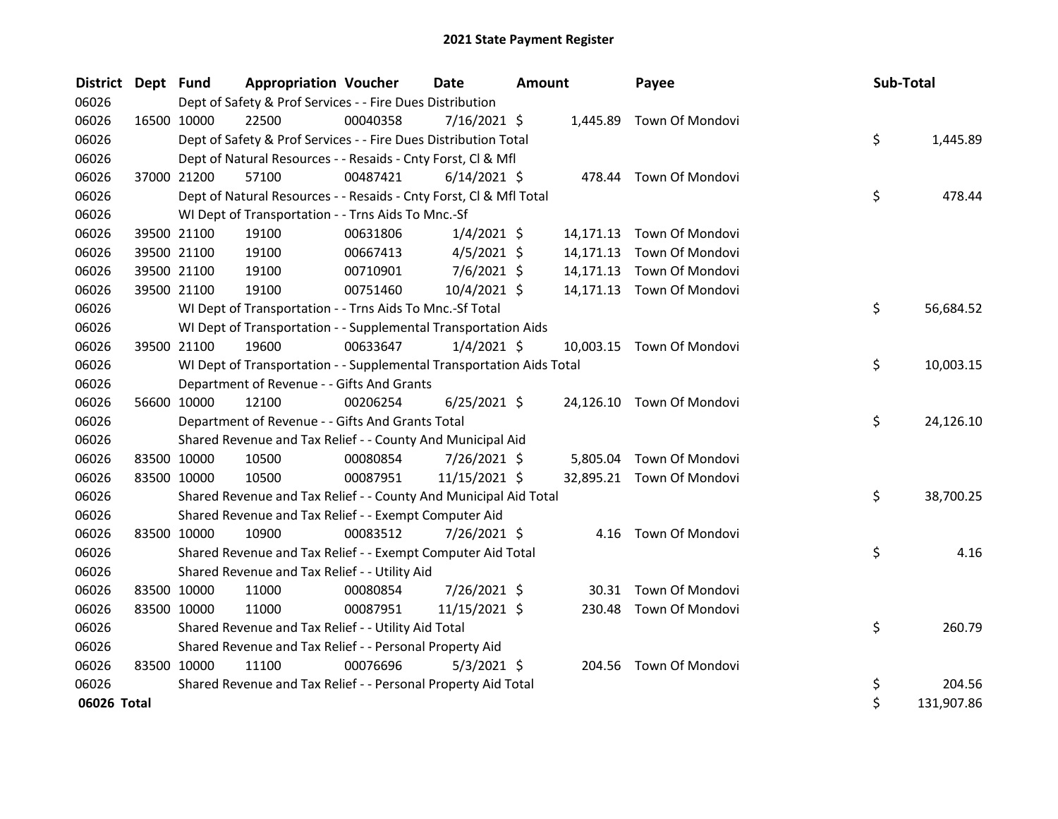| <b>District</b> | Dept Fund   |                                                           | <b>Appropriation Voucher</b>                                         |          | <b>Date</b>    | <b>Amount</b> |           | Payee                     |  | Sub-Total |            |
|-----------------|-------------|-----------------------------------------------------------|----------------------------------------------------------------------|----------|----------------|---------------|-----------|---------------------------|--|-----------|------------|
| 06026           |             | Dept of Safety & Prof Services - - Fire Dues Distribution |                                                                      |          |                |               |           |                           |  |           |            |
| 06026           |             | 16500 10000                                               | 22500                                                                | 00040358 | 7/16/2021 \$   |               |           | 1,445.89 Town Of Mondovi  |  |           |            |
| 06026           |             |                                                           | Dept of Safety & Prof Services - - Fire Dues Distribution Total      |          |                |               |           |                           |  | \$        | 1,445.89   |
| 06026           |             |                                                           | Dept of Natural Resources - - Resaids - Cnty Forst, Cl & Mfl         |          |                |               |           |                           |  |           |            |
| 06026           |             | 37000 21200                                               | 57100                                                                | 00487421 | $6/14/2021$ \$ |               | 478.44    | <b>Town Of Mondovi</b>    |  |           |            |
| 06026           |             |                                                           | Dept of Natural Resources - - Resaids - Cnty Forst, Cl & Mfl Total   |          |                |               |           |                           |  | \$        | 478.44     |
| 06026           |             |                                                           | WI Dept of Transportation - - Trns Aids To Mnc.-Sf                   |          |                |               |           |                           |  |           |            |
| 06026           |             | 39500 21100                                               | 19100                                                                | 00631806 | $1/4/2021$ \$  |               | 14,171.13 | Town Of Mondovi           |  |           |            |
| 06026           |             | 39500 21100                                               | 19100                                                                | 00667413 | $4/5/2021$ \$  |               | 14,171.13 | Town Of Mondovi           |  |           |            |
| 06026           |             | 39500 21100                                               | 19100                                                                | 00710901 | 7/6/2021 \$    |               | 14,171.13 | Town Of Mondovi           |  |           |            |
| 06026           |             | 39500 21100                                               | 19100                                                                | 00751460 | 10/4/2021 \$   |               |           | 14,171.13 Town Of Mondovi |  |           |            |
| 06026           |             |                                                           | WI Dept of Transportation - - Trns Aids To Mnc.-Sf Total             |          |                |               |           |                           |  | \$        | 56,684.52  |
| 06026           |             |                                                           | WI Dept of Transportation - - Supplemental Transportation Aids       |          |                |               |           |                           |  |           |            |
| 06026           |             | 39500 21100                                               | 19600                                                                | 00633647 | $1/4/2021$ \$  |               |           | 10,003.15 Town Of Mondovi |  |           |            |
| 06026           |             |                                                           | WI Dept of Transportation - - Supplemental Transportation Aids Total |          |                |               |           |                           |  |           |            |
| 06026           |             |                                                           | Department of Revenue - - Gifts And Grants                           |          |                |               |           |                           |  |           |            |
| 06026           |             | 56600 10000                                               | 12100                                                                | 00206254 | $6/25/2021$ \$ |               | 24,126.10 | Town Of Mondovi           |  |           |            |
| 06026           |             |                                                           | Department of Revenue - - Gifts And Grants Total                     |          |                |               |           |                           |  | \$        | 24,126.10  |
| 06026           |             |                                                           | Shared Revenue and Tax Relief - - County And Municipal Aid           |          |                |               |           |                           |  |           |            |
| 06026           | 83500 10000 |                                                           | 10500                                                                | 00080854 | 7/26/2021 \$   |               | 5,805.04  | <b>Town Of Mondovi</b>    |  |           |            |
| 06026           | 83500 10000 |                                                           | 10500                                                                | 00087951 | 11/15/2021 \$  |               |           | 32,895.21 Town Of Mondovi |  |           |            |
| 06026           |             |                                                           | Shared Revenue and Tax Relief - - County And Municipal Aid Total     |          |                |               |           |                           |  | \$        | 38,700.25  |
| 06026           |             |                                                           | Shared Revenue and Tax Relief - - Exempt Computer Aid                |          |                |               |           |                           |  |           |            |
| 06026           |             | 83500 10000                                               | 10900                                                                | 00083512 | 7/26/2021 \$   |               | 4.16      | Town Of Mondovi           |  |           |            |
| 06026           |             |                                                           | Shared Revenue and Tax Relief - - Exempt Computer Aid Total          |          |                |               |           |                           |  | \$        | 4.16       |
| 06026           |             | Shared Revenue and Tax Relief - - Utility Aid             |                                                                      |          |                |               |           |                           |  |           |            |
| 06026           | 83500 10000 |                                                           | 11000                                                                | 00080854 | 7/26/2021 \$   |               | 30.31     | Town Of Mondovi           |  |           |            |
| 06026           | 83500 10000 |                                                           | 11000                                                                | 00087951 | 11/15/2021 \$  |               | 230.48    | Town Of Mondovi           |  |           |            |
| 06026           |             |                                                           | Shared Revenue and Tax Relief - - Utility Aid Total                  |          |                |               |           |                           |  | \$        | 260.79     |
| 06026           |             |                                                           | Shared Revenue and Tax Relief - - Personal Property Aid              |          |                |               |           |                           |  |           |            |
| 06026           | 83500 10000 |                                                           | 11100                                                                | 00076696 | $5/3/2021$ \$  |               | 204.56    | Town Of Mondovi           |  |           |            |
| 06026           |             |                                                           | Shared Revenue and Tax Relief - - Personal Property Aid Total        |          |                |               |           |                           |  | \$        | 204.56     |
| 06026 Total     |             |                                                           |                                                                      |          |                |               |           |                           |  | \$        | 131,907.86 |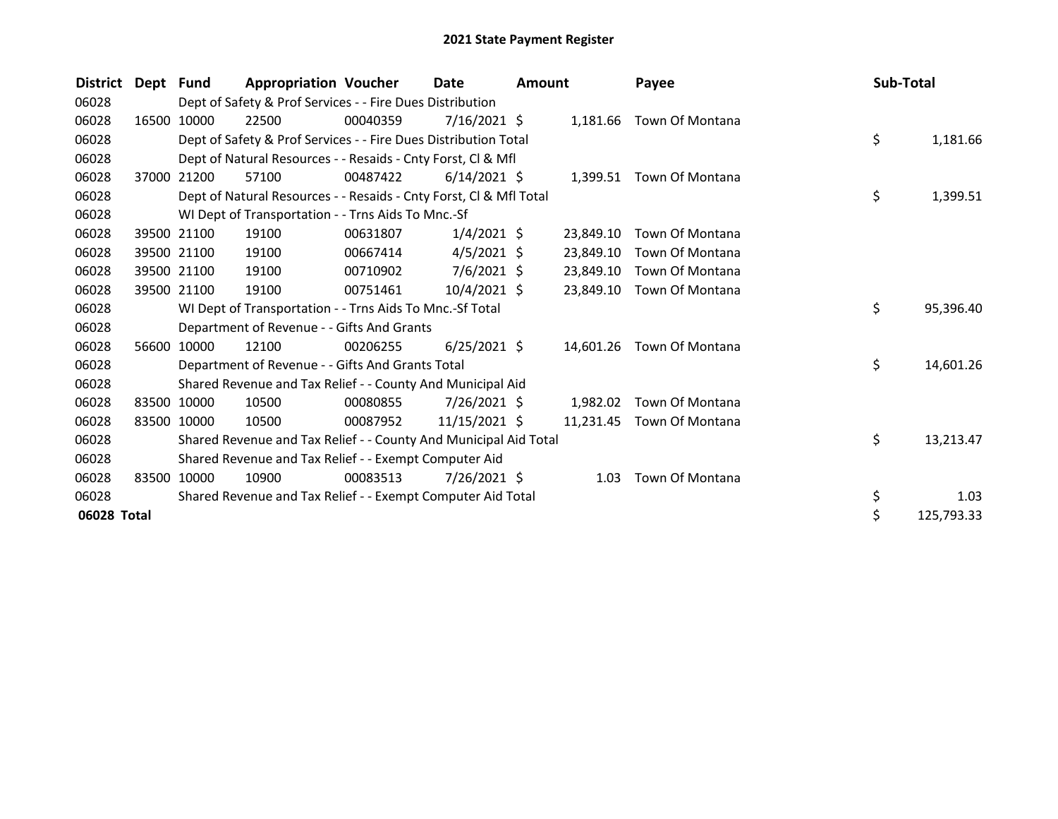| <b>District</b> | Dept Fund |             | <b>Appropriation Voucher</b>                                                |          | <b>Date</b>    | <b>Amount</b> |           | Payee                    |  | Sub-Total |            |  |  |  |
|-----------------|-----------|-------------|-----------------------------------------------------------------------------|----------|----------------|---------------|-----------|--------------------------|--|-----------|------------|--|--|--|
| 06028           |           |             | Dept of Safety & Prof Services - - Fire Dues Distribution<br>$7/16/2021$ \$ |          |                |               |           |                          |  |           |            |  |  |  |
| 06028           |           | 16500 10000 | 22500                                                                       | 00040359 |                |               | 1,181.66  | Town Of Montana          |  |           |            |  |  |  |
| 06028           |           |             | Dept of Safety & Prof Services - - Fire Dues Distribution Total             |          |                |               |           |                          |  | \$        | 1,181.66   |  |  |  |
| 06028           |           |             | Dept of Natural Resources - - Resaids - Cnty Forst, CI & Mfl                |          |                |               |           |                          |  |           |            |  |  |  |
| 06028           |           | 37000 21200 | 57100                                                                       | 00487422 | $6/14/2021$ \$ |               |           | 1,399.51 Town Of Montana |  |           |            |  |  |  |
| 06028           |           |             | Dept of Natural Resources - - Resaids - Cnty Forst, Cl & Mfl Total          |          |                |               |           |                          |  | \$        | 1,399.51   |  |  |  |
| 06028           |           |             | WI Dept of Transportation - - Trns Aids To Mnc.-Sf                          |          |                |               |           |                          |  |           |            |  |  |  |
| 06028           | 39500     | 21100       | 19100                                                                       | 00631807 | $1/4/2021$ \$  |               | 23,849.10 | Town Of Montana          |  |           |            |  |  |  |
| 06028           |           | 39500 21100 | 19100                                                                       | 00667414 | $4/5/2021$ \$  |               | 23.849.10 | Town Of Montana          |  |           |            |  |  |  |
| 06028           |           | 39500 21100 | 19100                                                                       | 00710902 | $7/6/2021$ \$  |               | 23,849.10 | Town Of Montana          |  |           |            |  |  |  |
| 06028           |           | 39500 21100 | 19100                                                                       | 00751461 | 10/4/2021 \$   |               | 23.849.10 | Town Of Montana          |  |           |            |  |  |  |
| 06028           |           |             | WI Dept of Transportation - - Trns Aids To Mnc.-Sf Total                    |          |                |               |           |                          |  | \$        | 95,396.40  |  |  |  |
| 06028           |           |             | Department of Revenue - - Gifts And Grants                                  |          |                |               |           |                          |  |           |            |  |  |  |
| 06028           |           | 56600 10000 | 12100                                                                       | 00206255 | $6/25/2021$ \$ |               | 14,601.26 | Town Of Montana          |  |           |            |  |  |  |
| 06028           |           |             | Department of Revenue - - Gifts And Grants Total                            |          |                |               |           |                          |  | \$        | 14,601.26  |  |  |  |
| 06028           |           |             | Shared Revenue and Tax Relief - - County And Municipal Aid                  |          |                |               |           |                          |  |           |            |  |  |  |
| 06028           |           | 83500 10000 | 10500                                                                       | 00080855 | $7/26/2021$ \$ |               | 1,982.02  | Town Of Montana          |  |           |            |  |  |  |
| 06028           |           | 83500 10000 | 10500                                                                       | 00087952 | 11/15/2021 \$  |               | 11,231.45 | Town Of Montana          |  |           |            |  |  |  |
| 06028           |           |             | Shared Revenue and Tax Relief - - County And Municipal Aid Total            |          |                |               |           |                          |  | \$        | 13,213.47  |  |  |  |
| 06028           |           |             | Shared Revenue and Tax Relief - - Exempt Computer Aid                       |          |                |               |           |                          |  |           |            |  |  |  |
| 06028           |           | 83500 10000 | 10900                                                                       | 00083513 | $7/26/2021$ \$ |               |           | 1.03 Town Of Montana     |  |           |            |  |  |  |
| 06028           |           |             | Shared Revenue and Tax Relief - - Exempt Computer Aid Total                 |          |                |               |           |                          |  | \$        | 1.03       |  |  |  |
| 06028 Total     |           |             |                                                                             |          |                |               |           |                          |  | \$        | 125,793.33 |  |  |  |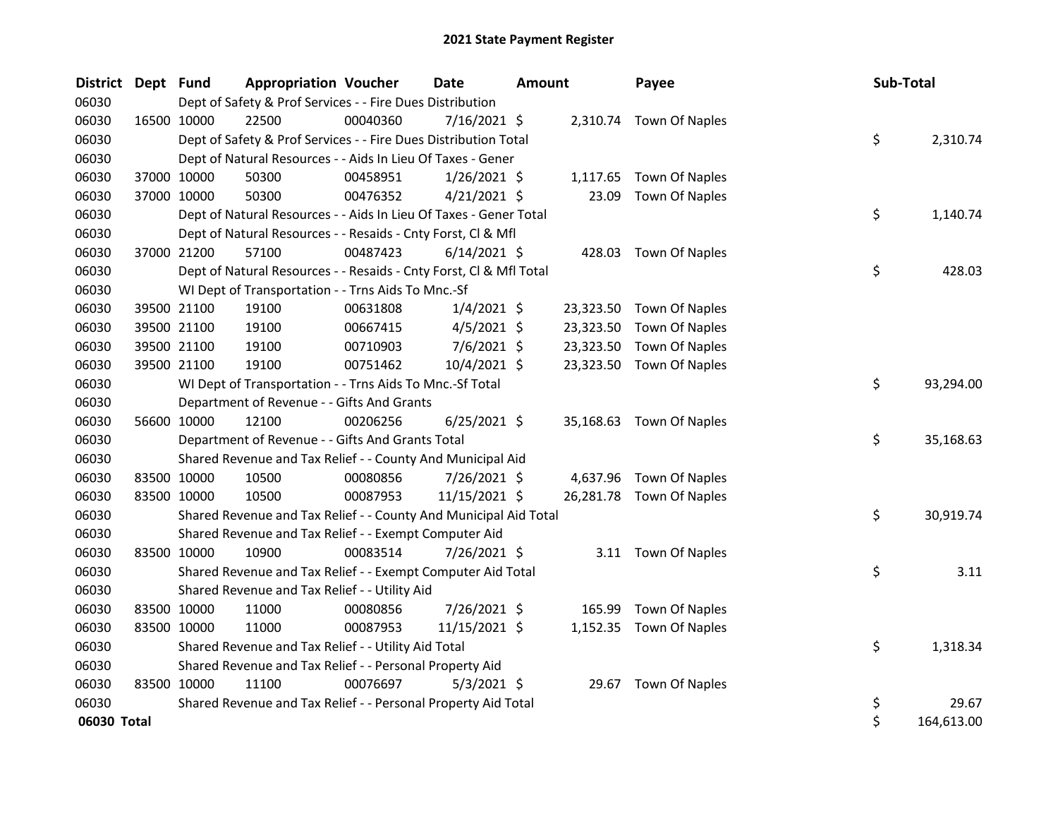| <b>District</b> | Dept Fund   |                                                                                      | <b>Appropriation Voucher</b>                                       |          | <b>Date</b>    | Amount |           | Payee                    |  | Sub-Total |            |
|-----------------|-------------|--------------------------------------------------------------------------------------|--------------------------------------------------------------------|----------|----------------|--------|-----------|--------------------------|--|-----------|------------|
| 06030           |             | Dept of Safety & Prof Services - - Fire Dues Distribution<br>2,310.74 Town Of Naples |                                                                    |          |                |        |           |                          |  |           |            |
| 06030           |             | 16500 10000                                                                          | 22500                                                              | 00040360 | 7/16/2021 \$   |        |           |                          |  |           |            |
| 06030           |             |                                                                                      | Dept of Safety & Prof Services - - Fire Dues Distribution Total    |          |                |        |           |                          |  | \$        | 2,310.74   |
| 06030           |             |                                                                                      | Dept of Natural Resources - - Aids In Lieu Of Taxes - Gener        |          |                |        |           |                          |  |           |            |
| 06030           |             | 37000 10000                                                                          | 50300                                                              | 00458951 | 1/26/2021 \$   |        | 1,117.65  | <b>Town Of Naples</b>    |  |           |            |
| 06030           |             | 37000 10000                                                                          | 50300                                                              | 00476352 | $4/21/2021$ \$ |        | 23.09     | <b>Town Of Naples</b>    |  |           |            |
| 06030           |             |                                                                                      | Dept of Natural Resources - - Aids In Lieu Of Taxes - Gener Total  |          |                |        |           |                          |  | \$        | 1,140.74   |
| 06030           |             |                                                                                      | Dept of Natural Resources - - Resaids - Cnty Forst, Cl & Mfl       |          |                |        |           |                          |  |           |            |
| 06030           |             | 37000 21200                                                                          | 57100                                                              | 00487423 | $6/14/2021$ \$ |        | 428.03    | <b>Town Of Naples</b>    |  |           |            |
| 06030           |             |                                                                                      | Dept of Natural Resources - - Resaids - Cnty Forst, Cl & Mfl Total |          |                |        |           |                          |  | \$        | 428.03     |
| 06030           |             |                                                                                      | WI Dept of Transportation - - Trns Aids To Mnc.-Sf                 |          |                |        |           |                          |  |           |            |
| 06030           |             | 39500 21100                                                                          | 19100                                                              | 00631808 | $1/4/2021$ \$  |        | 23,323.50 | Town Of Naples           |  |           |            |
| 06030           |             | 39500 21100                                                                          | 19100                                                              | 00667415 | $4/5/2021$ \$  |        | 23,323.50 | <b>Town Of Naples</b>    |  |           |            |
| 06030           |             | 39500 21100                                                                          | 19100                                                              | 00710903 | $7/6/2021$ \$  |        | 23,323.50 | <b>Town Of Naples</b>    |  |           |            |
| 06030           |             | 39500 21100                                                                          | 19100                                                              | 00751462 | 10/4/2021 \$   |        |           | 23,323.50 Town Of Naples |  |           |            |
| 06030           |             |                                                                                      | WI Dept of Transportation - - Trns Aids To Mnc.-Sf Total           |          |                |        |           |                          |  | \$        | 93,294.00  |
| 06030           |             |                                                                                      | Department of Revenue - - Gifts And Grants                         |          |                |        |           |                          |  |           |            |
| 06030           |             | 56600 10000                                                                          | 12100                                                              | 00206256 | $6/25/2021$ \$ |        |           | 35,168.63 Town Of Naples |  |           |            |
| 06030           |             |                                                                                      | Department of Revenue - - Gifts And Grants Total                   |          |                |        |           |                          |  | \$        | 35,168.63  |
| 06030           |             |                                                                                      | Shared Revenue and Tax Relief - - County And Municipal Aid         |          |                |        |           |                          |  |           |            |
| 06030           |             | 83500 10000                                                                          | 10500                                                              | 00080856 | 7/26/2021 \$   |        | 4,637.96  | Town Of Naples           |  |           |            |
| 06030           |             | 83500 10000                                                                          | 10500                                                              | 00087953 | 11/15/2021 \$  |        |           | 26,281.78 Town Of Naples |  |           |            |
| 06030           |             |                                                                                      | Shared Revenue and Tax Relief - - County And Municipal Aid Total   |          |                |        |           |                          |  | \$        | 30,919.74  |
| 06030           |             |                                                                                      | Shared Revenue and Tax Relief - - Exempt Computer Aid              |          |                |        |           |                          |  |           |            |
| 06030           | 83500 10000 |                                                                                      | 10900                                                              | 00083514 | 7/26/2021 \$   |        |           | 3.11 Town Of Naples      |  |           |            |
| 06030           |             |                                                                                      | Shared Revenue and Tax Relief - - Exempt Computer Aid Total        |          |                |        |           |                          |  | \$        | 3.11       |
| 06030           |             |                                                                                      | Shared Revenue and Tax Relief - - Utility Aid                      |          |                |        |           |                          |  |           |            |
| 06030           |             | 83500 10000                                                                          | 11000                                                              | 00080856 | 7/26/2021 \$   |        | 165.99    | Town Of Naples           |  |           |            |
| 06030           |             | 83500 10000                                                                          | 11000                                                              | 00087953 | 11/15/2021 \$  |        | 1,152.35  | <b>Town Of Naples</b>    |  |           |            |
| 06030           |             |                                                                                      | Shared Revenue and Tax Relief - - Utility Aid Total                |          |                |        |           |                          |  | \$        | 1,318.34   |
| 06030           |             |                                                                                      | Shared Revenue and Tax Relief - - Personal Property Aid            |          |                |        |           |                          |  |           |            |
| 06030           |             | 83500 10000                                                                          | 11100                                                              | 00076697 | $5/3/2021$ \$  |        | 29.67     | <b>Town Of Naples</b>    |  |           |            |
| 06030           |             |                                                                                      | Shared Revenue and Tax Relief - - Personal Property Aid Total      |          |                |        |           |                          |  | \$        | 29.67      |
| 06030 Total     |             |                                                                                      |                                                                    |          |                |        |           |                          |  | \$        | 164,613.00 |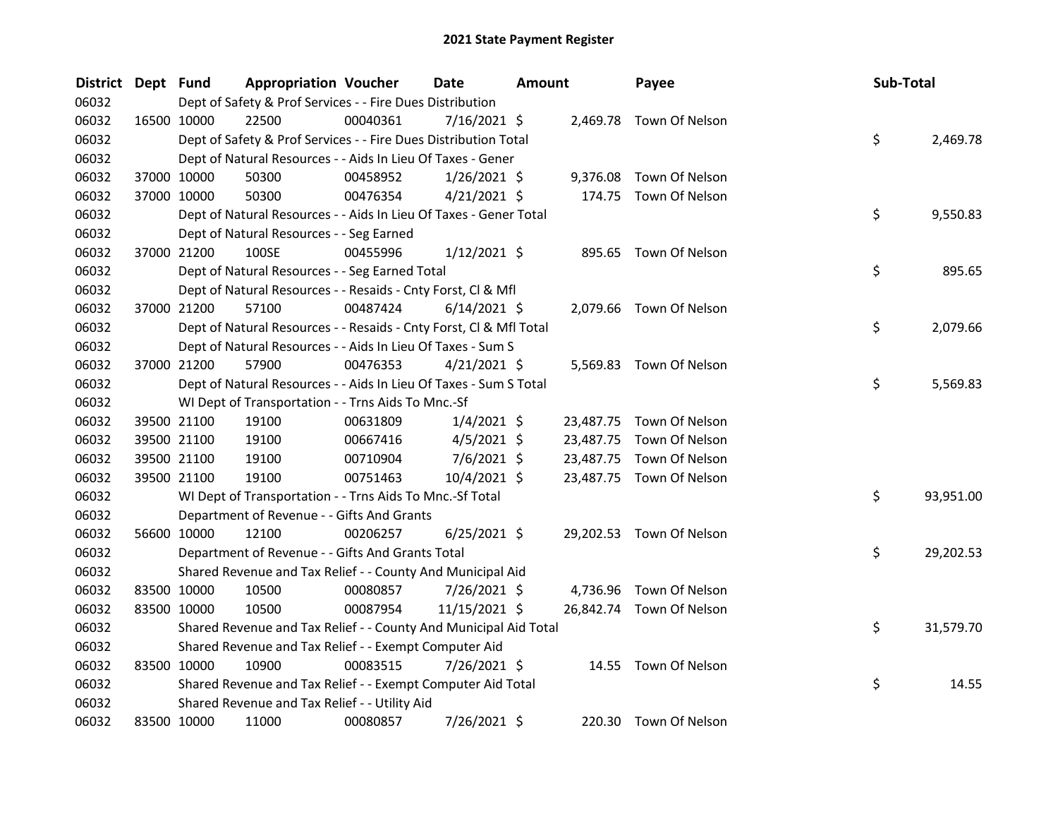| <b>District</b> | Dept Fund   |             | <b>Appropriation Voucher</b>                                       |          | <b>Date</b>    | <b>Amount</b> |           | Payee                    | Sub-Total |           |
|-----------------|-------------|-------------|--------------------------------------------------------------------|----------|----------------|---------------|-----------|--------------------------|-----------|-----------|
| 06032           |             |             | Dept of Safety & Prof Services - - Fire Dues Distribution          |          |                |               |           |                          |           |           |
| 06032           |             | 16500 10000 | 22500                                                              | 00040361 | $7/16/2021$ \$ |               |           | 2,469.78 Town Of Nelson  |           |           |
| 06032           |             |             | Dept of Safety & Prof Services - - Fire Dues Distribution Total    |          |                |               |           |                          | \$        | 2,469.78  |
| 06032           |             |             | Dept of Natural Resources - - Aids In Lieu Of Taxes - Gener        |          |                |               |           |                          |           |           |
| 06032           |             | 37000 10000 | 50300                                                              | 00458952 | $1/26/2021$ \$ |               | 9,376.08  | Town Of Nelson           |           |           |
| 06032           |             | 37000 10000 | 50300                                                              | 00476354 | $4/21/2021$ \$ |               |           | 174.75 Town Of Nelson    |           |           |
| 06032           |             |             | Dept of Natural Resources - - Aids In Lieu Of Taxes - Gener Total  |          |                |               |           |                          | \$        | 9,550.83  |
| 06032           |             |             | Dept of Natural Resources - - Seg Earned                           |          |                |               |           |                          |           |           |
| 06032           |             | 37000 21200 | 100SE                                                              | 00455996 | $1/12/2021$ \$ |               |           | 895.65 Town Of Nelson    |           |           |
| 06032           |             |             | Dept of Natural Resources - - Seg Earned Total                     |          |                |               |           |                          | \$        | 895.65    |
| 06032           |             |             | Dept of Natural Resources - - Resaids - Cnty Forst, Cl & Mfl       |          |                |               |           |                          |           |           |
| 06032           |             | 37000 21200 | 57100                                                              | 00487424 | $6/14/2021$ \$ |               |           | 2,079.66 Town Of Nelson  |           |           |
| 06032           |             |             | Dept of Natural Resources - - Resaids - Cnty Forst, Cl & Mfl Total |          |                |               |           |                          | \$        | 2,079.66  |
| 06032           |             |             | Dept of Natural Resources - - Aids In Lieu Of Taxes - Sum S        |          |                |               |           |                          |           |           |
| 06032           |             | 37000 21200 | 57900                                                              | 00476353 | $4/21/2021$ \$ |               |           | 5,569.83 Town Of Nelson  |           |           |
| 06032           |             |             | Dept of Natural Resources - - Aids In Lieu Of Taxes - Sum S Total  |          |                |               |           |                          | \$        | 5,569.83  |
| 06032           |             |             | WI Dept of Transportation - - Trns Aids To Mnc.-Sf                 |          |                |               |           |                          |           |           |
| 06032           |             | 39500 21100 | 19100                                                              | 00631809 | $1/4/2021$ \$  |               |           | 23,487.75 Town Of Nelson |           |           |
| 06032           |             | 39500 21100 | 19100                                                              | 00667416 | $4/5/2021$ \$  |               | 23,487.75 | Town Of Nelson           |           |           |
| 06032           |             | 39500 21100 | 19100                                                              | 00710904 | $7/6/2021$ \$  |               | 23,487.75 | Town Of Nelson           |           |           |
| 06032           |             | 39500 21100 | 19100                                                              | 00751463 | 10/4/2021 \$   |               |           | 23,487.75 Town Of Nelson |           |           |
| 06032           |             |             | WI Dept of Transportation - - Trns Aids To Mnc.-Sf Total           |          |                |               |           |                          | \$        | 93,951.00 |
| 06032           |             |             | Department of Revenue - - Gifts And Grants                         |          |                |               |           |                          |           |           |
| 06032           |             | 56600 10000 | 12100                                                              | 00206257 | $6/25/2021$ \$ |               |           | 29,202.53 Town Of Nelson |           |           |
| 06032           |             |             | Department of Revenue - - Gifts And Grants Total                   |          |                |               |           |                          | \$        | 29,202.53 |
| 06032           |             |             | Shared Revenue and Tax Relief - - County And Municipal Aid         |          |                |               |           |                          |           |           |
| 06032           |             | 83500 10000 | 10500                                                              | 00080857 | 7/26/2021 \$   |               | 4,736.96  | Town Of Nelson           |           |           |
| 06032           | 83500 10000 |             | 10500                                                              | 00087954 | 11/15/2021 \$  |               | 26,842.74 | Town Of Nelson           |           |           |
| 06032           |             |             | Shared Revenue and Tax Relief - - County And Municipal Aid Total   |          |                |               |           |                          | \$        | 31,579.70 |
| 06032           |             |             | Shared Revenue and Tax Relief - - Exempt Computer Aid              |          |                |               |           |                          |           |           |
| 06032           | 83500 10000 |             | 10900                                                              | 00083515 | 7/26/2021 \$   |               |           | 14.55 Town Of Nelson     |           |           |
| 06032           |             |             | Shared Revenue and Tax Relief - - Exempt Computer Aid Total        |          |                |               |           |                          | \$        | 14.55     |
| 06032           |             |             | Shared Revenue and Tax Relief - - Utility Aid                      |          |                |               |           |                          |           |           |
| 06032           | 83500 10000 |             | 11000                                                              | 00080857 | 7/26/2021 \$   |               |           | 220.30 Town Of Nelson    |           |           |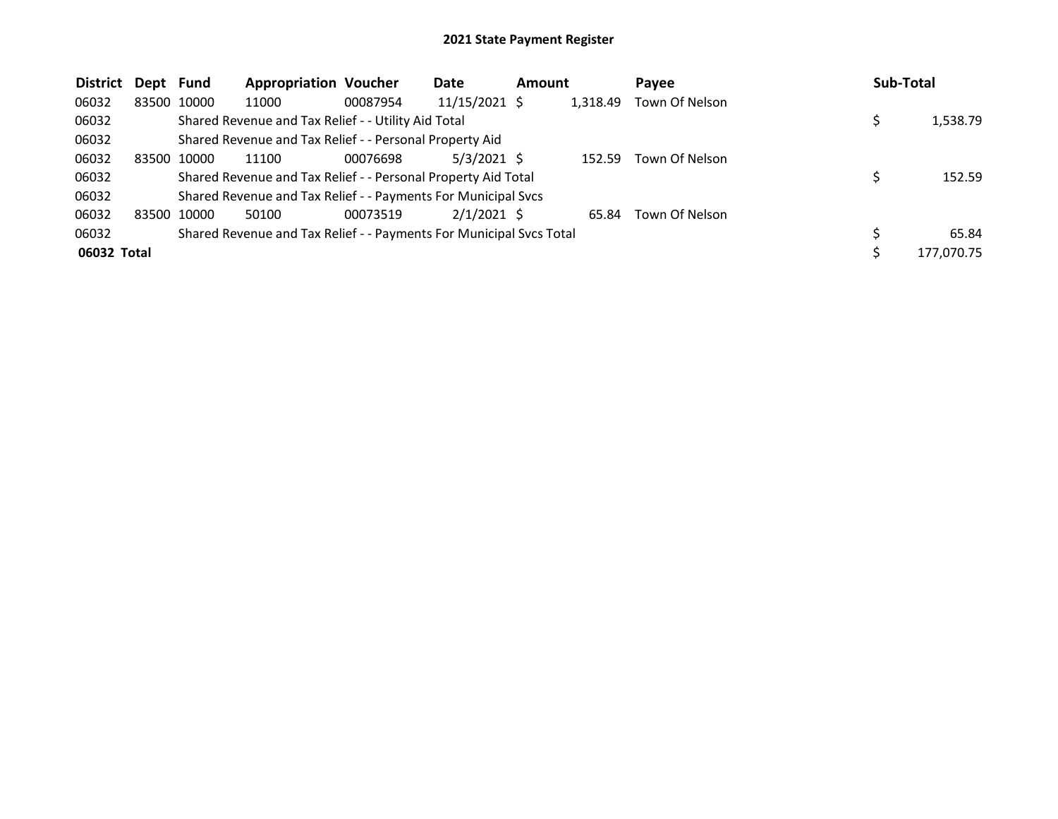| District Dept Fund |       |             | <b>Appropriation Voucher</b>                                        |          | Date          | <b>Amount</b> |          | Payee          |    | Sub-Total  |
|--------------------|-------|-------------|---------------------------------------------------------------------|----------|---------------|---------------|----------|----------------|----|------------|
| 06032              |       | 83500 10000 | 11000                                                               | 00087954 | 11/15/2021 \$ |               | 1,318.49 | Town Of Nelson |    |            |
| 06032              |       |             | Shared Revenue and Tax Relief - - Utility Aid Total                 |          |               |               |          |                |    | 1,538.79   |
| 06032              |       |             | Shared Revenue and Tax Relief - - Personal Property Aid             |          |               |               |          |                |    |            |
| 06032              |       | 83500 10000 | 11100                                                               | 00076698 | $5/3/2021$ \$ |               | 152.59   | Town Of Nelson |    |            |
| 06032              |       |             | Shared Revenue and Tax Relief - - Personal Property Aid Total       |          |               |               |          |                |    | 152.59     |
| 06032              |       |             | Shared Revenue and Tax Relief - - Payments For Municipal Svcs       |          |               |               |          |                |    |            |
| 06032              | 83500 | 10000       | 50100                                                               | 00073519 | $2/1/2021$ \$ |               | 65.84    | Town Of Nelson |    |            |
| 06032              |       |             | Shared Revenue and Tax Relief - - Payments For Municipal Svcs Total |          |               |               |          |                | Ŝ. | 65.84      |
| 06032 Total        |       |             |                                                                     |          |               |               |          |                |    | 177.070.75 |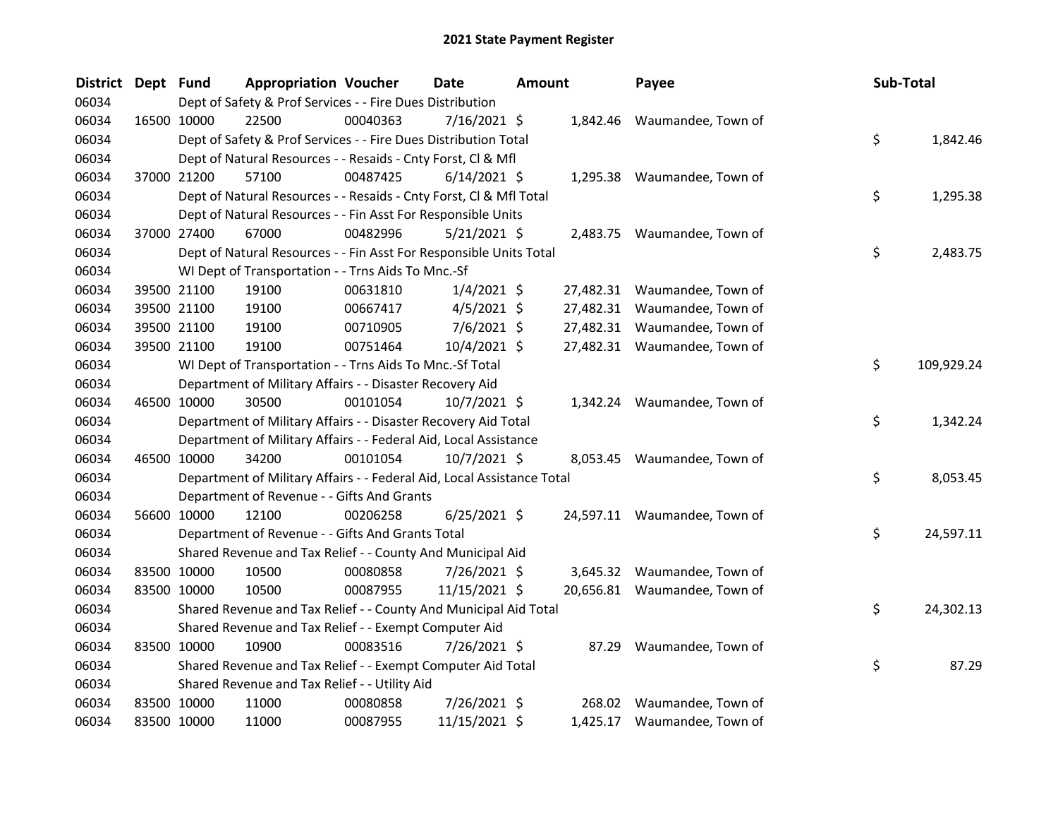| <b>District</b> | Dept Fund |             | <b>Appropriation Voucher</b>                                           |          | <b>Date</b>    | <b>Amount</b> | Payee                        | Sub-Total |            |
|-----------------|-----------|-------------|------------------------------------------------------------------------|----------|----------------|---------------|------------------------------|-----------|------------|
| 06034           |           |             | Dept of Safety & Prof Services - - Fire Dues Distribution              |          |                |               |                              |           |            |
| 06034           |           | 16500 10000 | 22500                                                                  | 00040363 | 7/16/2021 \$   |               | 1,842.46 Waumandee, Town of  |           |            |
| 06034           |           |             | Dept of Safety & Prof Services - - Fire Dues Distribution Total        |          |                |               |                              | \$        | 1,842.46   |
| 06034           |           |             | Dept of Natural Resources - - Resaids - Cnty Forst, Cl & Mfl           |          |                |               |                              |           |            |
| 06034           |           | 37000 21200 | 57100                                                                  | 00487425 | $6/14/2021$ \$ |               | 1,295.38 Waumandee, Town of  |           |            |
| 06034           |           |             | Dept of Natural Resources - - Resaids - Cnty Forst, CI & Mfl Total     |          |                |               |                              | \$        | 1,295.38   |
| 06034           |           |             | Dept of Natural Resources - - Fin Asst For Responsible Units           |          |                |               |                              |           |            |
| 06034           |           | 37000 27400 | 67000                                                                  | 00482996 | $5/21/2021$ \$ |               | 2,483.75 Waumandee, Town of  |           |            |
| 06034           |           |             | Dept of Natural Resources - - Fin Asst For Responsible Units Total     |          |                |               |                              | \$        | 2,483.75   |
| 06034           |           |             | WI Dept of Transportation - - Trns Aids To Mnc.-Sf                     |          |                |               |                              |           |            |
| 06034           |           | 39500 21100 | 19100                                                                  | 00631810 | $1/4/2021$ \$  |               | 27,482.31 Waumandee, Town of |           |            |
| 06034           |           | 39500 21100 | 19100                                                                  | 00667417 | 4/5/2021 \$    |               | 27,482.31 Waumandee, Town of |           |            |
| 06034           |           | 39500 21100 | 19100                                                                  | 00710905 | $7/6/2021$ \$  |               | 27,482.31 Waumandee, Town of |           |            |
| 06034           |           | 39500 21100 | 19100                                                                  | 00751464 | 10/4/2021 \$   |               | 27,482.31 Waumandee, Town of |           |            |
| 06034           |           |             | WI Dept of Transportation - - Trns Aids To Mnc.-Sf Total               |          |                |               |                              | \$        | 109,929.24 |
| 06034           |           |             | Department of Military Affairs - - Disaster Recovery Aid               |          |                |               |                              |           |            |
| 06034           |           | 46500 10000 | 30500                                                                  | 00101054 | $10/7/2021$ \$ |               | 1,342.24 Waumandee, Town of  |           |            |
| 06034           |           |             | Department of Military Affairs - - Disaster Recovery Aid Total         |          |                |               |                              | \$        | 1,342.24   |
| 06034           |           |             | Department of Military Affairs - - Federal Aid, Local Assistance       |          |                |               |                              |           |            |
| 06034           |           | 46500 10000 | 34200                                                                  | 00101054 | 10/7/2021 \$   |               | 8,053.45 Waumandee, Town of  |           |            |
| 06034           |           |             | Department of Military Affairs - - Federal Aid, Local Assistance Total |          |                |               |                              | \$        | 8,053.45   |
| 06034           |           |             | Department of Revenue - - Gifts And Grants                             |          |                |               |                              |           |            |
| 06034           |           | 56600 10000 | 12100                                                                  | 00206258 | $6/25/2021$ \$ |               | 24,597.11 Waumandee, Town of |           |            |
| 06034           |           |             | Department of Revenue - - Gifts And Grants Total                       |          |                |               |                              | \$        | 24,597.11  |
| 06034           |           |             | Shared Revenue and Tax Relief - - County And Municipal Aid             |          |                |               |                              |           |            |
| 06034           |           | 83500 10000 | 10500                                                                  | 00080858 | 7/26/2021 \$   |               | 3,645.32 Waumandee, Town of  |           |            |
| 06034           |           | 83500 10000 | 10500                                                                  | 00087955 | 11/15/2021 \$  |               | 20,656.81 Waumandee, Town of |           |            |
| 06034           |           |             | Shared Revenue and Tax Relief - - County And Municipal Aid Total       |          |                |               |                              | \$        | 24,302.13  |
| 06034           |           |             | Shared Revenue and Tax Relief - - Exempt Computer Aid                  |          |                |               |                              |           |            |
| 06034           |           | 83500 10000 | 10900                                                                  | 00083516 | 7/26/2021 \$   |               | 87.29 Waumandee, Town of     |           |            |
| 06034           |           |             | Shared Revenue and Tax Relief - - Exempt Computer Aid Total            |          |                |               |                              | \$        | 87.29      |
| 06034           |           |             | Shared Revenue and Tax Relief - - Utility Aid                          |          |                |               |                              |           |            |
| 06034           |           | 83500 10000 | 11000                                                                  | 00080858 | 7/26/2021 \$   |               | 268.02 Waumandee, Town of    |           |            |
| 06034           |           | 83500 10000 | 11000                                                                  | 00087955 | 11/15/2021 \$  |               | 1,425.17 Waumandee, Town of  |           |            |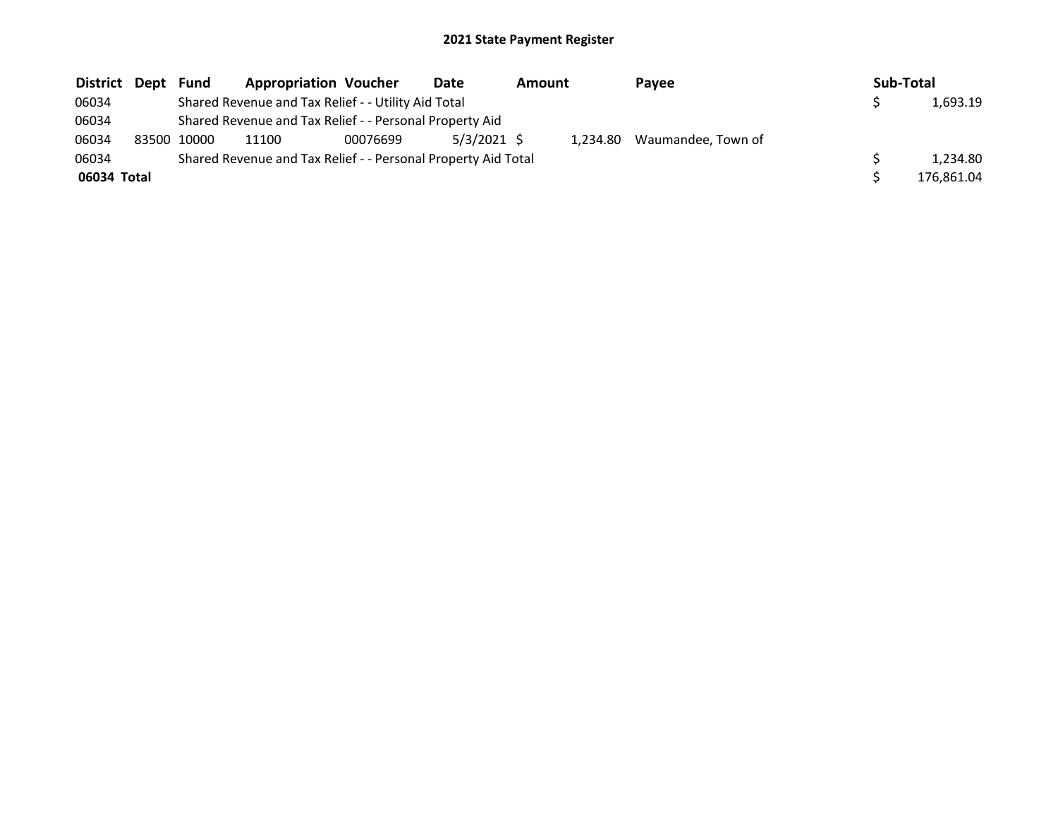| District Dept | Fund        | <b>Appropriation Voucher</b>                                  |          | Date          | Amount |          | Payee              | Sub-Total |            |
|---------------|-------------|---------------------------------------------------------------|----------|---------------|--------|----------|--------------------|-----------|------------|
| 06034         |             | Shared Revenue and Tax Relief - - Utility Aid Total           |          |               |        |          |                    |           | 1,693.19   |
| 06034         |             | Shared Revenue and Tax Relief - - Personal Property Aid       |          |               |        |          |                    |           |            |
| 06034         | 83500 10000 | 11100                                                         | 00076699 | $5/3/2021$ \$ |        | 1.234.80 | Waumandee, Town of |           |            |
| 06034         |             | Shared Revenue and Tax Relief - - Personal Property Aid Total |          |               |        |          |                    |           | 1.234.80   |
| 06034 Total   |             |                                                               |          |               |        |          |                    |           | 176.861.04 |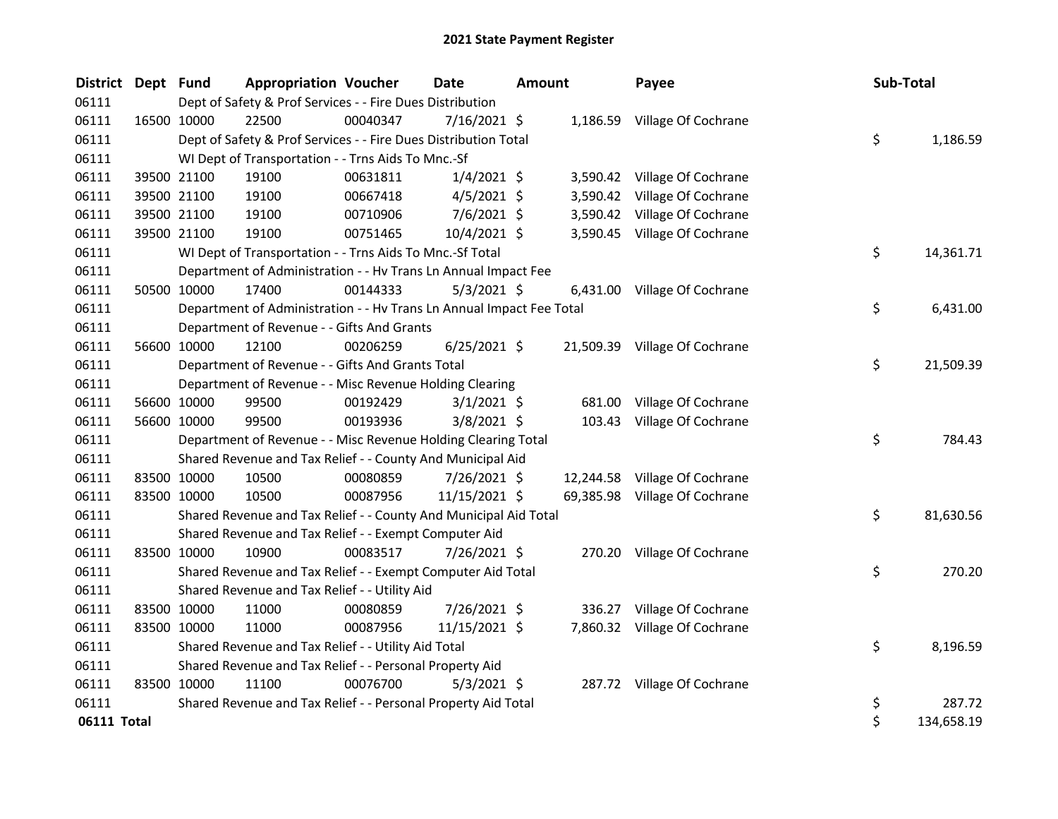| District Dept Fund |             |             | <b>Appropriation Voucher</b>                                         |          | Date           | <b>Amount</b> |          | Payee                         | Sub-Total |            |
|--------------------|-------------|-------------|----------------------------------------------------------------------|----------|----------------|---------------|----------|-------------------------------|-----------|------------|
| 06111              |             |             | Dept of Safety & Prof Services - - Fire Dues Distribution            |          |                |               |          |                               |           |            |
| 06111              |             | 16500 10000 | 22500                                                                | 00040347 | 7/16/2021 \$   |               |          | 1,186.59 Village Of Cochrane  |           |            |
| 06111              |             |             | Dept of Safety & Prof Services - - Fire Dues Distribution Total      |          |                |               |          |                               | \$        | 1,186.59   |
| 06111              |             |             | WI Dept of Transportation - - Trns Aids To Mnc.-Sf                   |          |                |               |          |                               |           |            |
| 06111              |             | 39500 21100 | 19100                                                                | 00631811 | $1/4/2021$ \$  |               |          | 3,590.42 Village Of Cochrane  |           |            |
| 06111              |             | 39500 21100 | 19100                                                                | 00667418 | $4/5/2021$ \$  |               | 3,590.42 | Village Of Cochrane           |           |            |
| 06111              |             | 39500 21100 | 19100                                                                | 00710906 | $7/6/2021$ \$  |               | 3,590.42 | Village Of Cochrane           |           |            |
| 06111              |             | 39500 21100 | 19100                                                                | 00751465 | 10/4/2021 \$   |               |          | 3,590.45 Village Of Cochrane  |           |            |
| 06111              |             |             | WI Dept of Transportation - - Trns Aids To Mnc.-Sf Total             |          |                |               |          |                               | \$        | 14,361.71  |
| 06111              |             |             | Department of Administration - - Hv Trans Ln Annual Impact Fee       |          |                |               |          |                               |           |            |
| 06111              |             | 50500 10000 | 17400                                                                | 00144333 | $5/3/2021$ \$  |               |          | 6,431.00 Village Of Cochrane  |           |            |
| 06111              |             |             | Department of Administration - - Hv Trans Ln Annual Impact Fee Total |          |                |               |          |                               | \$        | 6,431.00   |
| 06111              |             |             | Department of Revenue - - Gifts And Grants                           |          |                |               |          |                               |           |            |
| 06111              |             | 56600 10000 | 12100                                                                | 00206259 | $6/25/2021$ \$ |               |          | 21,509.39 Village Of Cochrane |           |            |
| 06111              |             |             | Department of Revenue - - Gifts And Grants Total                     |          |                |               |          |                               | \$        | 21,509.39  |
| 06111              |             |             | Department of Revenue - - Misc Revenue Holding Clearing              |          |                |               |          |                               |           |            |
| 06111              |             | 56600 10000 | 99500                                                                | 00192429 | $3/1/2021$ \$  |               | 681.00   | Village Of Cochrane           |           |            |
| 06111              |             | 56600 10000 | 99500                                                                | 00193936 | 3/8/2021 \$    |               |          | 103.43 Village Of Cochrane    |           |            |
| 06111              |             |             | Department of Revenue - - Misc Revenue Holding Clearing Total        |          |                |               |          |                               | \$        | 784.43     |
| 06111              |             |             | Shared Revenue and Tax Relief - - County And Municipal Aid           |          |                |               |          |                               |           |            |
| 06111              |             | 83500 10000 | 10500                                                                | 00080859 | 7/26/2021 \$   |               |          | 12,244.58 Village Of Cochrane |           |            |
| 06111              |             | 83500 10000 | 10500                                                                | 00087956 | 11/15/2021 \$  |               |          | 69,385.98 Village Of Cochrane |           |            |
| 06111              |             |             | Shared Revenue and Tax Relief - - County And Municipal Aid Total     |          |                |               |          |                               | \$        | 81,630.56  |
| 06111              |             |             | Shared Revenue and Tax Relief - - Exempt Computer Aid                |          |                |               |          |                               |           |            |
| 06111              | 83500 10000 |             | 10900                                                                | 00083517 | 7/26/2021 \$   |               |          | 270.20 Village Of Cochrane    |           |            |
| 06111              |             |             | Shared Revenue and Tax Relief - - Exempt Computer Aid Total          |          |                |               |          |                               | \$        | 270.20     |
| 06111              |             |             | Shared Revenue and Tax Relief - - Utility Aid                        |          |                |               |          |                               |           |            |
| 06111              |             | 83500 10000 | 11000                                                                | 00080859 | 7/26/2021 \$   |               | 336.27   | Village Of Cochrane           |           |            |
| 06111              |             | 83500 10000 | 11000                                                                | 00087956 | 11/15/2021 \$  |               |          | 7,860.32 Village Of Cochrane  |           |            |
| 06111              |             |             | Shared Revenue and Tax Relief - - Utility Aid Total                  |          |                |               |          |                               | \$        | 8,196.59   |
| 06111              |             |             | Shared Revenue and Tax Relief - - Personal Property Aid              |          |                |               |          |                               |           |            |
| 06111              |             | 83500 10000 | 11100                                                                | 00076700 | $5/3/2021$ \$  |               |          | 287.72 Village Of Cochrane    |           |            |
| 06111              |             |             | Shared Revenue and Tax Relief - - Personal Property Aid Total        |          |                |               |          |                               | \$        | 287.72     |
| 06111 Total        |             |             |                                                                      |          |                |               |          |                               | \$        | 134,658.19 |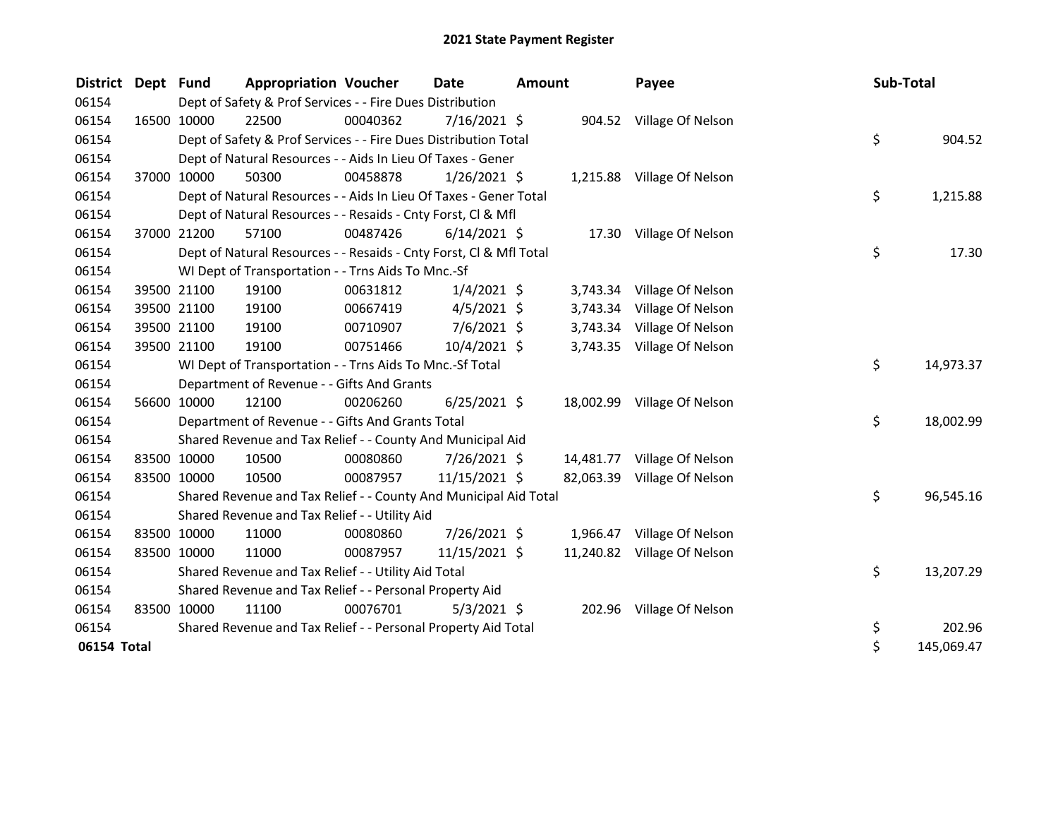| <b>District</b> | Dept Fund |             | <b>Appropriation Voucher</b>                                       |          | <b>Date</b>    | Amount |          | Payee                       | <b>Sub-Total</b> |            |
|-----------------|-----------|-------------|--------------------------------------------------------------------|----------|----------------|--------|----------|-----------------------------|------------------|------------|
| 06154           |           |             | Dept of Safety & Prof Services - - Fire Dues Distribution          |          |                |        |          |                             |                  |            |
| 06154           |           | 16500 10000 | 22500                                                              | 00040362 | 7/16/2021 \$   |        |          | 904.52 Village Of Nelson    |                  |            |
| 06154           |           |             | Dept of Safety & Prof Services - - Fire Dues Distribution Total    |          |                |        |          |                             | \$               | 904.52     |
| 06154           |           |             | Dept of Natural Resources - - Aids In Lieu Of Taxes - Gener        |          |                |        |          |                             |                  |            |
| 06154           |           | 37000 10000 | 50300                                                              | 00458878 | $1/26/2021$ \$ |        |          | 1,215.88 Village Of Nelson  |                  |            |
| 06154           |           |             | Dept of Natural Resources - - Aids In Lieu Of Taxes - Gener Total  |          |                |        |          |                             | \$               | 1,215.88   |
| 06154           |           |             | Dept of Natural Resources - - Resaids - Cnty Forst, Cl & Mfl       |          |                |        |          |                             |                  |            |
| 06154           |           | 37000 21200 | 57100                                                              | 00487426 | $6/14/2021$ \$ |        |          | 17.30 Village Of Nelson     |                  |            |
| 06154           |           |             | Dept of Natural Resources - - Resaids - Cnty Forst, CI & Mfl Total |          |                |        |          |                             | \$               | 17.30      |
| 06154           |           |             | WI Dept of Transportation - - Trns Aids To Mnc.-Sf                 |          |                |        |          |                             |                  |            |
| 06154           |           | 39500 21100 | 19100                                                              | 00631812 | $1/4/2021$ \$  |        |          | 3,743.34 Village Of Nelson  |                  |            |
| 06154           |           | 39500 21100 | 19100                                                              | 00667419 | $4/5/2021$ \$  |        | 3,743.34 | Village Of Nelson           |                  |            |
| 06154           |           | 39500 21100 | 19100                                                              | 00710907 | $7/6/2021$ \$  |        | 3,743.34 | Village Of Nelson           |                  |            |
| 06154           |           | 39500 21100 | 19100                                                              | 00751466 | 10/4/2021 \$   |        |          | 3,743.35 Village Of Nelson  |                  |            |
| 06154           |           |             | WI Dept of Transportation - - Trns Aids To Mnc.-Sf Total           |          |                |        |          |                             | \$               | 14,973.37  |
| 06154           |           |             | Department of Revenue - - Gifts And Grants                         |          |                |        |          |                             |                  |            |
| 06154           |           | 56600 10000 | 12100                                                              | 00206260 | $6/25/2021$ \$ |        |          | 18,002.99 Village Of Nelson |                  |            |
| 06154           |           |             | Department of Revenue - - Gifts And Grants Total                   |          |                |        |          |                             | \$               | 18,002.99  |
| 06154           |           |             | Shared Revenue and Tax Relief - - County And Municipal Aid         |          |                |        |          |                             |                  |            |
| 06154           |           | 83500 10000 | 10500                                                              | 00080860 | 7/26/2021 \$   |        |          | 14,481.77 Village Of Nelson |                  |            |
| 06154           |           | 83500 10000 | 10500                                                              | 00087957 | 11/15/2021 \$  |        |          | 82,063.39 Village Of Nelson |                  |            |
| 06154           |           |             | Shared Revenue and Tax Relief - - County And Municipal Aid Total   |          |                |        |          |                             | \$               | 96,545.16  |
| 06154           |           |             | Shared Revenue and Tax Relief - - Utility Aid                      |          |                |        |          |                             |                  |            |
| 06154           |           | 83500 10000 | 11000                                                              | 00080860 | 7/26/2021 \$   |        |          | 1,966.47 Village Of Nelson  |                  |            |
| 06154           |           | 83500 10000 | 11000                                                              | 00087957 | 11/15/2021 \$  |        |          | 11,240.82 Village Of Nelson |                  |            |
| 06154           |           |             | Shared Revenue and Tax Relief - - Utility Aid Total                |          |                |        |          |                             | \$               | 13,207.29  |
| 06154           |           |             | Shared Revenue and Tax Relief - - Personal Property Aid            |          |                |        |          |                             |                  |            |
| 06154           |           | 83500 10000 | 11100                                                              | 00076701 | $5/3/2021$ \$  |        |          | 202.96 Village Of Nelson    |                  |            |
| 06154           |           |             | Shared Revenue and Tax Relief - - Personal Property Aid Total      |          |                |        |          |                             | \$               | 202.96     |
| 06154 Total     |           |             |                                                                    |          |                |        |          |                             | \$               | 145,069.47 |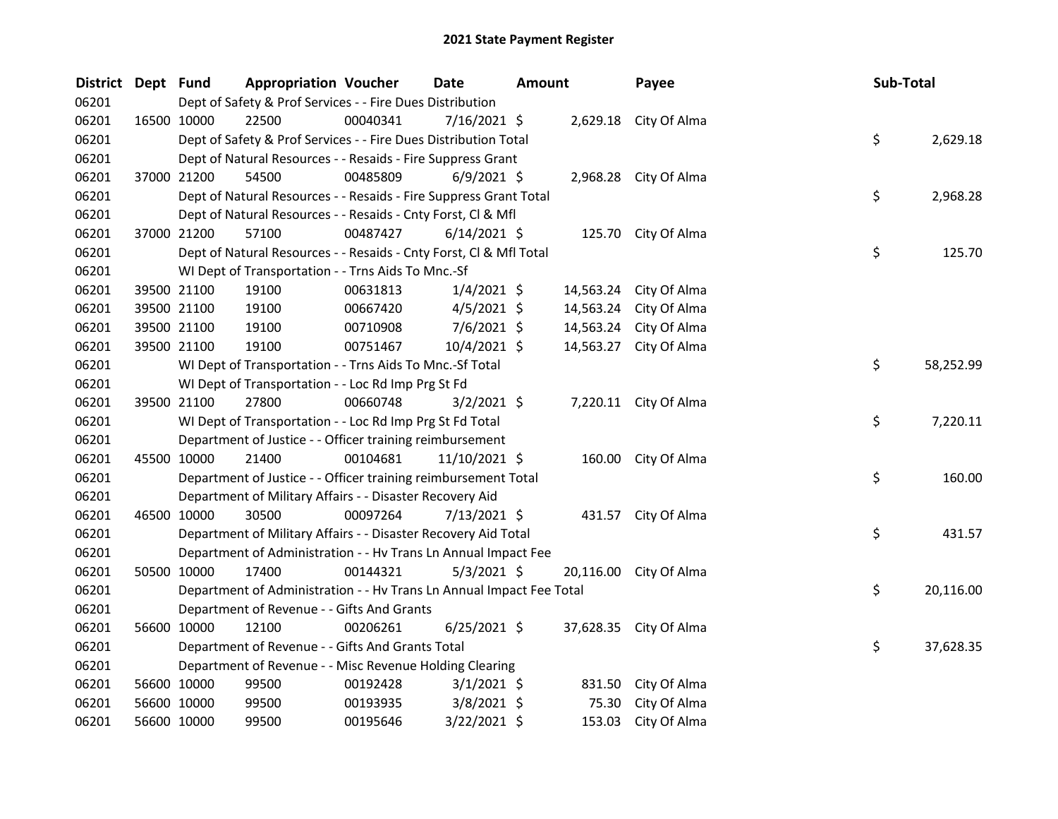| <b>District</b> | Dept Fund   |             | <b>Appropriation Voucher</b>                                         |          | Date           | <b>Amount</b> |           | Payee                  | Sub-Total |           |
|-----------------|-------------|-------------|----------------------------------------------------------------------|----------|----------------|---------------|-----------|------------------------|-----------|-----------|
| 06201           |             |             | Dept of Safety & Prof Services - - Fire Dues Distribution            |          |                |               |           |                        |           |           |
| 06201           |             | 16500 10000 | 22500                                                                | 00040341 | 7/16/2021 \$   |               |           | 2,629.18 City Of Alma  |           |           |
| 06201           |             |             | Dept of Safety & Prof Services - - Fire Dues Distribution Total      |          |                |               |           |                        | \$        | 2,629.18  |
| 06201           |             |             | Dept of Natural Resources - - Resaids - Fire Suppress Grant          |          |                |               |           |                        |           |           |
| 06201           |             | 37000 21200 | 54500                                                                | 00485809 | $6/9/2021$ \$  |               |           | 2,968.28 City Of Alma  |           |           |
| 06201           |             |             | Dept of Natural Resources - - Resaids - Fire Suppress Grant Total    |          |                |               |           |                        | \$        | 2,968.28  |
| 06201           |             |             | Dept of Natural Resources - - Resaids - Cnty Forst, Cl & Mfl         |          |                |               |           |                        |           |           |
| 06201           |             | 37000 21200 | 57100                                                                | 00487427 | $6/14/2021$ \$ |               |           | 125.70 City Of Alma    |           |           |
| 06201           |             |             | Dept of Natural Resources - - Resaids - Cnty Forst, CI & Mfl Total   |          |                |               |           |                        | \$        | 125.70    |
| 06201           |             |             | WI Dept of Transportation - - Trns Aids To Mnc.-Sf                   |          |                |               |           |                        |           |           |
| 06201           |             | 39500 21100 | 19100                                                                | 00631813 | $1/4/2021$ \$  |               | 14,563.24 | City Of Alma           |           |           |
| 06201           |             | 39500 21100 | 19100                                                                | 00667420 | $4/5/2021$ \$  |               | 14,563.24 | City Of Alma           |           |           |
| 06201           |             | 39500 21100 | 19100                                                                | 00710908 | 7/6/2021 \$    |               | 14,563.24 | City Of Alma           |           |           |
| 06201           |             | 39500 21100 | 19100                                                                | 00751467 | 10/4/2021 \$   |               | 14,563.27 | City Of Alma           |           |           |
| 06201           |             |             | WI Dept of Transportation - - Trns Aids To Mnc.-Sf Total             |          |                |               |           |                        | \$        | 58,252.99 |
| 06201           |             |             | WI Dept of Transportation - - Loc Rd Imp Prg St Fd                   |          |                |               |           |                        |           |           |
| 06201           |             | 39500 21100 | 27800                                                                | 00660748 | $3/2/2021$ \$  |               |           | 7,220.11 City Of Alma  |           |           |
| 06201           |             |             | WI Dept of Transportation - - Loc Rd Imp Prg St Fd Total             |          |                |               |           |                        | \$        | 7,220.11  |
| 06201           |             |             | Department of Justice - - Officer training reimbursement             |          |                |               |           |                        |           |           |
| 06201           | 45500 10000 |             | 21400                                                                | 00104681 | 11/10/2021 \$  |               |           | 160.00 City Of Alma    |           |           |
| 06201           |             |             | Department of Justice - - Officer training reimbursement Total       |          |                |               |           |                        | \$        | 160.00    |
| 06201           |             |             | Department of Military Affairs - - Disaster Recovery Aid             |          |                |               |           |                        |           |           |
| 06201           |             | 46500 10000 | 30500                                                                | 00097264 | 7/13/2021 \$   |               |           | 431.57 City Of Alma    |           |           |
| 06201           |             |             | Department of Military Affairs - - Disaster Recovery Aid Total       |          |                |               |           |                        | \$        | 431.57    |
| 06201           |             |             | Department of Administration - - Hv Trans Ln Annual Impact Fee       |          |                |               |           |                        |           |           |
| 06201           |             | 50500 10000 | 17400                                                                | 00144321 | $5/3/2021$ \$  |               |           | 20,116.00 City Of Alma |           |           |
| 06201           |             |             | Department of Administration - - Hv Trans Ln Annual Impact Fee Total |          |                |               |           |                        | \$        | 20,116.00 |
| 06201           |             |             | Department of Revenue - - Gifts And Grants                           |          |                |               |           |                        |           |           |
| 06201           |             | 56600 10000 | 12100                                                                | 00206261 | $6/25/2021$ \$ |               |           | 37,628.35 City Of Alma |           |           |
| 06201           |             |             | Department of Revenue - - Gifts And Grants Total                     |          |                |               |           |                        | \$        | 37,628.35 |
| 06201           |             |             | Department of Revenue - - Misc Revenue Holding Clearing              |          |                |               |           |                        |           |           |
| 06201           |             | 56600 10000 | 99500                                                                | 00192428 | $3/1/2021$ \$  |               | 831.50    | City Of Alma           |           |           |
| 06201           |             | 56600 10000 | 99500                                                                | 00193935 | $3/8/2021$ \$  |               | 75.30     | City Of Alma           |           |           |
| 06201           |             | 56600 10000 | 99500                                                                | 00195646 | 3/22/2021 \$   |               | 153.03    | City Of Alma           |           |           |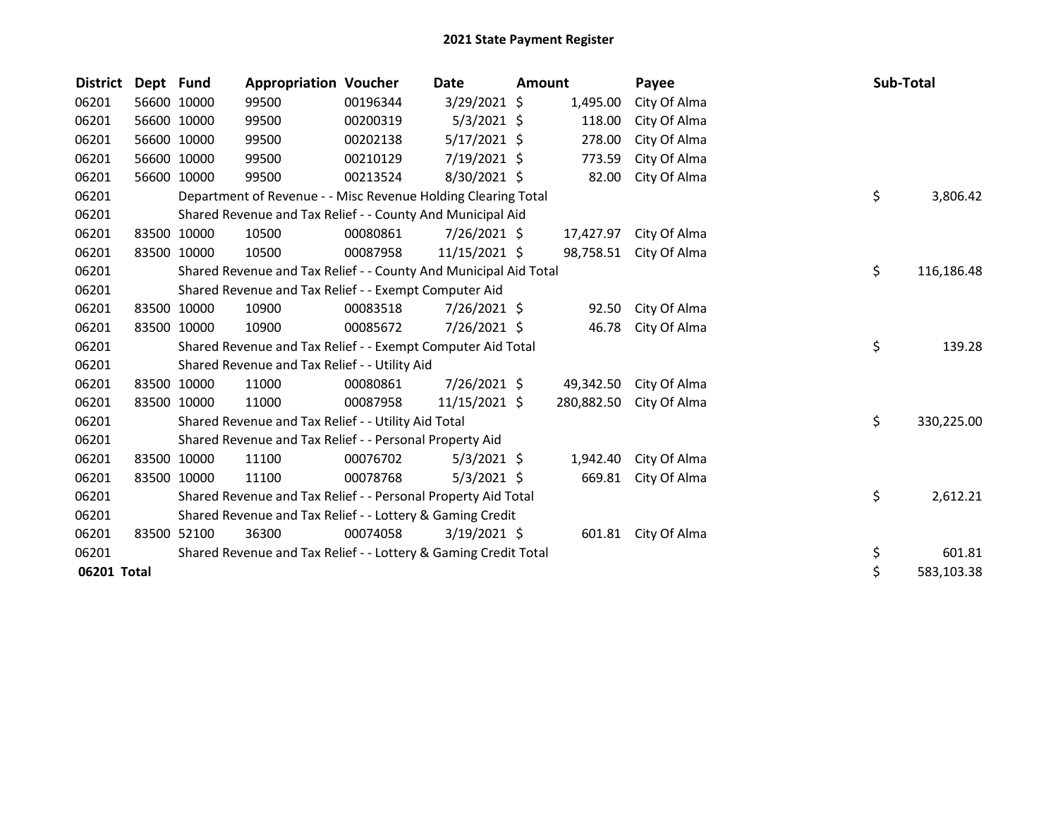| <b>District</b> | Dept Fund |             | <b>Appropriation Voucher</b>                                     |          | Date           | <b>Amount</b> |            | Payee        | Sub-Total |            |
|-----------------|-----------|-------------|------------------------------------------------------------------|----------|----------------|---------------|------------|--------------|-----------|------------|
| 06201           |           | 56600 10000 | 99500                                                            | 00196344 | 3/29/2021 \$   |               | 1,495.00   | City Of Alma |           |            |
| 06201           |           | 56600 10000 | 99500                                                            | 00200319 | $5/3/2021$ \$  |               | 118.00     | City Of Alma |           |            |
| 06201           |           | 56600 10000 | 99500                                                            | 00202138 | $5/17/2021$ \$ |               | 278.00     | City Of Alma |           |            |
| 06201           |           | 56600 10000 | 99500                                                            | 00210129 | 7/19/2021 \$   |               | 773.59     | City Of Alma |           |            |
| 06201           |           | 56600 10000 | 99500                                                            | 00213524 | 8/30/2021 \$   |               | 82.00      | City Of Alma |           |            |
| 06201           |           |             | Department of Revenue - - Misc Revenue Holding Clearing Total    |          |                |               |            |              | \$        | 3,806.42   |
| 06201           |           |             | Shared Revenue and Tax Relief - - County And Municipal Aid       |          |                |               |            |              |           |            |
| 06201           |           | 83500 10000 | 10500                                                            | 00080861 | $7/26/2021$ \$ |               | 17,427.97  | City Of Alma |           |            |
| 06201           |           | 83500 10000 | 10500                                                            | 00087958 | 11/15/2021 \$  |               | 98,758.51  | City Of Alma |           |            |
| 06201           |           |             | Shared Revenue and Tax Relief - - County And Municipal Aid Total |          |                |               |            |              | \$        | 116,186.48 |
| 06201           |           |             | Shared Revenue and Tax Relief - - Exempt Computer Aid            |          |                |               |            |              |           |            |
| 06201           |           | 83500 10000 | 10900                                                            | 00083518 | $7/26/2021$ \$ |               | 92.50      | City Of Alma |           |            |
| 06201           |           | 83500 10000 | 10900                                                            | 00085672 | 7/26/2021 \$   |               | 46.78      | City Of Alma |           |            |
| 06201           |           |             | Shared Revenue and Tax Relief - - Exempt Computer Aid Total      |          |                |               |            |              | \$        | 139.28     |
| 06201           |           |             | Shared Revenue and Tax Relief - - Utility Aid                    |          |                |               |            |              |           |            |
| 06201           |           | 83500 10000 | 11000                                                            | 00080861 | 7/26/2021 \$   |               | 49,342.50  | City Of Alma |           |            |
| 06201           |           | 83500 10000 | 11000                                                            | 00087958 | 11/15/2021 \$  |               | 280,882.50 | City Of Alma |           |            |
| 06201           |           |             | Shared Revenue and Tax Relief - - Utility Aid Total              |          |                |               |            |              | \$        | 330,225.00 |
| 06201           |           |             | Shared Revenue and Tax Relief - - Personal Property Aid          |          |                |               |            |              |           |            |
| 06201           |           | 83500 10000 | 11100                                                            | 00076702 | $5/3/2021$ \$  |               | 1,942.40   | City Of Alma |           |            |
| 06201           |           | 83500 10000 | 11100                                                            | 00078768 | $5/3/2021$ \$  |               | 669.81     | City Of Alma |           |            |
| 06201           |           |             | Shared Revenue and Tax Relief - - Personal Property Aid Total    |          |                |               |            |              | \$        | 2,612.21   |
| 06201           |           |             | Shared Revenue and Tax Relief - - Lottery & Gaming Credit        |          |                |               |            |              |           |            |
| 06201           |           | 83500 52100 | 36300                                                            | 00074058 | $3/19/2021$ \$ |               | 601.81     | City Of Alma |           |            |
| 06201           |           |             | Shared Revenue and Tax Relief - - Lottery & Gaming Credit Total  |          |                |               |            |              | \$        | 601.81     |
| 06201 Total     |           |             |                                                                  |          |                |               |            |              | \$        | 583,103.38 |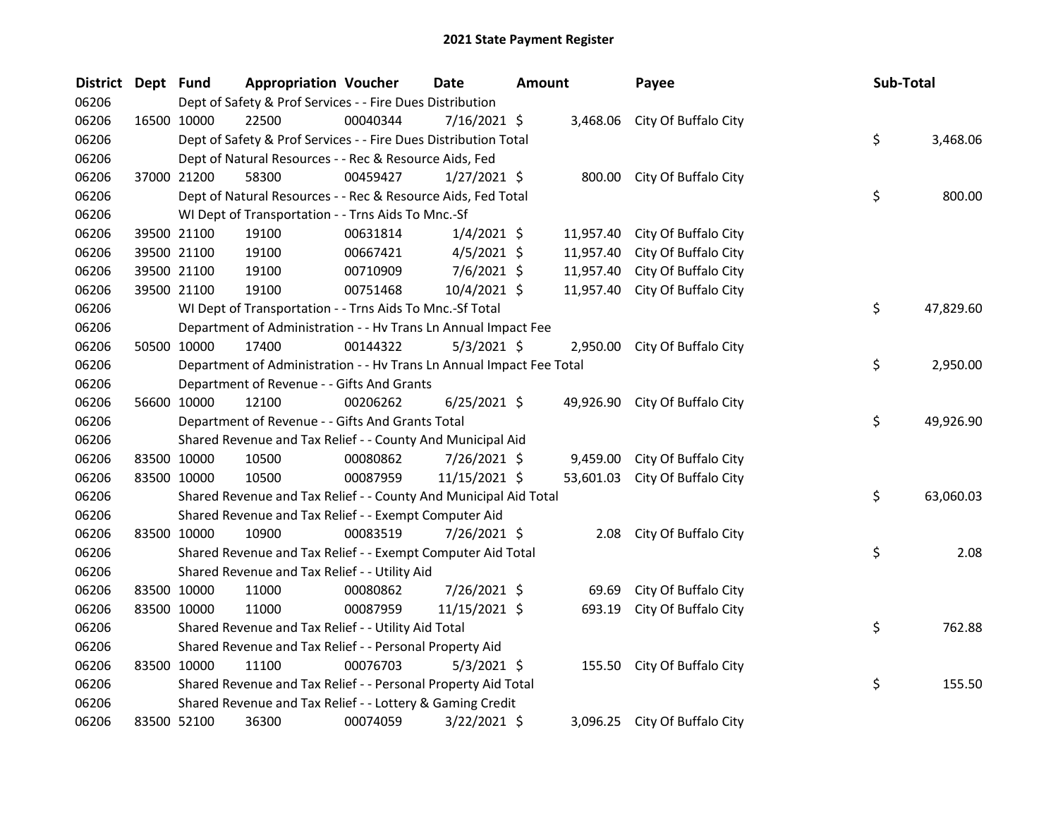| <b>District</b> | Dept Fund |             | <b>Appropriation Voucher</b> |                                                                      | <b>Date</b>    | <b>Amount</b> |           | Payee                          | Sub-Total |           |
|-----------------|-----------|-------------|------------------------------|----------------------------------------------------------------------|----------------|---------------|-----------|--------------------------------|-----------|-----------|
| 06206           |           |             |                              | Dept of Safety & Prof Services - - Fire Dues Distribution            |                |               |           |                                |           |           |
| 06206           |           | 16500 10000 | 22500                        | 00040344                                                             | 7/16/2021 \$   |               |           | 3,468.06 City Of Buffalo City  |           |           |
| 06206           |           |             |                              | Dept of Safety & Prof Services - - Fire Dues Distribution Total      |                |               |           |                                | \$        | 3,468.06  |
| 06206           |           |             |                              | Dept of Natural Resources - - Rec & Resource Aids, Fed               |                |               |           |                                |           |           |
| 06206           |           | 37000 21200 | 58300                        | 00459427                                                             | $1/27/2021$ \$ |               |           | 800.00 City Of Buffalo City    |           |           |
| 06206           |           |             |                              | Dept of Natural Resources - - Rec & Resource Aids, Fed Total         |                |               |           |                                | \$        | 800.00    |
| 06206           |           |             |                              | WI Dept of Transportation - - Trns Aids To Mnc.-Sf                   |                |               |           |                                |           |           |
| 06206           |           | 39500 21100 | 19100                        | 00631814                                                             | $1/4/2021$ \$  |               | 11,957.40 | City Of Buffalo City           |           |           |
| 06206           |           | 39500 21100 | 19100                        | 00667421                                                             | $4/5/2021$ \$  |               | 11,957.40 | City Of Buffalo City           |           |           |
| 06206           |           | 39500 21100 | 19100                        | 00710909                                                             | $7/6/2021$ \$  |               | 11,957.40 | City Of Buffalo City           |           |           |
| 06206           |           | 39500 21100 | 19100                        | 00751468                                                             | 10/4/2021 \$   |               |           | 11,957.40 City Of Buffalo City |           |           |
| 06206           |           |             |                              | WI Dept of Transportation - - Trns Aids To Mnc.-Sf Total             |                |               |           |                                | \$        | 47,829.60 |
| 06206           |           |             |                              | Department of Administration - - Hv Trans Ln Annual Impact Fee       |                |               |           |                                |           |           |
| 06206           |           | 50500 10000 | 17400                        | 00144322                                                             | $5/3/2021$ \$  |               |           | 2,950.00 City Of Buffalo City  |           |           |
| 06206           |           |             |                              | Department of Administration - - Hv Trans Ln Annual Impact Fee Total |                |               |           |                                | \$        | 2,950.00  |
| 06206           |           |             |                              | Department of Revenue - - Gifts And Grants                           |                |               |           |                                |           |           |
| 06206           |           | 56600 10000 | 12100                        | 00206262                                                             | $6/25/2021$ \$ |               |           | 49,926.90 City Of Buffalo City |           |           |
| 06206           |           |             |                              | Department of Revenue - - Gifts And Grants Total                     |                |               |           |                                | \$        | 49,926.90 |
| 06206           |           |             |                              | Shared Revenue and Tax Relief - - County And Municipal Aid           |                |               |           |                                |           |           |
| 06206           |           | 83500 10000 | 10500                        | 00080862                                                             | $7/26/2021$ \$ |               |           | 9,459.00 City Of Buffalo City  |           |           |
| 06206           |           | 83500 10000 | 10500                        | 00087959                                                             | 11/15/2021 \$  |               |           | 53,601.03 City Of Buffalo City |           |           |
| 06206           |           |             |                              | Shared Revenue and Tax Relief - - County And Municipal Aid Total     |                |               |           |                                | \$.       | 63,060.03 |
| 06206           |           |             |                              | Shared Revenue and Tax Relief - - Exempt Computer Aid                |                |               |           |                                |           |           |
| 06206           |           | 83500 10000 | 10900                        | 00083519                                                             | 7/26/2021 \$   |               | 2.08      | City Of Buffalo City           |           |           |
| 06206           |           |             |                              | Shared Revenue and Tax Relief - - Exempt Computer Aid Total          |                |               |           |                                | \$        | 2.08      |
| 06206           |           |             |                              | Shared Revenue and Tax Relief - - Utility Aid                        |                |               |           |                                |           |           |
| 06206           |           | 83500 10000 | 11000                        | 00080862                                                             | 7/26/2021 \$   |               | 69.69     | City Of Buffalo City           |           |           |
| 06206           |           | 83500 10000 | 11000                        | 00087959                                                             | 11/15/2021 \$  |               |           | 693.19 City Of Buffalo City    |           |           |
| 06206           |           |             |                              | Shared Revenue and Tax Relief - - Utility Aid Total                  |                |               |           |                                | \$        | 762.88    |
| 06206           |           |             |                              | Shared Revenue and Tax Relief - - Personal Property Aid              |                |               |           |                                |           |           |
| 06206           |           | 83500 10000 | 11100                        | 00076703                                                             | $5/3/2021$ \$  |               |           | 155.50 City Of Buffalo City    |           |           |
| 06206           |           |             |                              | Shared Revenue and Tax Relief - - Personal Property Aid Total        |                |               |           |                                | \$        | 155.50    |
| 06206           |           |             |                              | Shared Revenue and Tax Relief - - Lottery & Gaming Credit            |                |               |           |                                |           |           |
| 06206           |           | 83500 52100 | 36300                        | 00074059                                                             | 3/22/2021 \$   |               |           | 3,096.25 City Of Buffalo City  |           |           |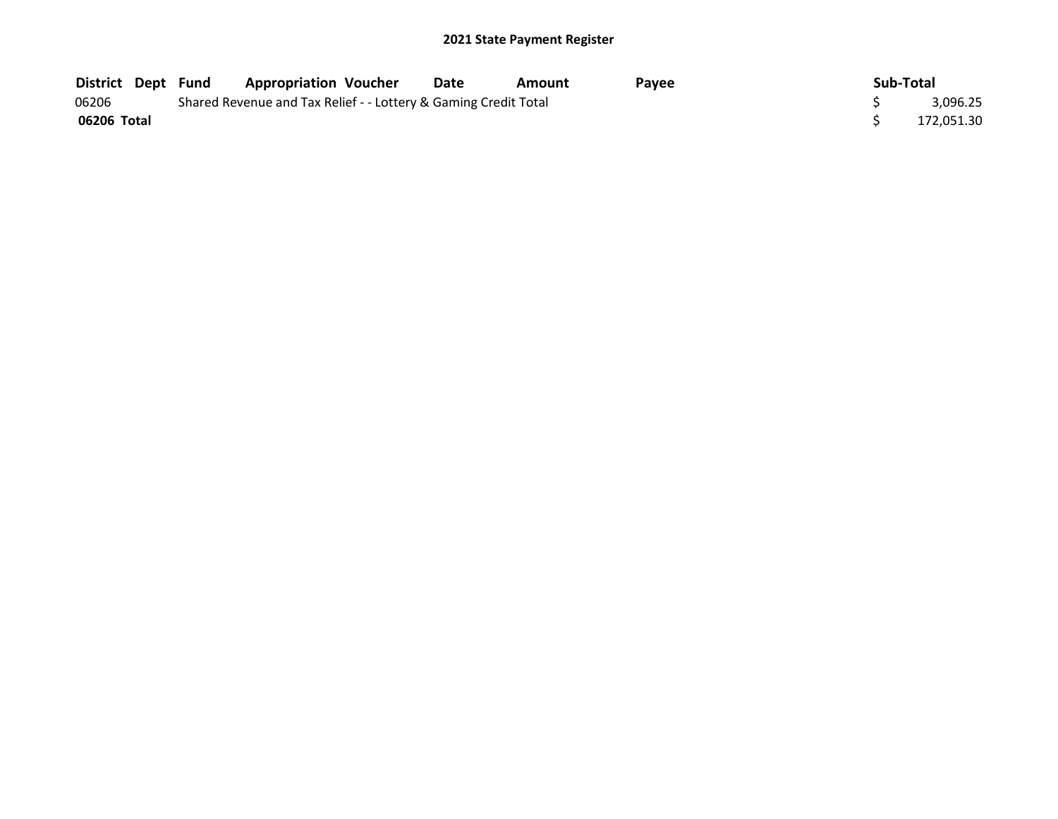| <b>District Dept Fund</b> |  | <b>Appropriation Voucher</b>                                    | Date | Amount | Pavee | Sub-Total |            |
|---------------------------|--|-----------------------------------------------------------------|------|--------|-------|-----------|------------|
| 06206                     |  | Shared Revenue and Tax Relief - - Lottery & Gaming Credit Total |      |        |       |           | 3,096.25   |
| 06206 Total               |  |                                                                 |      |        |       |           | 172,051.30 |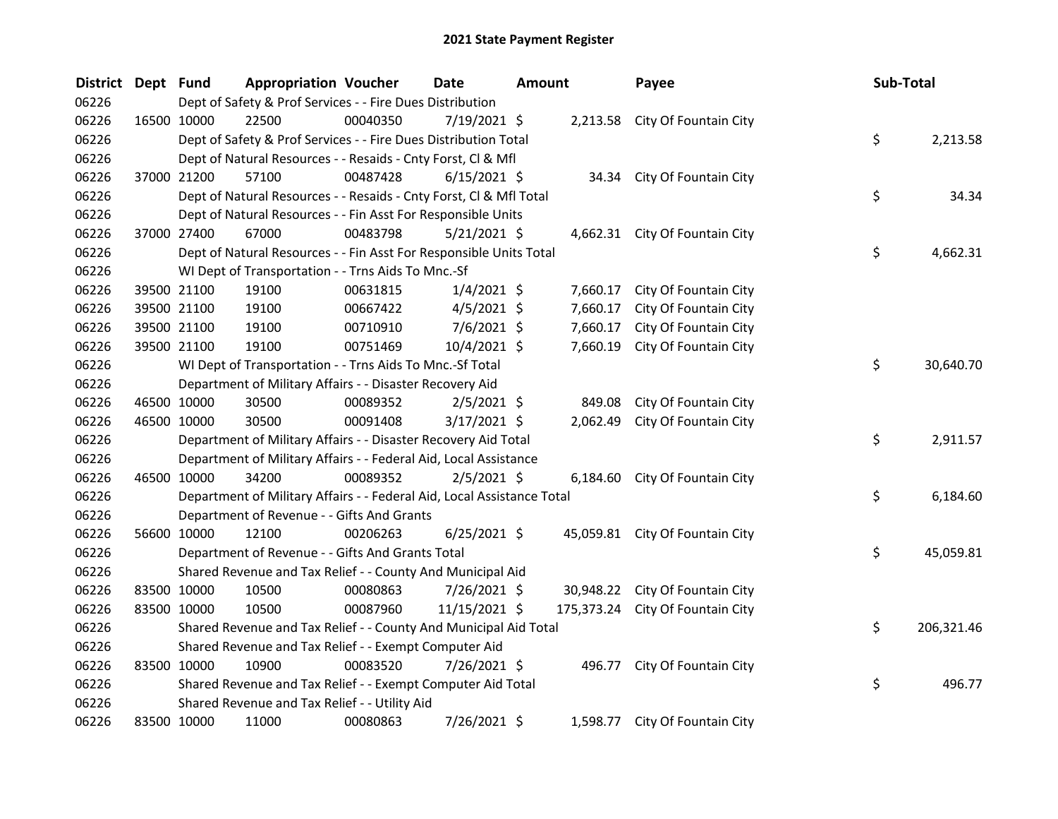| <b>District</b> | Dept Fund |             | <b>Appropriation Voucher</b>                                           |          | <b>Date</b>    | <b>Amount</b> |            | Payee                           | Sub-Total |            |
|-----------------|-----------|-------------|------------------------------------------------------------------------|----------|----------------|---------------|------------|---------------------------------|-----------|------------|
| 06226           |           |             | Dept of Safety & Prof Services - - Fire Dues Distribution              |          |                |               |            |                                 |           |            |
| 06226           |           | 16500 10000 | 22500                                                                  | 00040350 | $7/19/2021$ \$ |               |            | 2,213.58 City Of Fountain City  |           |            |
| 06226           |           |             | Dept of Safety & Prof Services - - Fire Dues Distribution Total        |          |                |               |            |                                 | \$        | 2,213.58   |
| 06226           |           |             | Dept of Natural Resources - - Resaids - Cnty Forst, Cl & Mfl           |          |                |               |            |                                 |           |            |
| 06226           |           | 37000 21200 | 57100                                                                  | 00487428 | $6/15/2021$ \$ |               |            | 34.34 City Of Fountain City     |           |            |
| 06226           |           |             | Dept of Natural Resources - - Resaids - Cnty Forst, Cl & Mfl Total     |          |                |               |            |                                 | \$        | 34.34      |
| 06226           |           |             | Dept of Natural Resources - - Fin Asst For Responsible Units           |          |                |               |            |                                 |           |            |
| 06226           |           | 37000 27400 | 67000                                                                  | 00483798 | $5/21/2021$ \$ |               |            | 4,662.31 City Of Fountain City  |           |            |
| 06226           |           |             | Dept of Natural Resources - - Fin Asst For Responsible Units Total     |          |                |               |            |                                 | \$        | 4,662.31   |
| 06226           |           |             | WI Dept of Transportation - - Trns Aids To Mnc.-Sf                     |          |                |               |            |                                 |           |            |
| 06226           |           | 39500 21100 | 19100                                                                  | 00631815 | $1/4/2021$ \$  |               | 7,660.17   | City Of Fountain City           |           |            |
| 06226           |           | 39500 21100 | 19100                                                                  | 00667422 | $4/5/2021$ \$  |               | 7,660.17   | City Of Fountain City           |           |            |
| 06226           |           | 39500 21100 | 19100                                                                  | 00710910 | $7/6/2021$ \$  |               | 7,660.17   | City Of Fountain City           |           |            |
| 06226           |           | 39500 21100 | 19100                                                                  | 00751469 | 10/4/2021 \$   |               | 7,660.19   | City Of Fountain City           |           |            |
| 06226           |           |             | WI Dept of Transportation - - Trns Aids To Mnc.-Sf Total               |          |                |               |            |                                 | \$        | 30,640.70  |
| 06226           |           |             | Department of Military Affairs - - Disaster Recovery Aid               |          |                |               |            |                                 |           |            |
| 06226           |           | 46500 10000 | 30500                                                                  | 00089352 | $2/5/2021$ \$  |               | 849.08     | City Of Fountain City           |           |            |
| 06226           |           | 46500 10000 | 30500                                                                  | 00091408 | $3/17/2021$ \$ |               | 2,062.49   | City Of Fountain City           |           |            |
| 06226           |           |             | Department of Military Affairs - - Disaster Recovery Aid Total         |          |                |               |            |                                 | \$        | 2,911.57   |
| 06226           |           |             | Department of Military Affairs - - Federal Aid, Local Assistance       |          |                |               |            |                                 |           |            |
| 06226           |           | 46500 10000 | 34200                                                                  | 00089352 | $2/5/2021$ \$  |               | 6,184.60   | City Of Fountain City           |           |            |
| 06226           |           |             | Department of Military Affairs - - Federal Aid, Local Assistance Total |          |                |               |            |                                 | \$        | 6,184.60   |
| 06226           |           |             | Department of Revenue - - Gifts And Grants                             |          |                |               |            |                                 |           |            |
| 06226           |           | 56600 10000 | 12100                                                                  | 00206263 | $6/25/2021$ \$ |               |            | 45,059.81 City Of Fountain City |           |            |
| 06226           |           |             | Department of Revenue - - Gifts And Grants Total                       |          |                |               |            |                                 | \$        | 45,059.81  |
| 06226           |           |             | Shared Revenue and Tax Relief - - County And Municipal Aid             |          |                |               |            |                                 |           |            |
| 06226           |           | 83500 10000 | 10500                                                                  | 00080863 | 7/26/2021 \$   |               | 30,948.22  | City Of Fountain City           |           |            |
| 06226           |           | 83500 10000 | 10500                                                                  | 00087960 | 11/15/2021 \$  |               | 175,373.24 | City Of Fountain City           |           |            |
| 06226           |           |             | Shared Revenue and Tax Relief - - County And Municipal Aid Total       |          |                |               |            |                                 | \$        | 206,321.46 |
| 06226           |           |             | Shared Revenue and Tax Relief - - Exempt Computer Aid                  |          |                |               |            |                                 |           |            |
| 06226           |           | 83500 10000 | 10900                                                                  | 00083520 | 7/26/2021 \$   |               | 496.77     | City Of Fountain City           |           |            |
| 06226           |           |             | Shared Revenue and Tax Relief - - Exempt Computer Aid Total            |          |                |               |            |                                 | \$        | 496.77     |
| 06226           |           |             | Shared Revenue and Tax Relief - - Utility Aid                          |          |                |               |            |                                 |           |            |
| 06226           |           | 83500 10000 | 11000                                                                  | 00080863 | 7/26/2021 \$   |               | 1,598.77   | City Of Fountain City           |           |            |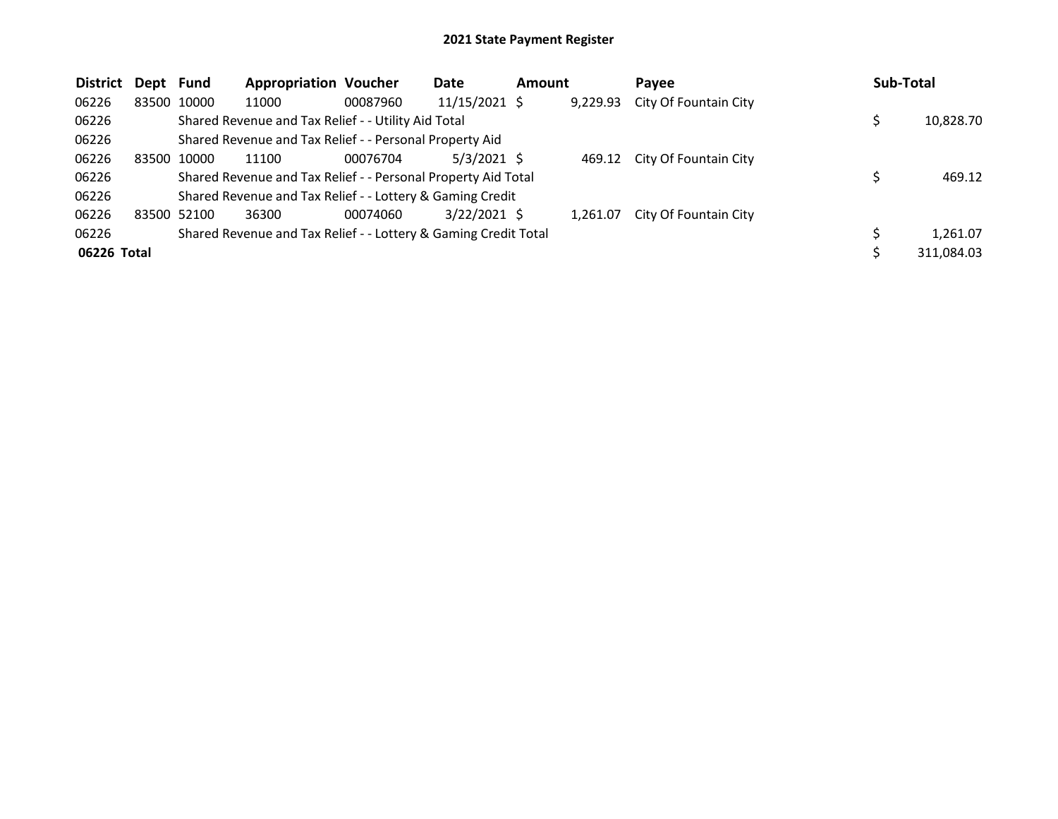| <b>District</b> | Dept Fund |             | <b>Appropriation Voucher</b>                                    |          | Date           | <b>Amount</b> |          | Payee                 | Sub-Total  |
|-----------------|-----------|-------------|-----------------------------------------------------------------|----------|----------------|---------------|----------|-----------------------|------------|
| 06226           | 83500     | 10000       | 11000                                                           | 00087960 | 11/15/2021 \$  |               | 9,229.93 | City Of Fountain City |            |
| 06226           |           |             | Shared Revenue and Tax Relief - - Utility Aid Total             |          |                |               |          |                       | 10,828.70  |
| 06226           |           |             | Shared Revenue and Tax Relief - - Personal Property Aid         |          |                |               |          |                       |            |
| 06226           | 83500     | 10000       | 11100                                                           | 00076704 | 5/3/2021 \$    |               | 469.12   | City Of Fountain City |            |
| 06226           |           |             | Shared Revenue and Tax Relief - - Personal Property Aid Total   |          |                |               |          |                       | 469.12     |
| 06226           |           |             | Shared Revenue and Tax Relief - - Lottery & Gaming Credit       |          |                |               |          |                       |            |
| 06226           |           | 83500 52100 | 36300                                                           | 00074060 | $3/22/2021$ \$ |               | 1.261.07 | City Of Fountain City |            |
| 06226           |           |             | Shared Revenue and Tax Relief - - Lottery & Gaming Credit Total |          |                |               |          |                       | 1,261.07   |
| 06226 Total     |           |             |                                                                 |          |                |               |          |                       | 311,084.03 |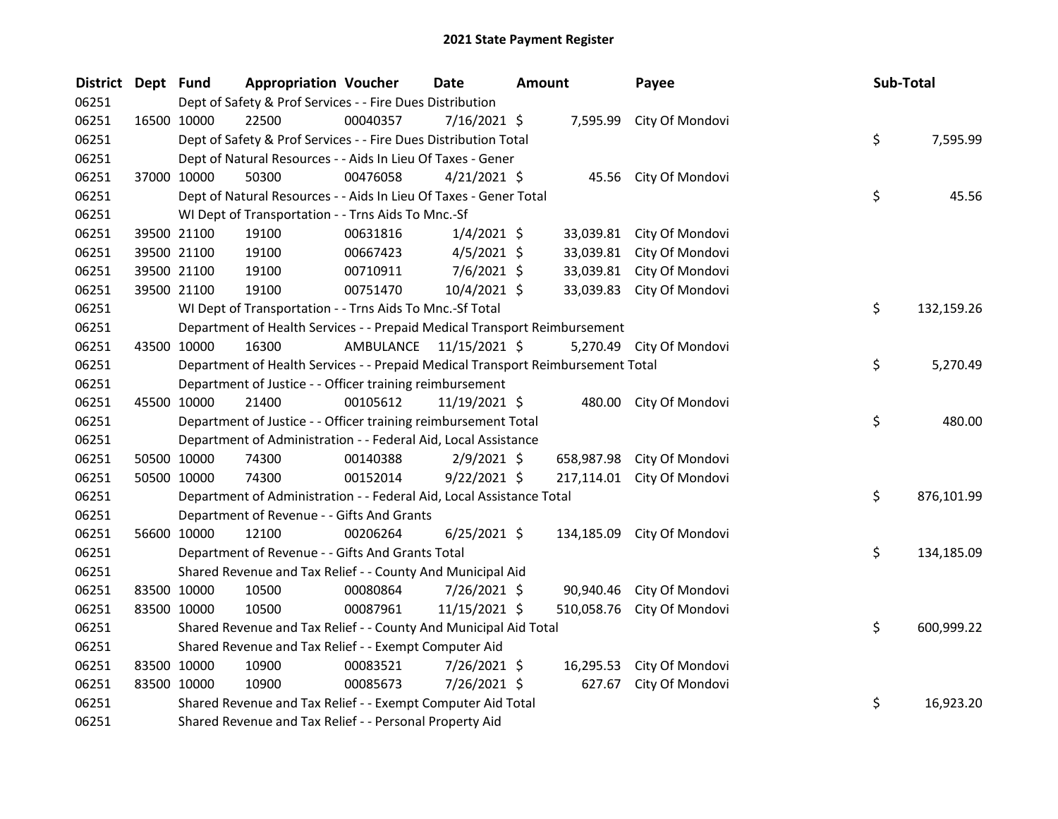| <b>District</b> | Dept Fund |                                                                                 | <b>Appropriation Voucher</b> |                                                                           | <b>Date</b>    | <b>Amount</b> |            | Payee                      |    | Sub-Total  |            |
|-----------------|-----------|---------------------------------------------------------------------------------|------------------------------|---------------------------------------------------------------------------|----------------|---------------|------------|----------------------------|----|------------|------------|
| 06251           |           | Dept of Safety & Prof Services - - Fire Dues Distribution                       |                              |                                                                           |                |               |            |                            |    |            |            |
| 06251           |           | 16500 10000                                                                     | 22500                        | 00040357                                                                  | $7/16/2021$ \$ |               | 7,595.99   | City Of Mondovi            |    |            |            |
| 06251           |           | \$<br>Dept of Safety & Prof Services - - Fire Dues Distribution Total           |                              |                                                                           |                |               |            |                            |    |            | 7,595.99   |
| 06251           |           | Dept of Natural Resources - - Aids In Lieu Of Taxes - Gener                     |                              |                                                                           |                |               |            |                            |    |            |            |
| 06251           |           | 37000 10000                                                                     | 50300                        | 00476058                                                                  | $4/21/2021$ \$ |               |            | 45.56 City Of Mondovi      |    |            |            |
| 06251           |           | Dept of Natural Resources - - Aids In Lieu Of Taxes - Gener Total               |                              |                                                                           |                |               |            |                            |    | \$         | 45.56      |
| 06251           |           | WI Dept of Transportation - - Trns Aids To Mnc.-Sf                              |                              |                                                                           |                |               |            |                            |    |            |            |
| 06251           |           | 39500 21100                                                                     | 19100                        | 00631816                                                                  | $1/4/2021$ \$  |               |            | 33,039.81 City Of Mondovi  |    |            |            |
| 06251           |           | 39500 21100<br>19100                                                            |                              | 00667423                                                                  | $4/5/2021$ \$  |               | 33,039.81  | City Of Mondovi            |    |            |            |
| 06251           |           | 39500 21100<br>19100                                                            |                              | 00710911                                                                  | 7/6/2021 \$    |               | 33,039.81  | City Of Mondovi            |    |            |            |
| 06251           |           | 39500 21100                                                                     | 19100                        | 00751470                                                                  | 10/4/2021 \$   |               |            | 33,039.83 City Of Mondovi  |    |            |            |
| 06251           |           |                                                                                 |                              | WI Dept of Transportation - - Trns Aids To Mnc.-Sf Total                  |                |               |            |                            |    | \$         | 132,159.26 |
| 06251           |           |                                                                                 |                              | Department of Health Services - - Prepaid Medical Transport Reimbursement |                |               |            |                            |    |            |            |
| 06251           |           | 43500 10000                                                                     | 16300                        | AMBULANCE 11/15/2021 \$                                                   |                |               |            | 5,270.49 City Of Mondovi   |    |            |            |
| 06251           |           | Department of Health Services - - Prepaid Medical Transport Reimbursement Total |                              |                                                                           |                |               |            |                            |    | \$         | 5,270.49   |
| 06251           |           | Department of Justice - - Officer training reimbursement                        |                              |                                                                           |                |               |            |                            |    |            |            |
| 06251           |           | 45500 10000<br>21400                                                            |                              | 00105612                                                                  | 11/19/2021 \$  |               |            | 480.00 City Of Mondovi     |    |            |            |
| 06251           |           |                                                                                 |                              | Department of Justice - - Officer training reimbursement Total            |                |               |            |                            |    | \$         | 480.00     |
| 06251           |           | Department of Administration - - Federal Aid, Local Assistance                  |                              |                                                                           |                |               |            |                            |    |            |            |
| 06251           |           | 50500 10000                                                                     | 74300                        | 00140388                                                                  | $2/9/2021$ \$  |               |            | 658,987.98 City Of Mondovi |    |            |            |
| 06251           |           | 50500 10000<br>74300                                                            |                              | 00152014                                                                  | $9/22/2021$ \$ |               | 217,114.01 | City Of Mondovi            |    |            |            |
| 06251           |           | Department of Administration - - Federal Aid, Local Assistance Total            |                              |                                                                           |                |               |            |                            |    | \$         | 876,101.99 |
| 06251           |           | Department of Revenue - - Gifts And Grants                                      |                              |                                                                           |                |               |            |                            |    |            |            |
| 06251           |           | 56600 10000<br>12100                                                            |                              | 00206264                                                                  | $6/25/2021$ \$ |               | 134,185.09 | City Of Mondovi            |    |            |            |
| 06251           |           | Department of Revenue - - Gifts And Grants Total                                |                              |                                                                           |                |               |            |                            | \$ | 134,185.09 |            |
| 06251           |           | Shared Revenue and Tax Relief - - County And Municipal Aid                      |                              |                                                                           |                |               |            |                            |    |            |            |
| 06251           |           | 83500 10000<br>10500                                                            |                              | 00080864                                                                  | 7/26/2021 \$   |               | 90,940.46  | City Of Mondovi            |    |            |            |
| 06251           |           | 83500 10000<br>10500                                                            |                              | 00087961                                                                  | 11/15/2021 \$  |               | 510,058.76 | City Of Mondovi            |    |            |            |
| 06251           |           | Shared Revenue and Tax Relief - - County And Municipal Aid Total                |                              |                                                                           |                |               |            |                            |    | \$         | 600,999.22 |
| 06251           |           | Shared Revenue and Tax Relief - - Exempt Computer Aid                           |                              |                                                                           |                |               |            |                            |    |            |            |
| 06251           |           | 83500 10000<br>10900                                                            |                              | 00083521                                                                  | 7/26/2021 \$   |               | 16,295.53  | City Of Mondovi            |    |            |            |
| 06251           |           | 83500 10000<br>10900                                                            |                              | 00085673                                                                  | 7/26/2021 \$   |               | 627.67     | City Of Mondovi            |    |            |            |
| 06251           |           | Shared Revenue and Tax Relief - - Exempt Computer Aid Total                     |                              |                                                                           |                |               |            |                            |    | \$         | 16,923.20  |
| 06251           |           | Shared Revenue and Tax Relief - - Personal Property Aid                         |                              |                                                                           |                |               |            |                            |    |            |            |